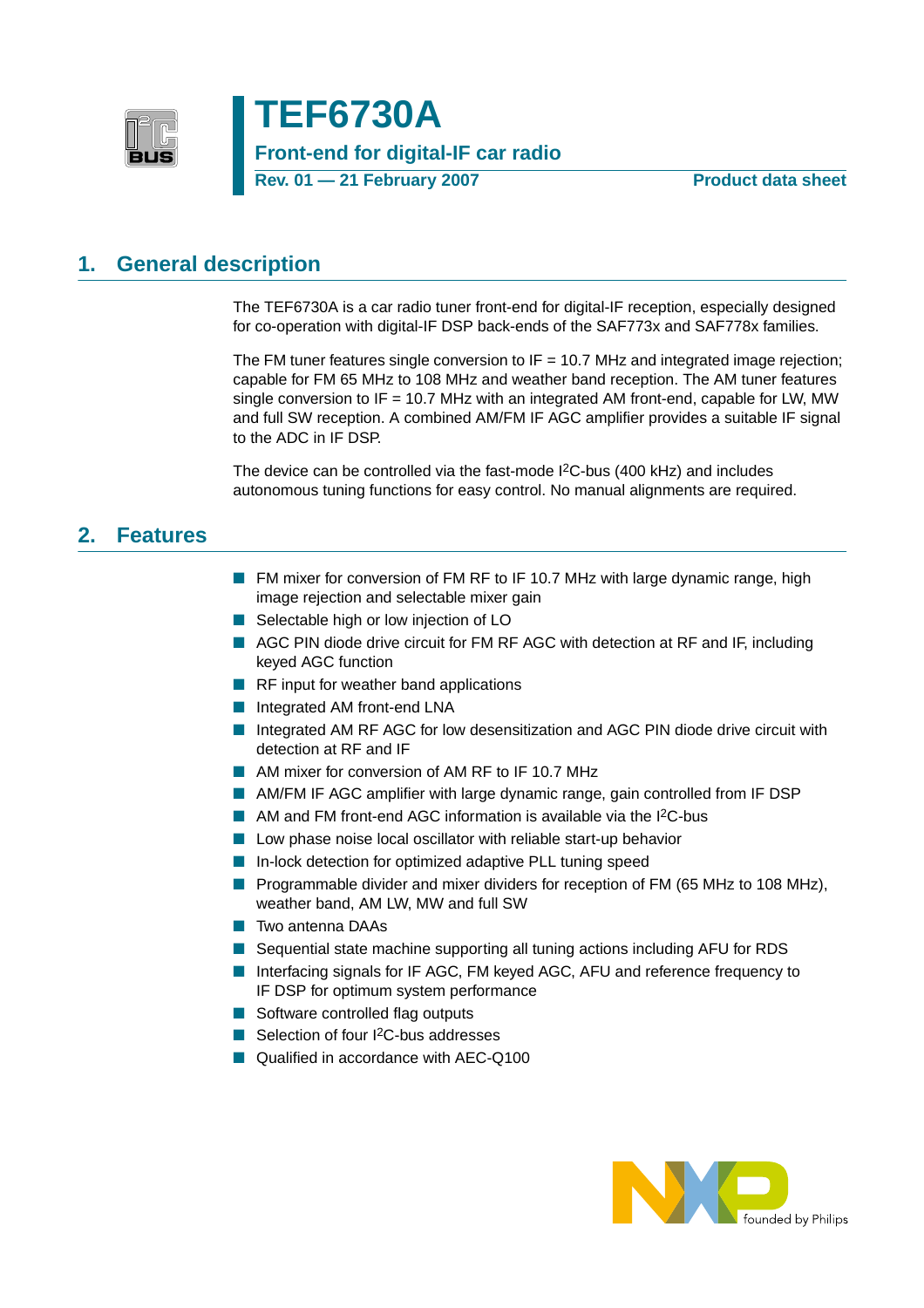

**TEF6730A Front-end for digital-IF car radio Rev. 01 – 21 February 2007** Product data sheet

### <span id="page-0-0"></span>**1. General description**

The TEF6730A is a car radio tuner front-end for digital-IF reception, especially designed for co-operation with digital-IF DSP back-ends of the SAF773x and SAF778x families.

The FM tuner features single conversion to  $IF = 10.7$  MHz and integrated image rejection; capable for FM 65 MHz to 108 MHz and weather band reception. The AM tuner features single conversion to IF = 10.7 MHz with an integrated AM front-end, capable for LW, MW and full SW reception. A combined AM/FM IF AGC amplifier provides a suitable IF signal to the ADC in IF DSP.

The device can be controlled via the fast-mode I<sup>2</sup>C-bus (400 kHz) and includes autonomous tuning functions for easy control. No manual alignments are required.

### <span id="page-0-1"></span>**2. Features**

- FM mixer for conversion of FM RF to IF 10.7 MHz with large dynamic range, high image rejection and selectable mixer gain
- Selectable high or low injection of LO
- AGC PIN diode drive circuit for FM RF AGC with detection at RF and IF, including keyed AGC function
- RF input for weather band applications
- Integrated AM front-end LNA
- Integrated AM RF AGC for low desensitization and AGC PIN diode drive circuit with detection at RF and IF
- AM mixer for conversion of AM RF to IF 10.7 MHz
- AM/FM IF AGC amplifier with large dynamic range, gain controlled from IF DSP
- AM and FM front-end AGC information is available via the I<sup>2</sup>C-bus
- Low phase noise local oscillator with reliable start-up behavior
- In-lock detection for optimized adaptive PLL tuning speed
- Programmable divider and mixer dividers for reception of FM (65 MHz to 108 MHz), weather band, AM LW, MW and full SW
- Two antenna DAAs
- Sequential state machine supporting all tuning actions including AFU for RDS
- Interfacing signals for IF AGC, FM keyed AGC, AFU and reference frequency to IF DSP for optimum system performance
- Software controlled flag outputs
- Selection of four I<sup>2</sup>C-bus addresses
- Qualified in accordance with AEC-Q100

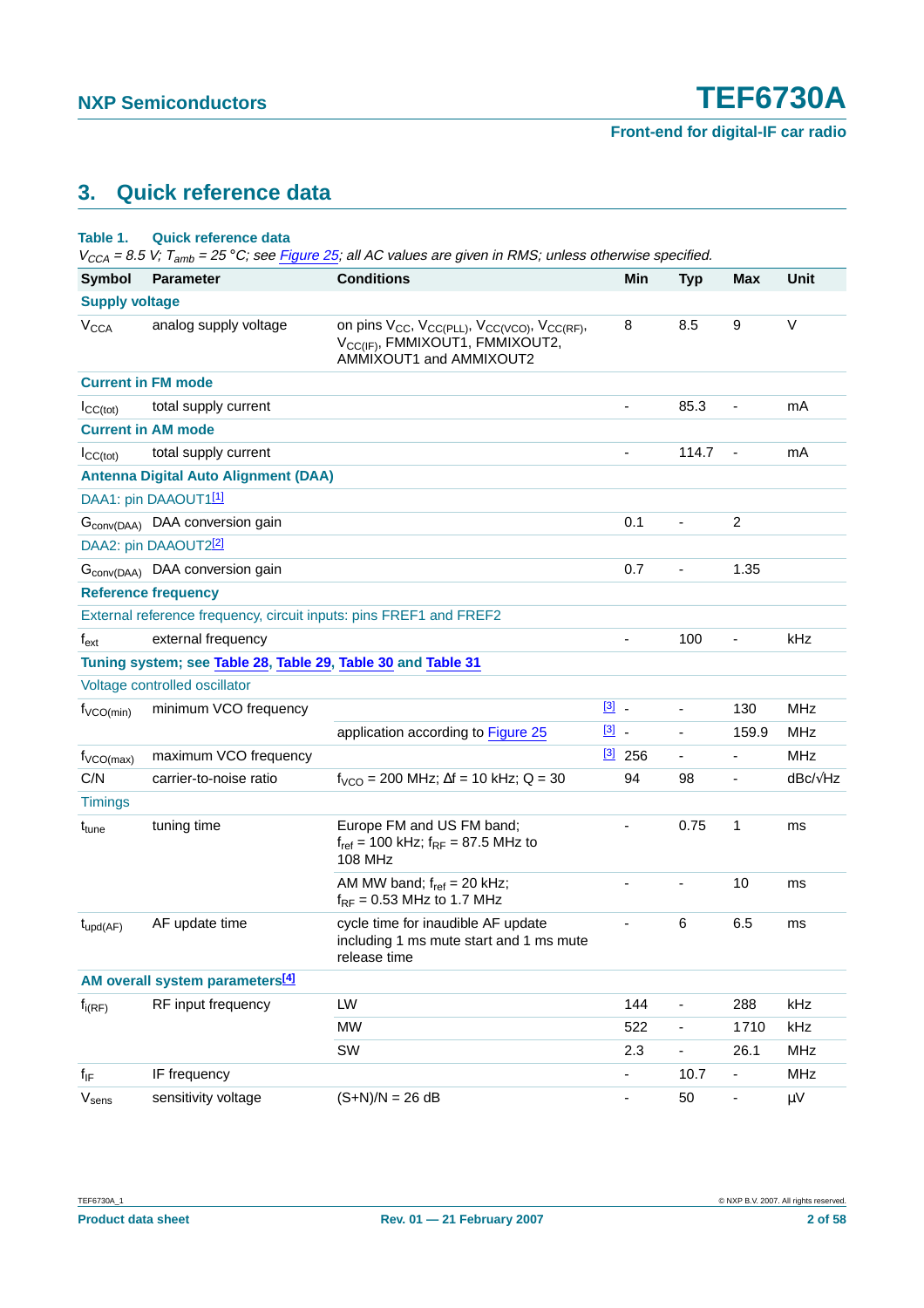### <span id="page-1-0"></span>**3. Quick reference data**

### **Table 1. Quick reference data**

| <b>Symbol</b>          | <b>Parameter</b>                                                   | <b>Conditions</b>                                                                                                                                                       |               | Min                          | <b>Typ</b>                   | <b>Max</b>               | Unit            |
|------------------------|--------------------------------------------------------------------|-------------------------------------------------------------------------------------------------------------------------------------------------------------------------|---------------|------------------------------|------------------------------|--------------------------|-----------------|
| <b>Supply voltage</b>  |                                                                    |                                                                                                                                                                         |               |                              |                              |                          |                 |
| <b>V<sub>CCA</sub></b> | analog supply voltage                                              | on pins V <sub>CC</sub> , V <sub>CC(PLL)</sub> , V <sub>CC(VCO)</sub> , V <sub>CC(RF)</sub> ,<br>V <sub>CC(IF)</sub> , FMMIXOUT1, FMMIXOUT2,<br>AMMIXOUT1 and AMMIXOUT2 |               | 8                            | 8.5                          | 9                        | $\vee$          |
|                        | <b>Current in FM mode</b>                                          |                                                                                                                                                                         |               |                              |                              |                          |                 |
| ICC(tot)               | total supply current                                               |                                                                                                                                                                         |               | ä,                           | 85.3                         |                          | mA              |
|                        | <b>Current in AM mode</b>                                          |                                                                                                                                                                         |               |                              |                              |                          |                 |
| $I_{CC(tot)}$          | total supply current                                               |                                                                                                                                                                         |               | ä,                           | 114.7                        | $\overline{\phantom{a}}$ | mA              |
|                        | <b>Antenna Digital Auto Alignment (DAA)</b>                        |                                                                                                                                                                         |               |                              |                              |                          |                 |
|                        | DAA1: pin DAAOUT1[1]                                               |                                                                                                                                                                         |               |                              |                              |                          |                 |
|                        | G <sub>conv(DAA)</sub> DAA conversion gain                         |                                                                                                                                                                         |               | 0.1                          | $\blacksquare$               | $\overline{c}$           |                 |
|                        | DAA2: pin DAAOUT2[2]                                               |                                                                                                                                                                         |               |                              |                              |                          |                 |
|                        | G <sub>conv(DAA)</sub> DAA conversion gain                         |                                                                                                                                                                         |               | 0.7                          | $\overline{\phantom{a}}$     | 1.35                     |                 |
|                        | <b>Reference frequency</b>                                         |                                                                                                                                                                         |               |                              |                              |                          |                 |
|                        | External reference frequency, circuit inputs: pins FREF1 and FREF2 |                                                                                                                                                                         |               |                              |                              |                          |                 |
| $f_{ext}$              | external frequency                                                 |                                                                                                                                                                         |               |                              | 100                          |                          | kHz             |
|                        | Tuning system; see Table 28, Table 29, Table 30 and Table 31       |                                                                                                                                                                         |               |                              |                              |                          |                 |
|                        | Voltage controlled oscillator                                      |                                                                                                                                                                         |               |                              |                              |                          |                 |
| $f_{VCO(min)}$         | minimum VCO frequency                                              |                                                                                                                                                                         | $\boxed{3}$ . |                              | $\overline{\phantom{a}}$     | 130                      | <b>MHz</b>      |
|                        |                                                                    | application according to Figure 25                                                                                                                                      | $\boxed{3}$ . |                              | $\blacksquare$               | 159.9                    | <b>MHz</b>      |
| $f_{\text{VCO(max)}}$  | maximum VCO frequency                                              |                                                                                                                                                                         |               | $[3]$ 256                    | $\overline{\phantom{a}}$     | $\blacksquare$           | <b>MHz</b>      |
| C/N                    | carrier-to-noise ratio                                             | $f_{VCO}$ = 200 MHz; $\Delta f$ = 10 kHz; Q = 30                                                                                                                        |               | 94                           | 98                           | $\overline{\phantom{0}}$ | $dBc/\sqrt{Hz}$ |
| <b>Timings</b>         |                                                                    |                                                                                                                                                                         |               |                              |                              |                          |                 |
| t <sub>tune</sub>      | tuning time                                                        | Europe FM and US FM band;<br>$f_{ref}$ = 100 kHz; $f_{RF}$ = 87.5 MHz to<br>108 MHz                                                                                     |               | ä,                           | 0.75                         | 1                        | ms              |
|                        |                                                                    | AM MW band; $f_{ref} = 20$ kHz;<br>$f_{RF}$ = 0.53 MHz to 1.7 MHz                                                                                                       |               | ٠                            | $\qquad \qquad \blacksquare$ | 10                       | ms              |
| $t_{\text{upd}(AF)}$   | AF update time                                                     | cycle time for inaudible AF update<br>including 1 ms mute start and 1 ms mute<br>release time                                                                           |               | $\qquad \qquad \blacksquare$ | 6                            | 6.5                      | ms              |
|                        | AM overall system parameters <sup>[4]</sup>                        |                                                                                                                                                                         |               |                              |                              |                          |                 |
| $f_{i(RF)}$            | RF input frequency                                                 | LW                                                                                                                                                                      |               | 144                          | $\blacksquare$               | 288                      | kHz             |
|                        |                                                                    | <b>MW</b>                                                                                                                                                               |               | 522                          | $\blacksquare$               | 1710                     | kHz             |
|                        |                                                                    | SW                                                                                                                                                                      |               | 2.3                          | $\overline{\phantom{a}}$     | 26.1                     | MHz             |
| $f_{IF}$               | IF frequency                                                       |                                                                                                                                                                         |               | ÷,                           | 10.7                         | ٠                        | MHz             |
| $V_{\text{sens}}$      | sensitivity voltage                                                | $(S+N)/N = 26 dB$                                                                                                                                                       |               | $\qquad \qquad \blacksquare$ | 50                           | -                        | $\mu V$         |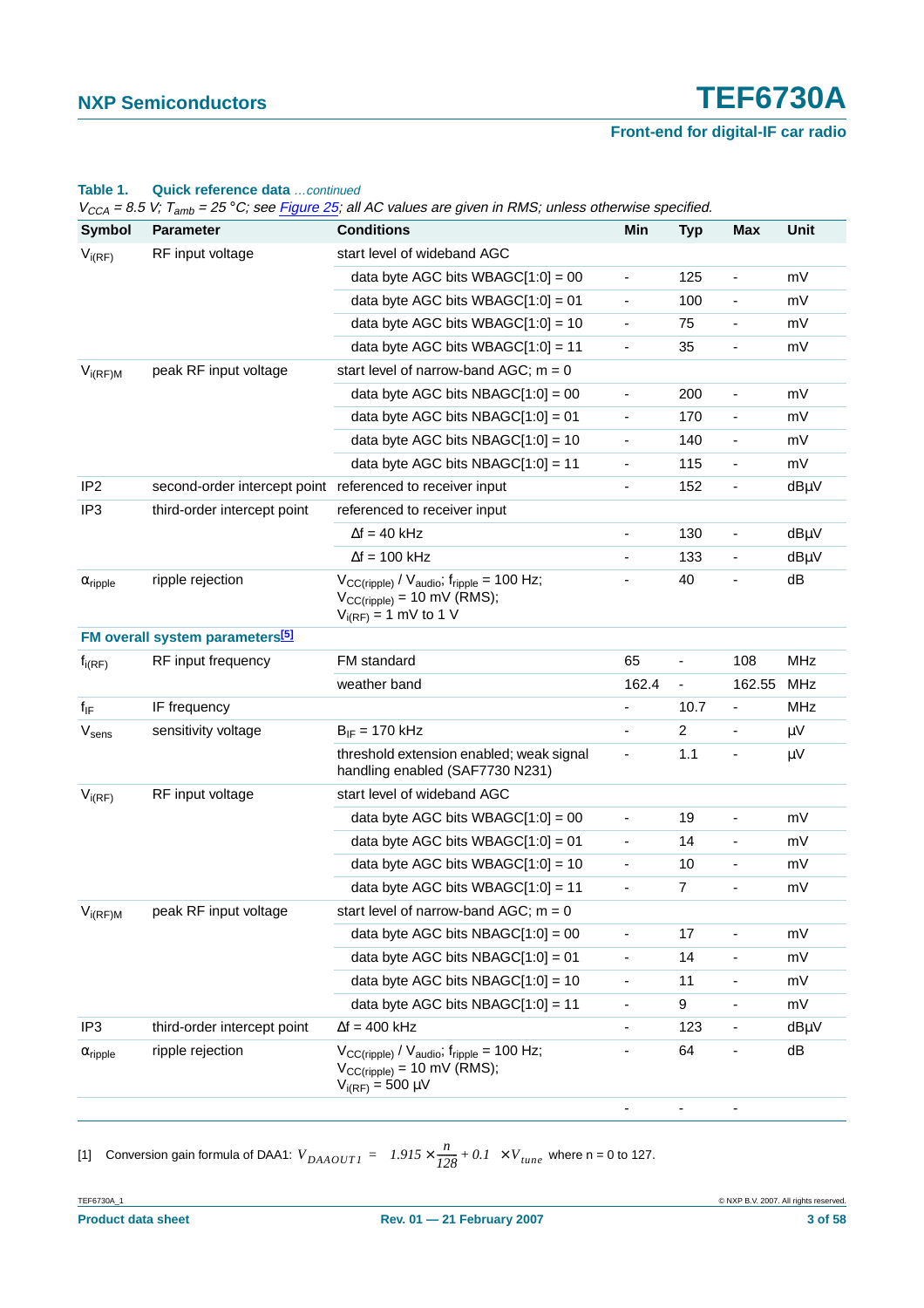### **Front-end for digital-IF car radio**

|                            | <b>Parameter</b>                                          | $V_{CCA}$ = 8.5 V; 1 $_{amb}$ = 25 $^{\circ}$ C; see Figure 25; all AC values are given in RMS; unless otherwise specified. |                          |                              |                          |            |
|----------------------------|-----------------------------------------------------------|-----------------------------------------------------------------------------------------------------------------------------|--------------------------|------------------------------|--------------------------|------------|
| <b>Symbol</b>              |                                                           | <b>Conditions</b>                                                                                                           | Min                      | <b>Typ</b>                   | <b>Max</b>               | Unit       |
| $V_{i(RF)}$                | RF input voltage                                          | start level of wideband AGC                                                                                                 |                          |                              |                          |            |
|                            |                                                           | data byte AGC bits WBAGC $[1:0] = 00$                                                                                       | $\overline{\phantom{0}}$ | 125                          | $\blacksquare$           | mV         |
|                            |                                                           | data byte AGC bits WBAGC $[1:0] = 01$                                                                                       | $\overline{\phantom{0}}$ | 100                          | $\overline{\phantom{0}}$ | mV         |
|                            |                                                           | data byte AGC bits WBAGC $[1:0] = 10$                                                                                       | $\overline{\phantom{0}}$ | 75                           |                          | mV         |
|                            |                                                           | data byte AGC bits WBAGC $[1:0] = 11$                                                                                       | $\overline{\phantom{0}}$ | 35                           | $\overline{\phantom{a}}$ | mV         |
| $V_{i(RF)M}$               | peak RF input voltage                                     | start level of narrow-band AGC; $m = 0$                                                                                     |                          |                              |                          |            |
|                            |                                                           | data byte AGC bits NBAGC $[1:0] = 00$                                                                                       | $\blacksquare$           | 200                          | $\blacksquare$           | mV         |
|                            |                                                           | data byte AGC bits NBAGC $[1:0] = 01$                                                                                       | $\overline{\phantom{0}}$ | 170                          | $\overline{\phantom{a}}$ | mV         |
|                            |                                                           | data byte AGC bits NBAGC $[1:0] = 10$                                                                                       | -                        | 140                          | ۰                        | mV         |
|                            |                                                           | data byte AGC bits NBAGC $[1:0] = 11$                                                                                       | ÷,                       | 115                          | $\blacksquare$           | mV         |
| IP <sub>2</sub>            | second-order intercept point referenced to receiver input |                                                                                                                             | ÷                        | 152                          | $\overline{\phantom{0}}$ | $dB\mu V$  |
| IP3                        | third-order intercept point                               | referenced to receiver input                                                                                                |                          |                              |                          |            |
|                            |                                                           | $\Delta f = 40$ kHz                                                                                                         | $\overline{\phantom{0}}$ | 130                          | $\blacksquare$           | dBµV       |
|                            |                                                           | $\Delta f = 100$ kHz                                                                                                        |                          | 133                          |                          | $dB\mu V$  |
| $\alpha$ <sub>ripple</sub> | ripple rejection                                          | $V_{CC(ripple)} / V_{audio}$ , $f_{ripole} = 100$ Hz;<br>$V_{CC(ripple)} = 10$ mV (RMS);<br>$V_{i(RF)} = 1$ mV to 1 V       |                          | 40                           |                          | dB         |
|                            | FM overall system parameters <sup>[5]</sup>               |                                                                                                                             |                          |                              |                          |            |
| $f_{i(RF)}$                | RF input frequency                                        | FM standard                                                                                                                 | 65                       | $\qquad \qquad \blacksquare$ | 108                      | <b>MHz</b> |
|                            |                                                           | weather band                                                                                                                | 162.4                    | $\overline{\phantom{a}}$     | 162.55                   | MHz        |
| $f_{IF}$                   | IF frequency                                              |                                                                                                                             | ä,                       | 10.7                         | $\overline{\phantom{a}}$ | MHz        |
| $\rm V_{sens}$             | sensitivity voltage                                       | $B_{IF}$ = 170 kHz                                                                                                          | -                        | $\overline{c}$               | $\overline{\phantom{a}}$ | $\mu$ V    |
|                            |                                                           | threshold extension enabled; weak signal<br>handling enabled (SAF7730 N231)                                                 |                          | 1.1                          |                          | $\mu V$    |
| $V_{i(RF)}$                | RF input voltage                                          | start level of wideband AGC                                                                                                 |                          |                              |                          |            |
|                            |                                                           | data byte AGC bits WBAGC $[1:0] = 00$                                                                                       | -                        | 19                           |                          | mV         |
|                            |                                                           | data byte AGC bits WBAGC $[1:0] = 01$                                                                                       | $\overline{\phantom{0}}$ | 14                           | $\overline{\phantom{a}}$ | mV         |
|                            |                                                           | data byte AGC bits WBAGC $[1:0] = 10$                                                                                       | ÷                        | 10                           |                          | mV         |
|                            |                                                           | data byte AGC bits WBAGC $[1:0] = 11$                                                                                       | $\overline{\phantom{0}}$ | 7                            | $\overline{\phantom{a}}$ | mV         |
| $V_{i(RF)M}$               | peak RF input voltage                                     | start level of narrow-band AGC; $m = 0$                                                                                     |                          |                              |                          |            |
|                            |                                                           | data byte AGC bits NBAGC $[1:0] = 00$                                                                                       |                          | 17                           |                          | mV         |
|                            |                                                           | data byte AGC bits NBAGC $[1:0] = 01$                                                                                       | $\overline{\phantom{0}}$ | 14                           |                          | mV         |
|                            |                                                           | data byte AGC bits $NBAGC[1:0] = 10$                                                                                        | -                        | 11                           | $\overline{\phantom{a}}$ | mV         |
|                            |                                                           | data byte AGC bits NBAGC $[1:0] = 11$                                                                                       | -                        | 9                            |                          | mV         |
| IP3                        | third-order intercept point                               | $\Delta f = 400$ kHz                                                                                                        | $\overline{\phantom{0}}$ | 123                          | -                        | dBµV       |
| $\alpha$ <sub>ripple</sub> | ripple rejection                                          | $V_{CC(ripple)} / V_{audio}$ , f <sub>ripple</sub> = 100 Hz;<br>$V_{CC(ripple)} = 10$ mV (RMS);<br>$V_{i(RF)} = 500 \mu V$  |                          | 64                           |                          | dB         |

### **Table 1. Quick reference data** …continued

 $V_{CCA}$  = 8.5 V; T<sub>amb</sub> = 25 °C; see Figure 25; all AC values are given in RMS; unless otherwise specified.

<span id="page-2-0"></span>[1] Conversion gain formula of DAA1:  $V_{DAAOUTI} = \left(I.9I5 \times \frac{n}{I28} + 0.1\right) \times V_{tune}$  where n = 0 to 127.

---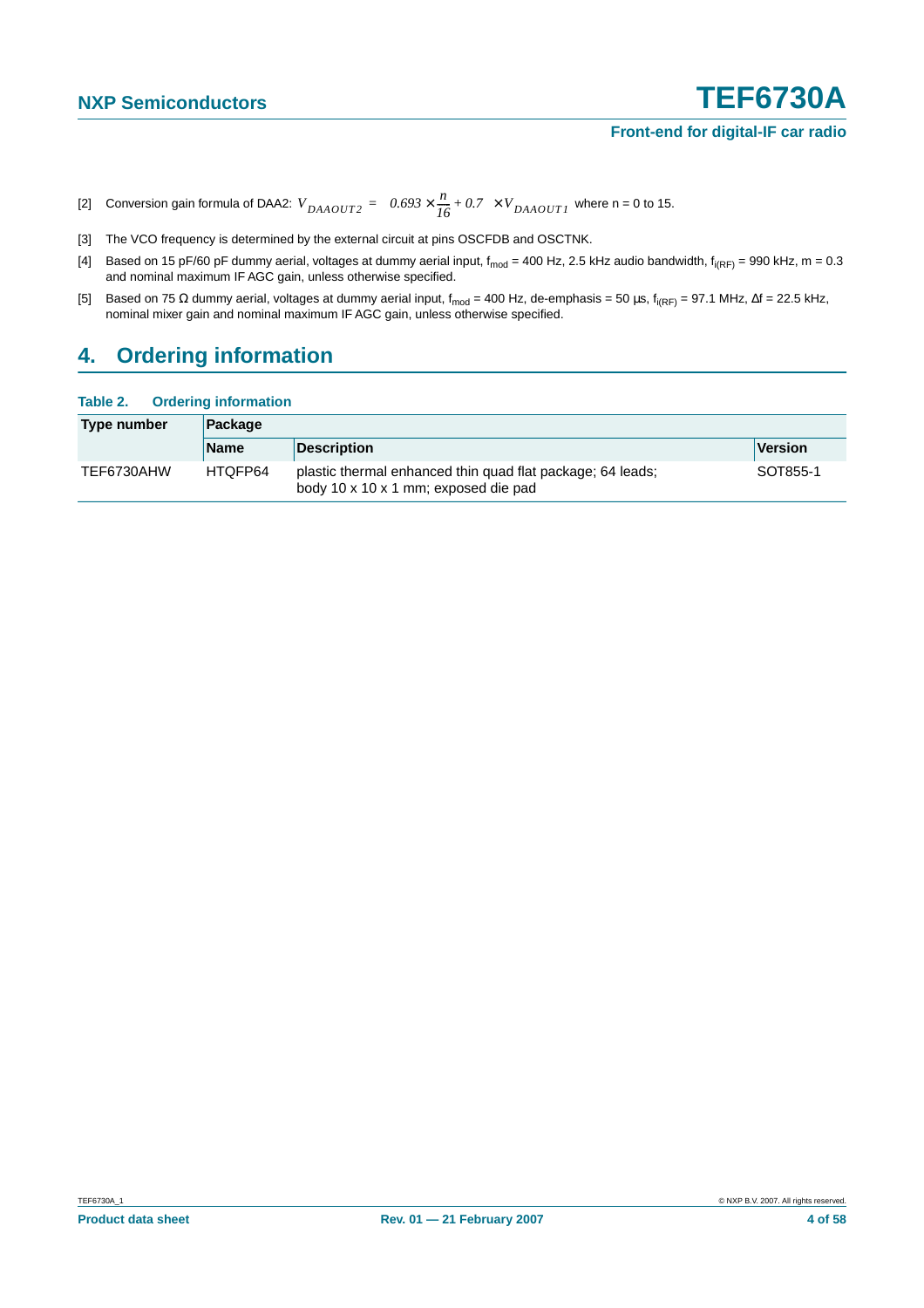- <span id="page-3-0"></span>[2] Conversion gain formula of DAA2:  $V_{DAAOUT2} = \left(0.693 \times \frac{n}{16} + 0.7\right) \times V_{DAAOUT1}$  where n = 0 to 15.
- <span id="page-3-1"></span>[3] The VCO frequency is determined by the external circuit at pins OSCFDB and OSCTNK.
- <span id="page-3-2"></span>[4] Based on 15 pF/60 pF dummy aerial, voltages at dummy aerial input,  $f_{mod}$  = 400 Hz, 2.5 kHz audio bandwidth,  $f_{i(RF)}$  = 990 kHz, m = 0.3 and nominal maximum IF AGC gain, unless otherwise specified.
- <span id="page-3-3"></span>[5] Based on 75 Ω dummy aerial, voltages at dummy aerial input, f<sub>mod</sub> = 400 Hz, de-emphasis = 50 μs, f<sub>i(RF)</sub> = 97.1 MHz, ∆f = 22.5 kHz, nominal mixer gain and nominal maximum IF AGC gain, unless otherwise specified.

### <span id="page-3-4"></span>**4. Ordering information**

#### **Table 2. Ordering information**

| Type number | Package     |                                                                                                    |          |  |  |  |
|-------------|-------------|----------------------------------------------------------------------------------------------------|----------|--|--|--|
|             | <b>Name</b> | <b>Description</b>                                                                                 | Version  |  |  |  |
| TEF6730AHW  | HTQFP64     | plastic thermal enhanced thin quad flat package; 64 leads;<br>body 10 x 10 x 1 mm; exposed die pad | SOT855-1 |  |  |  |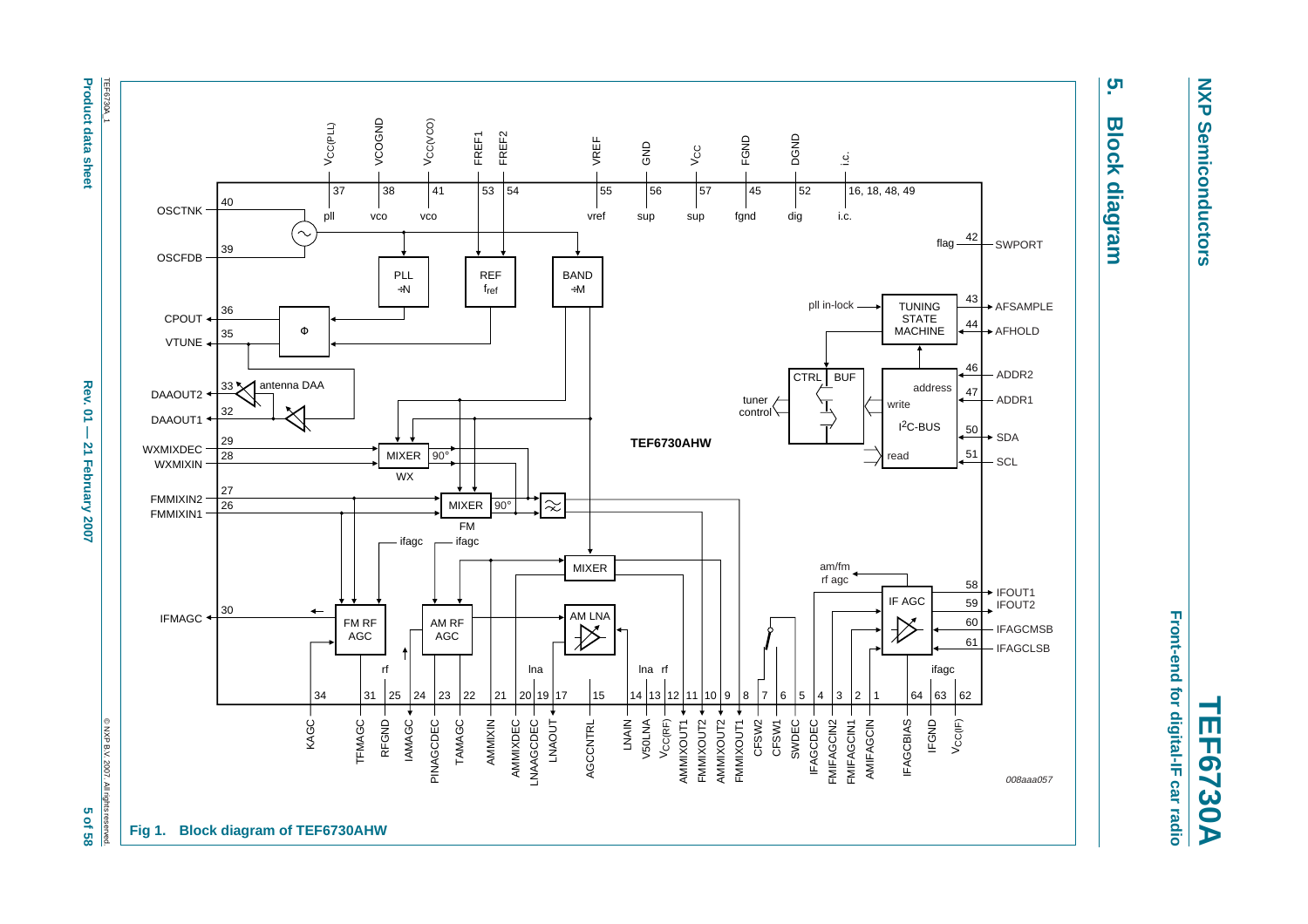TEF6730A **Product data sheet** TEF6730A\_1

<span id="page-4-0"></span>**Product data sheet Rev. 01 — 21 February 2007 5 of 58**  $\sim$  68 of 58 Rev.  $\overline{a}$  $\overline{1}$  $\overline{\mathbf{z}}$ February 2007

C NXP B.V. 2007. All rights © NXP B.V. 2007. All rights reserved. 5 of 58



**NXP NXP Semiconductors Semiconductors** 

**5. Block diagram**

**Block diagram** 

ຸທ

Front-end for digital-IF car radio **Front-end for digital-IF car radio**

**TEF6730A**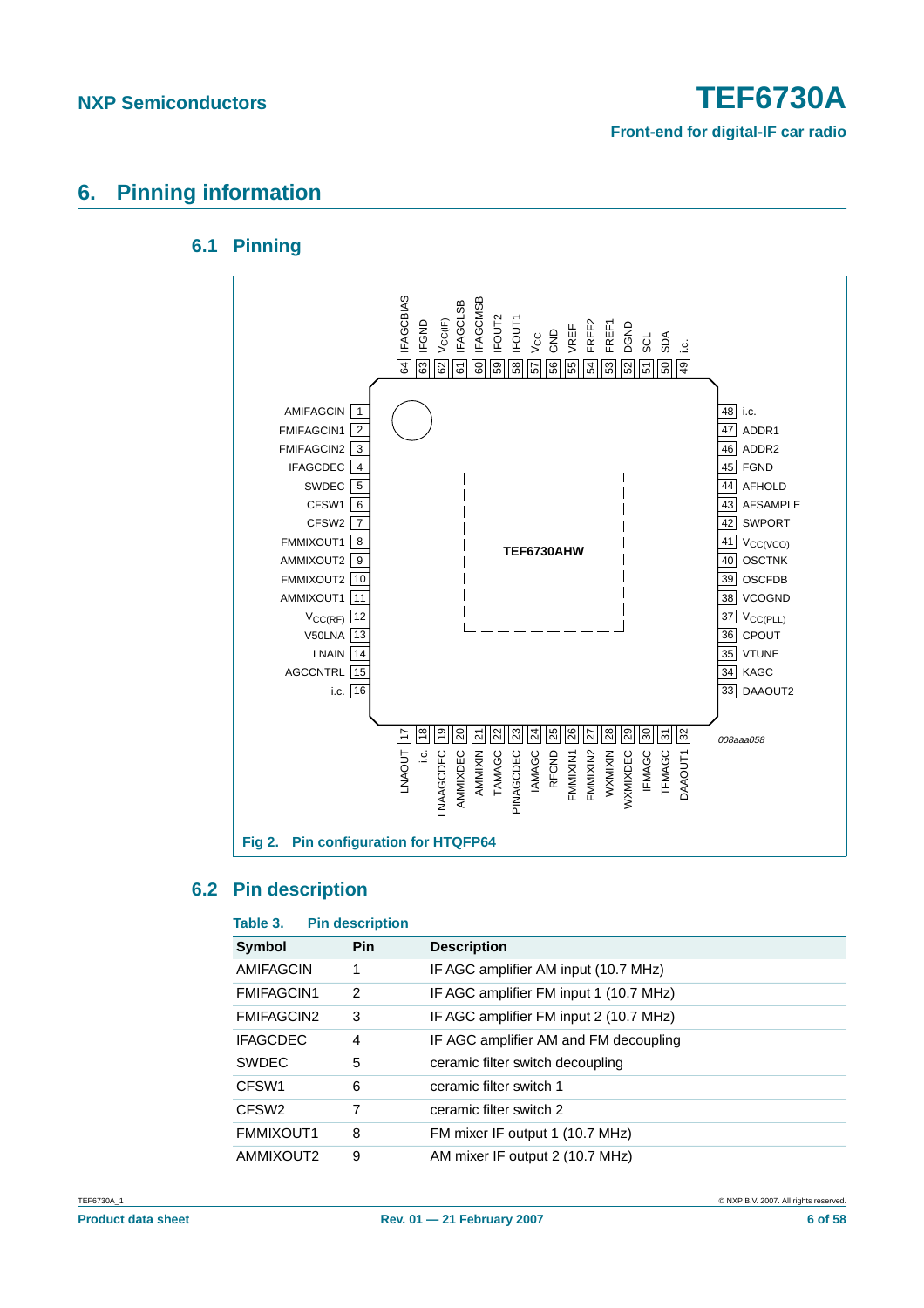### <span id="page-5-1"></span><span id="page-5-0"></span>**6. Pinning information**

### **6.1 Pinning**



### <span id="page-5-2"></span>**6.2 Pin description**

| Table 3.          | <b>Pin description</b> |                                        |
|-------------------|------------------------|----------------------------------------|
| Symbol            | <b>Pin</b>             | <b>Description</b>                     |
| AMIFAGCIN         | 1                      | IF AGC amplifier AM input (10.7 MHz)   |
| <b>FMIFAGCIN1</b> | 2                      | IF AGC amplifier FM input 1 (10.7 MHz) |
| <b>FMIFAGCIN2</b> | 3                      | IF AGC amplifier FM input 2 (10.7 MHz) |
| <b>IFAGCDEC</b>   | 4                      | IF AGC amplifier AM and FM decoupling  |
| <b>SWDEC</b>      | 5                      | ceramic filter switch decoupling       |
| CFSW <sub>1</sub> | 6                      | ceramic filter switch 1                |
| CFSW <sub>2</sub> | 7                      | ceramic filter switch 2                |
| FMMIXOUT1         | 8                      | FM mixer IF output 1 (10.7 MHz)        |
| AMMIXOUT2         | 9                      | AM mixer IF output 2 (10.7 MHz)        |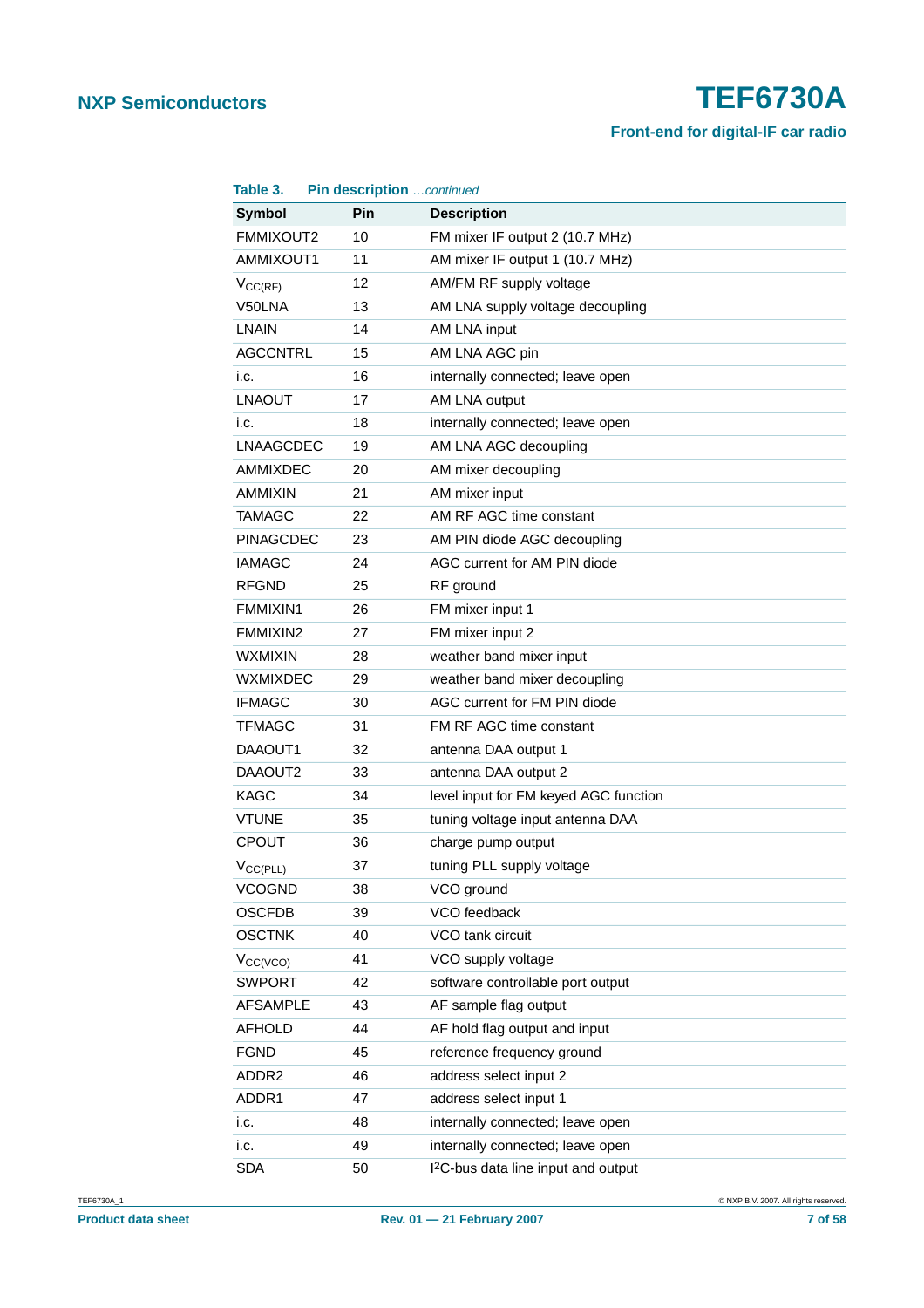| Table 3.         | Pin description continued |                                                 |
|------------------|---------------------------|-------------------------------------------------|
| <b>Symbol</b>    | Pin                       | <b>Description</b>                              |
| FMMIXOUT2        | 10                        | FM mixer IF output 2 (10.7 MHz)                 |
| AMMIXOUT1        | 11                        | AM mixer IF output 1 (10.7 MHz)                 |
| $V_{CC(RF)}$     | 12                        | AM/FM RF supply voltage                         |
| V50LNA           | 13                        | AM LNA supply voltage decoupling                |
| <b>LNAIN</b>     | 14                        | AM LNA input                                    |
| <b>AGCCNTRL</b>  | 15                        | AM LNA AGC pin                                  |
| i.c.             | 16                        | internally connected; leave open                |
| <b>LNAOUT</b>    | 17                        | AM LNA output                                   |
| i.c.             | 18                        | internally connected; leave open                |
| <b>LNAAGCDEC</b> | 19                        | AM LNA AGC decoupling                           |
| <b>AMMIXDEC</b>  | 20                        | AM mixer decoupling                             |
| <b>AMMIXIN</b>   | 21                        | AM mixer input                                  |
| <b>TAMAGC</b>    | 22                        | AM RF AGC time constant                         |
| <b>PINAGCDEC</b> | 23                        | AM PIN diode AGC decoupling                     |
| <b>IAMAGC</b>    | 24                        | AGC current for AM PIN diode                    |
| <b>RFGND</b>     | 25                        | RF ground                                       |
| FMMIXIN1         | 26                        | FM mixer input 1                                |
| FMMIXIN2         | 27                        | FM mixer input 2                                |
| <b>WXMIXIN</b>   | 28                        | weather band mixer input                        |
| <b>WXMIXDEC</b>  | 29                        | weather band mixer decoupling                   |
| <b>IFMAGC</b>    | 30                        | AGC current for FM PIN diode                    |
| <b>TFMAGC</b>    | 31                        | FM RF AGC time constant                         |
| DAAOUT1          | 32                        | antenna DAA output 1                            |
| DAAOUT2          | 33                        | antenna DAA output 2                            |
| <b>KAGC</b>      | 34                        | level input for FM keyed AGC function           |
| <b>VTUNE</b>     | 35                        | tuning voltage input antenna DAA                |
| <b>CPOUT</b>     | 36                        | charge pump output                              |
| $V_{CC(PLL)}$    | 37                        | tuning PLL supply voltage                       |
| <b>VCOGND</b>    | 38                        | VCO ground                                      |
| <b>OSCFDB</b>    | 39                        | VCO feedback                                    |
| <b>OSCTNK</b>    | 40                        | VCO tank circuit                                |
| $V_{CC(VCO)}$    | 41                        | VCO supply voltage                              |
| <b>SWPORT</b>    | 42                        | software controllable port output               |
| <b>AFSAMPLE</b>  | 43                        | AF sample flag output                           |
| <b>AFHOLD</b>    | 44                        | AF hold flag output and input                   |
| <b>FGND</b>      | 45                        | reference frequency ground                      |
| ADDR2            | 46                        | address select input 2                          |
| ADDR1            | 47                        | address select input 1                          |
| i.c.             | 48                        | internally connected; leave open                |
| i.c.             | 49                        | internally connected; leave open                |
| <b>SDA</b>       | 50                        | I <sup>2</sup> C-bus data line input and output |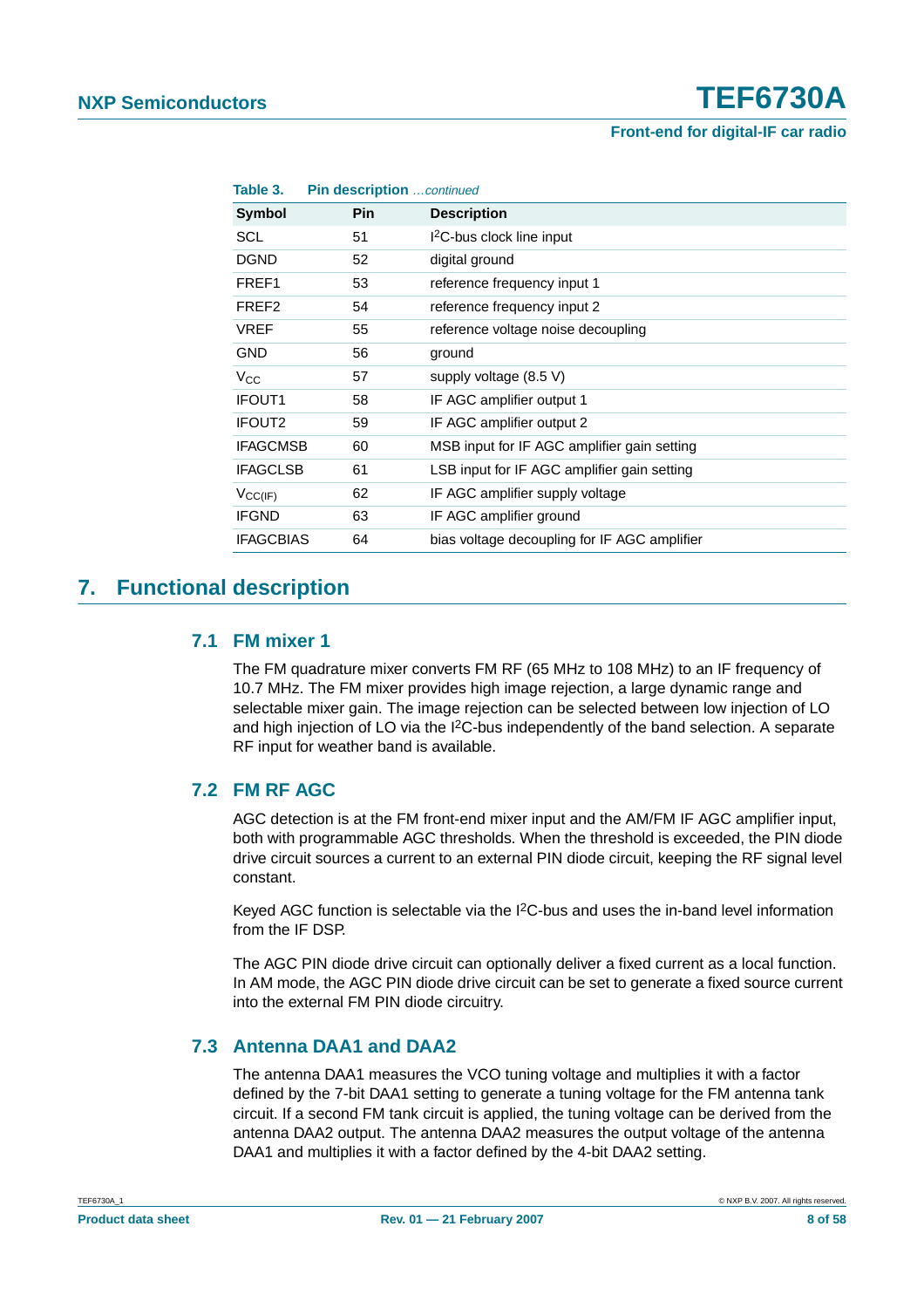| Table 3.           | Pin description  continued |                                              |
|--------------------|----------------------------|----------------------------------------------|
| Symbol             | <b>Pin</b>                 | <b>Description</b>                           |
| SCL                | 51                         | I <sup>2</sup> C-bus clock line input        |
| <b>DGND</b>        | 52                         | digital ground                               |
| FREF1              | 53                         | reference frequency input 1                  |
| FREF <sub>2</sub>  | 54                         | reference frequency input 2                  |
| <b>VREF</b>        | 55                         | reference voltage noise decoupling           |
| <b>GND</b>         | 56                         | ground                                       |
| $V_{\rm CC}$       | 57                         | supply voltage $(8.5 V)$                     |
| IFOUT <sub>1</sub> | 58                         | IF AGC amplifier output 1                    |
| <b>IFOUT2</b>      | 59                         | IF AGC amplifier output 2                    |
| <b>IFAGCMSB</b>    | 60                         | MSB input for IF AGC amplifier gain setting  |
| <b>IFAGCLSB</b>    | 61                         | LSB input for IF AGC amplifier gain setting  |
| $V_{CC(IF)}$       | 62                         | IF AGC amplifier supply voltage              |
| <b>IFGND</b>       | 63                         | IF AGC amplifier ground                      |
| <b>IFAGCBIAS</b>   | 64                         | bias voltage decoupling for IF AGC amplifier |

### <span id="page-7-1"></span><span id="page-7-0"></span>**7. Functional description**

### **7.1 FM mixer 1**

The FM quadrature mixer converts FM RF (65 MHz to 108 MHz) to an IF frequency of 10.7 MHz. The FM mixer provides high image rejection, a large dynamic range and selectable mixer gain. The image rejection can be selected between low injection of LO and high injection of LO via the  $1<sup>2</sup>C$ -bus independently of the band selection. A separate RF input for weather band is available.

### <span id="page-7-2"></span>**7.2 FM RF AGC**

AGC detection is at the FM front-end mixer input and the AM/FM IF AGC amplifier input, both with programmable AGC thresholds. When the threshold is exceeded, the PIN diode drive circuit sources a current to an external PIN diode circuit, keeping the RF signal level constant.

Keyed AGC function is selectable via the  $12C$ -bus and uses the in-band level information from the IF DSP.

The AGC PIN diode drive circuit can optionally deliver a fixed current as a local function. In AM mode, the AGC PIN diode drive circuit can be set to generate a fixed source current into the external FM PIN diode circuitry.

### <span id="page-7-3"></span>**7.3 Antenna DAA1 and DAA2**

The antenna DAA1 measures the VCO tuning voltage and multiplies it with a factor defined by the 7-bit DAA1 setting to generate a tuning voltage for the FM antenna tank circuit. If a second FM tank circuit is applied, the tuning voltage can be derived from the antenna DAA2 output. The antenna DAA2 measures the output voltage of the antenna DAA1 and multiplies it with a factor defined by the 4-bit DAA2 setting.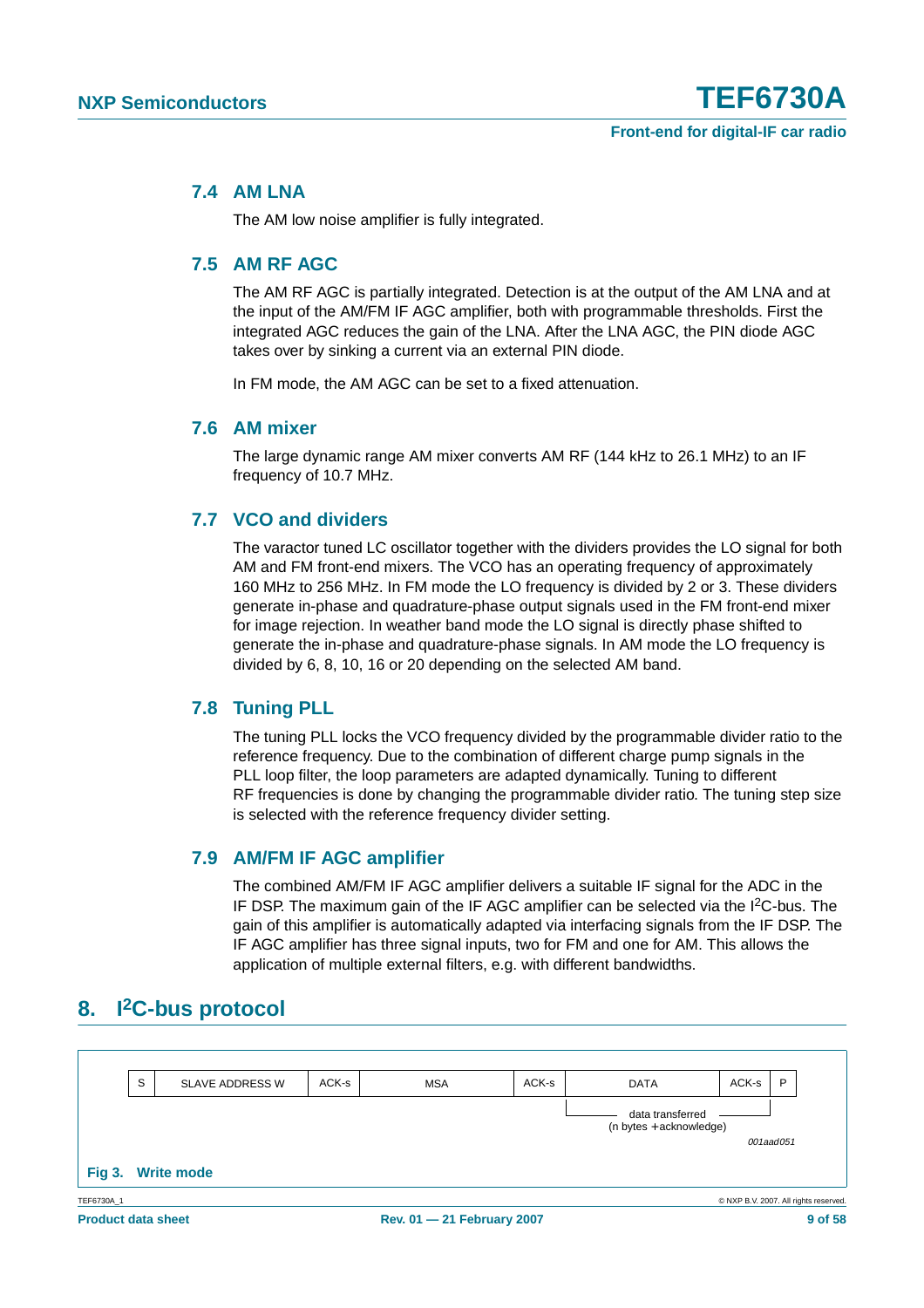### <span id="page-8-0"></span>**7.4 AM LNA**

The AM low noise amplifier is fully integrated.

### <span id="page-8-1"></span>**7.5 AM RF AGC**

The AM RF AGC is partially integrated. Detection is at the output of the AM LNA and at the input of the AM/FM IF AGC amplifier, both with programmable thresholds. First the integrated AGC reduces the gain of the LNA. After the LNA AGC, the PIN diode AGC takes over by sinking a current via an external PIN diode.

In FM mode, the AM AGC can be set to a fixed attenuation.

### <span id="page-8-2"></span>**7.6 AM mixer**

The large dynamic range AM mixer converts AM RF (144 kHz to 26.1 MHz) to an IF frequency of 10.7 MHz.

### <span id="page-8-3"></span>**7.7 VCO and dividers**

The varactor tuned LC oscillator together with the dividers provides the LO signal for both AM and FM front-end mixers. The VCO has an operating frequency of approximately 160 MHz to 256 MHz. In FM mode the LO frequency is divided by 2 or 3. These dividers generate in-phase and quadrature-phase output signals used in the FM front-end mixer for image rejection. In weather band mode the LO signal is directly phase shifted to generate the in-phase and quadrature-phase signals. In AM mode the LO frequency is divided by 6, 8, 10, 16 or 20 depending on the selected AM band.

### <span id="page-8-4"></span>**7.8 Tuning PLL**

The tuning PLL locks the VCO frequency divided by the programmable divider ratio to the reference frequency. Due to the combination of different charge pump signals in the PLL loop filter, the loop parameters are adapted dynamically. Tuning to different RF frequencies is done by changing the programmable divider ratio. The tuning step size is selected with the reference frequency divider setting.

### <span id="page-8-5"></span>**7.9 AM/FM IF AGC amplifier**

The combined AM/FM IF AGC amplifier delivers a suitable IF signal for the ADC in the IF DSP. The maximum gain of the IF AGC amplifier can be selected via the I2C-bus. The gain of this amplifier is automatically adapted via interfacing signals from the IF DSP. The IF AGC amplifier has three signal inputs, two for FM and one for AM. This allows the application of multiple external filters, e.g. with different bandwidths.

### <span id="page-8-6"></span>**8. I2C-bus protocol**

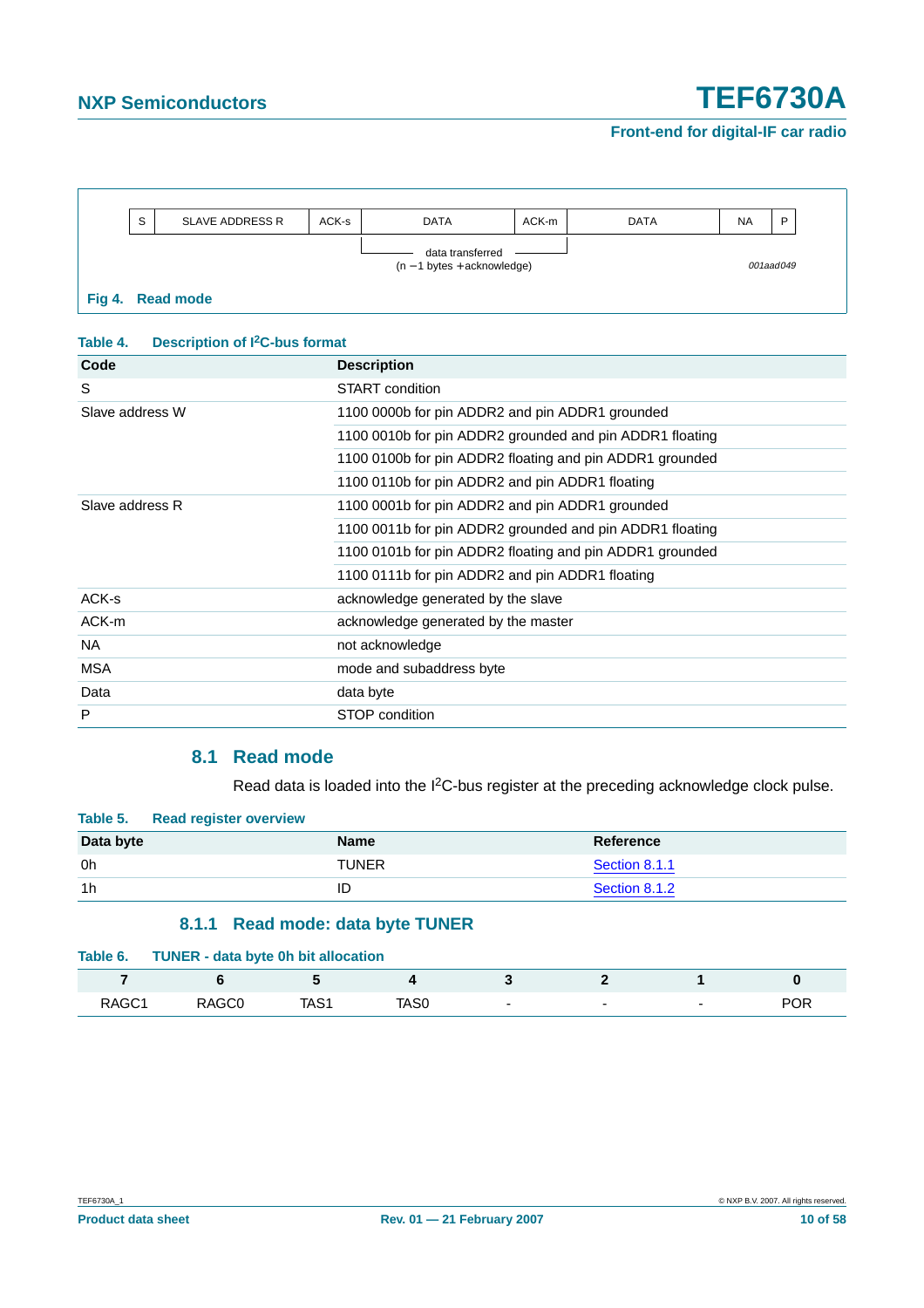|                                                    | S | <b>SLAVE ADDRESS R</b> | ACK-s | <b>DATA</b> | ACK-m | <b>DATA</b> | <b>NA</b> | D |
|----------------------------------------------------|---|------------------------|-------|-------------|-------|-------------|-----------|---|
| data transferred<br>$(n - 1)$ bytes + acknowledge) |   |                        |       |             |       |             | 001aad049 |   |
|                                                    |   | Fig 4. Read mode       |       |             |       |             |           |   |

### **Table 4. Description of I2C-bus format**

| Code            | <b>Description</b>                                       |
|-----------------|----------------------------------------------------------|
| S               | <b>START</b> condition                                   |
| Slave address W | 1100 0000b for pin ADDR2 and pin ADDR1 grounded          |
|                 | 1100 0010b for pin ADDR2 grounded and pin ADDR1 floating |
|                 | 1100 0100b for pin ADDR2 floating and pin ADDR1 grounded |
|                 | 1100 0110b for pin ADDR2 and pin ADDR1 floating          |
| Slave address R | 1100 0001b for pin ADDR2 and pin ADDR1 grounded          |
|                 | 1100 0011b for pin ADDR2 grounded and pin ADDR1 floating |
|                 | 1100 0101b for pin ADDR2 floating and pin ADDR1 grounded |
|                 | 1100 0111b for pin ADDR2 and pin ADDR1 floating          |
| ACK-s           | acknowledge generated by the slave                       |
| ACK-m           | acknowledge generated by the master                      |
| <b>NA</b>       | not acknowledge                                          |
| <b>MSA</b>      | mode and subaddress byte                                 |
| Data            | data byte                                                |
| P               | STOP condition                                           |
|                 |                                                          |

### **8.1 Read mode**

Read data is loaded into the I<sup>2</sup>C-bus register at the preceding acknowledge clock pulse.

<span id="page-9-1"></span>

| Table 5. Read register overview |              |               |
|---------------------------------|--------------|---------------|
| Data byte                       | <b>Name</b>  | Reference     |
| 0h                              | <b>TUNER</b> | Section 8.1.1 |
| 1 <sub>h</sub>                  |              | Section 8.1.2 |

### **8.1.1 Read mode: data byte TUNER**

<span id="page-9-0"></span>

| Table 6.          | <b>TUNER - data byte 0h bit allocation</b> |      |      |                          |   |                          |            |
|-------------------|--------------------------------------------|------|------|--------------------------|---|--------------------------|------------|
|                   |                                            |      |      |                          |   |                          |            |
| RAGC <sub>1</sub> | RAGC <sub>0</sub>                          | TAS1 | TAS0 | $\overline{\phantom{0}}$ | - | $\overline{\phantom{0}}$ | <b>POR</b> |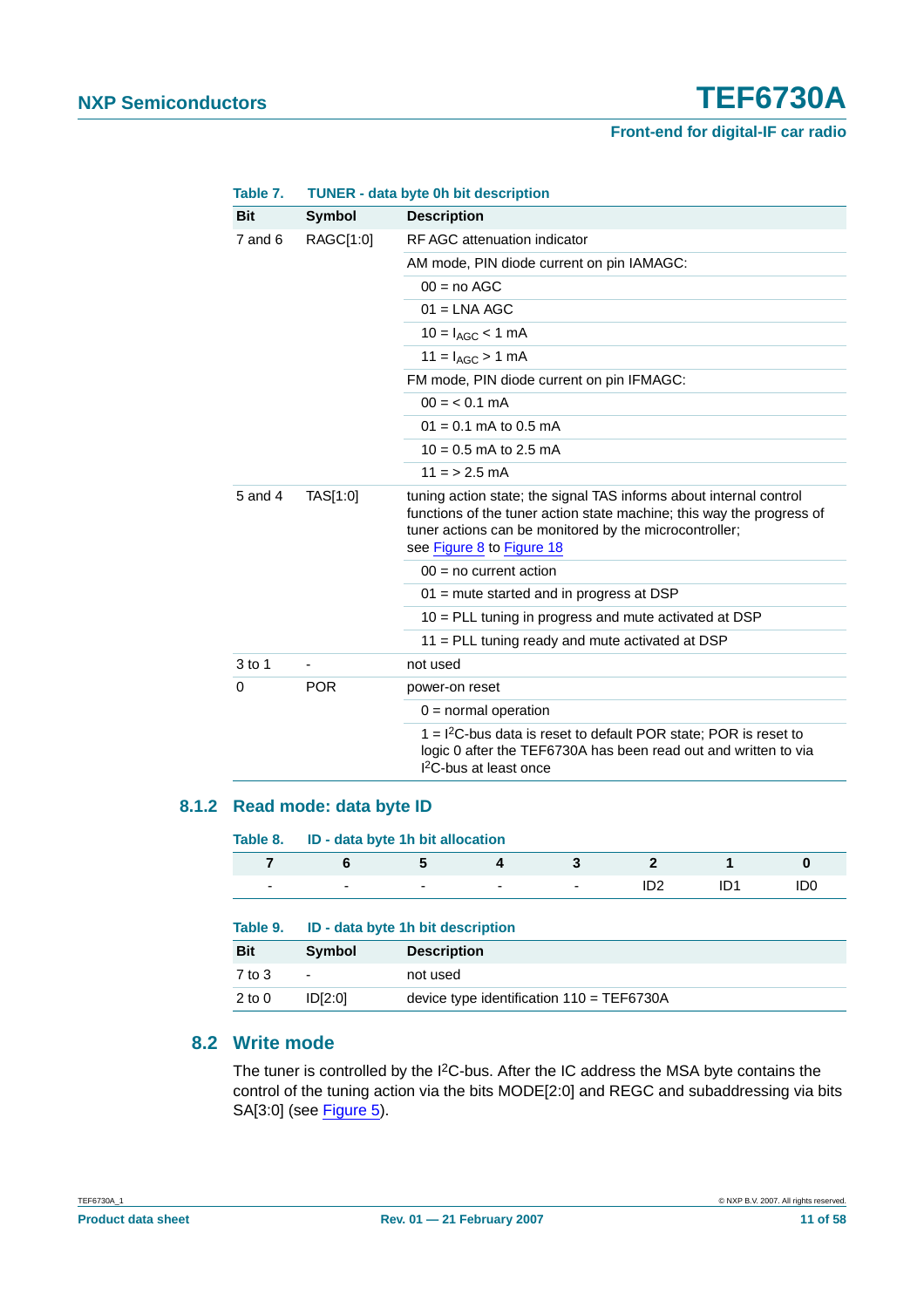| IANIG I.            |                          | <b>TUNER - Gala Dyte VIT DIL GESCHIJLION</b>                                                                                                                                                                                       |  |  |  |  |
|---------------------|--------------------------|------------------------------------------------------------------------------------------------------------------------------------------------------------------------------------------------------------------------------------|--|--|--|--|
| <b>Bit</b>          | <b>Symbol</b>            | <b>Description</b>                                                                                                                                                                                                                 |  |  |  |  |
| $7$ and $6$         | RAGC[1:0]                | RF AGC attenuation indicator                                                                                                                                                                                                       |  |  |  |  |
|                     |                          | AM mode, PIN diode current on pin IAMAGC:                                                                                                                                                                                          |  |  |  |  |
|                     |                          | $00 = no AGC$                                                                                                                                                                                                                      |  |  |  |  |
|                     |                          | $01 = LNA AGC$                                                                                                                                                                                                                     |  |  |  |  |
|                     |                          | $10 = I_{AGC} < 1$ mA                                                                                                                                                                                                              |  |  |  |  |
|                     |                          | $11 = I_{AGC} > 1$ mA                                                                                                                                                                                                              |  |  |  |  |
|                     |                          | FM mode, PIN diode current on pin IFMAGC:                                                                                                                                                                                          |  |  |  |  |
|                     |                          | $00 = 0.1$ mA                                                                                                                                                                                                                      |  |  |  |  |
|                     |                          | $01 = 0.1$ mA to 0.5 mA                                                                                                                                                                                                            |  |  |  |  |
|                     |                          | $10 = 0.5$ mA to 2.5 mA                                                                                                                                                                                                            |  |  |  |  |
|                     |                          | $11 = 2.5$ mA                                                                                                                                                                                                                      |  |  |  |  |
| 5 and 4<br>TAS[1:0] |                          | tuning action state; the signal TAS informs about internal control<br>functions of the tuner action state machine; this way the progress of<br>tuner actions can be monitored by the microcontroller;<br>see Figure 8 to Figure 18 |  |  |  |  |
|                     |                          | $00 = no current action$                                                                                                                                                                                                           |  |  |  |  |
|                     |                          | $01$ = mute started and in progress at DSP                                                                                                                                                                                         |  |  |  |  |
|                     |                          | $10$ = PLL tuning in progress and mute activated at DSP                                                                                                                                                                            |  |  |  |  |
|                     |                          | 11 = PLL tuning ready and mute activated at DSP                                                                                                                                                                                    |  |  |  |  |
| $3$ to 1            | $\overline{\phantom{a}}$ | not used                                                                                                                                                                                                                           |  |  |  |  |
| 0                   | <b>POR</b>               | power-on reset                                                                                                                                                                                                                     |  |  |  |  |
|                     |                          | $0 =$ normal operation                                                                                                                                                                                                             |  |  |  |  |
|                     |                          | 1 = I <sup>2</sup> C-bus data is reset to default POR state; POR is reset to<br>logic 0 after the TEF6730A has been read out and written to via<br><sup>2</sup> C-bus at least once                                                |  |  |  |  |

### **Table 7. TUNER - data byte 0h bit description**

### <span id="page-10-0"></span>**8.1.2 Read mode: data byte ID**

| Table 8.                 | ID - data byte 1h bit allocation  |                    |   |   |                 |                 |                 |
|--------------------------|-----------------------------------|--------------------|---|---|-----------------|-----------------|-----------------|
| 7                        | 6                                 | 5                  | 4 | 3 | $\mathbf{2}$    |                 | 0               |
| $\overline{\phantom{0}}$ | -                                 | ٠                  | ٠ | ۰ | ID <sub>2</sub> | ID <sub>1</sub> | ID <sub>0</sub> |
|                          |                                   |                    |   |   |                 |                 |                 |
| Table 9.                 | ID - data byte 1h bit description |                    |   |   |                 |                 |                 |
| <b>Bit</b>               | Symbol                            | <b>Description</b> |   |   |                 |                 |                 |
| 7 to 3                   | $\blacksquare$                    | not used           |   |   |                 |                 |                 |

### <span id="page-10-1"></span>**8.2 Write mode**

The tuner is controlled by the I<sup>2</sup>C-bus. After the IC address the MSA byte contains the control of the tuning action via the bits MODE[2:0] and REGC and subaddressing via bits SA[3:0] (see [Figure](#page-12-0) 5).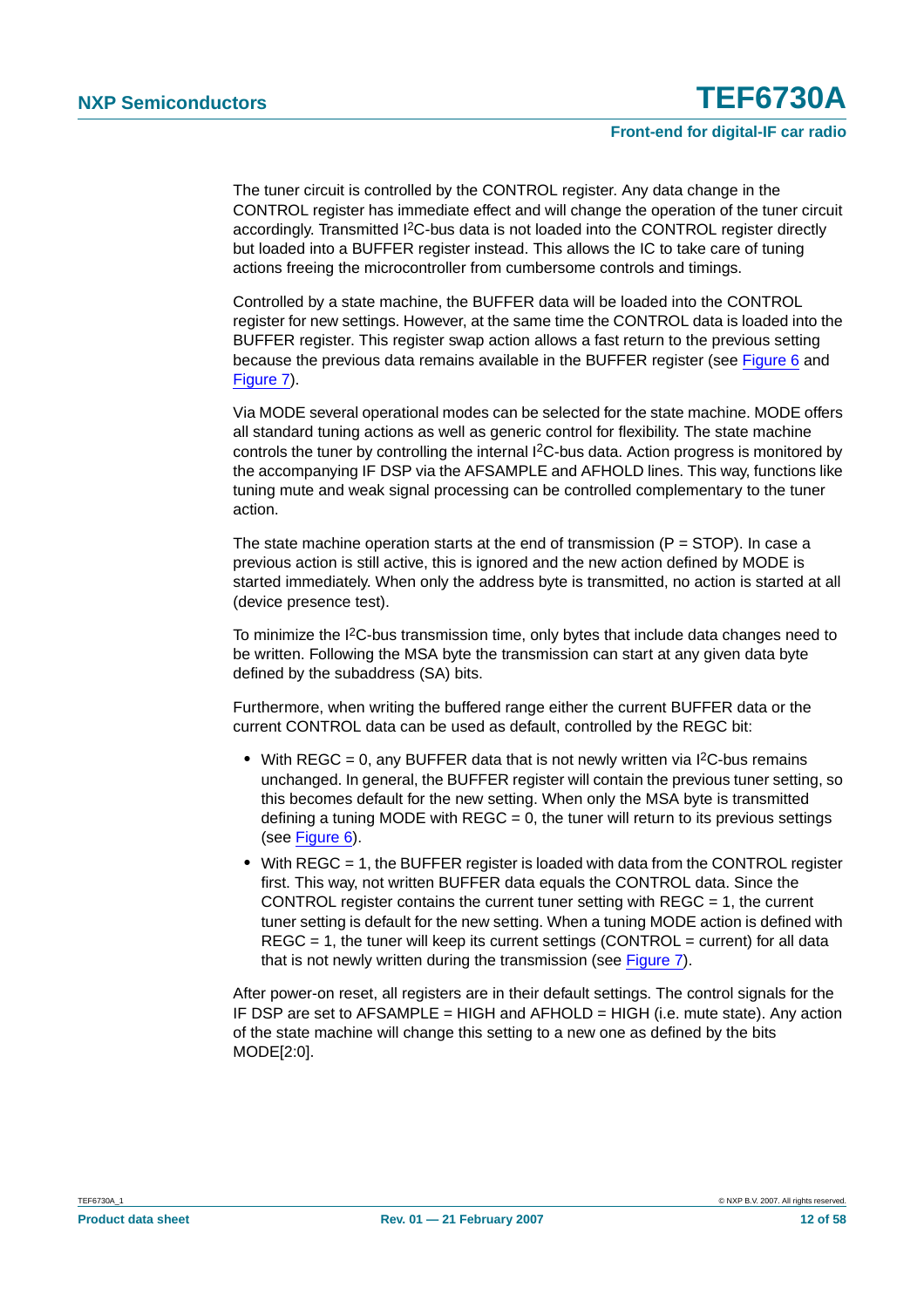The tuner circuit is controlled by the CONTROL register. Any data change in the CONTROL register has immediate effect and will change the operation of the tuner circuit accordingly. Transmitted I<sup>2</sup>C-bus data is not loaded into the CONTROL register directly but loaded into a BUFFER register instead. This allows the IC to take care of tuning actions freeing the microcontroller from cumbersome controls and timings.

Controlled by a state machine, the BUFFER data will be loaded into the CONTROL register for new settings. However, at the same time the CONTROL data is loaded into the BUFFER register. This register swap action allows a fast return to the previous setting because the previous data remains available in the BUFFER register (see [Figure](#page-13-0) 6 and [Figure](#page-14-0) 7).

Via MODE several operational modes can be selected for the state machine. MODE offers all standard tuning actions as well as generic control for flexibility. The state machine controls the tuner by controlling the internal I2C-bus data. Action progress is monitored by the accompanying IF DSP via the AFSAMPLE and AFHOLD lines. This way, functions like tuning mute and weak signal processing can be controlled complementary to the tuner action.

The state machine operation starts at the end of transmission  $(P = STOP)$ . In case a previous action is still active, this is ignored and the new action defined by MODE is started immediately. When only the address byte is transmitted, no action is started at all (device presence test).

To minimize the I<sup>2</sup>C-bus transmission time, only bytes that include data changes need to be written. Following the MSA byte the transmission can start at any given data byte defined by the subaddress (SA) bits.

Furthermore, when writing the buffered range either the current BUFFER data or the current CONTROL data can be used as default, controlled by the REGC bit:

- With REGC = 0, any BUFFER data that is not newly written via I<sup>2</sup>C-bus remains unchanged. In general, the BUFFER register will contain the previous tuner setting, so this becomes default for the new setting. When only the MSA byte is transmitted defining a tuning MODE with  $REGC = 0$ , the tuner will return to its previous settings (see [Figure](#page-13-0) 6).
- With REGC = 1, the BUFFER register is loaded with data from the CONTROL register first. This way, not written BUFFER data equals the CONTROL data. Since the CONTROL register contains the current tuner setting with  $REGC = 1$ , the current tuner setting is default for the new setting. When a tuning MODE action is defined with  $REGC = 1$ , the tuner will keep its current settings (CONTROL = current) for all data that is not newly written during the transmission (see [Figure](#page-14-0) 7).

After power-on reset, all registers are in their default settings. The control signals for the IF DSP are set to AFSAMPLE = HIGH and AFHOLD = HIGH (i.e. mute state). Any action of the state machine will change this setting to a new one as defined by the bits MODE[2:0].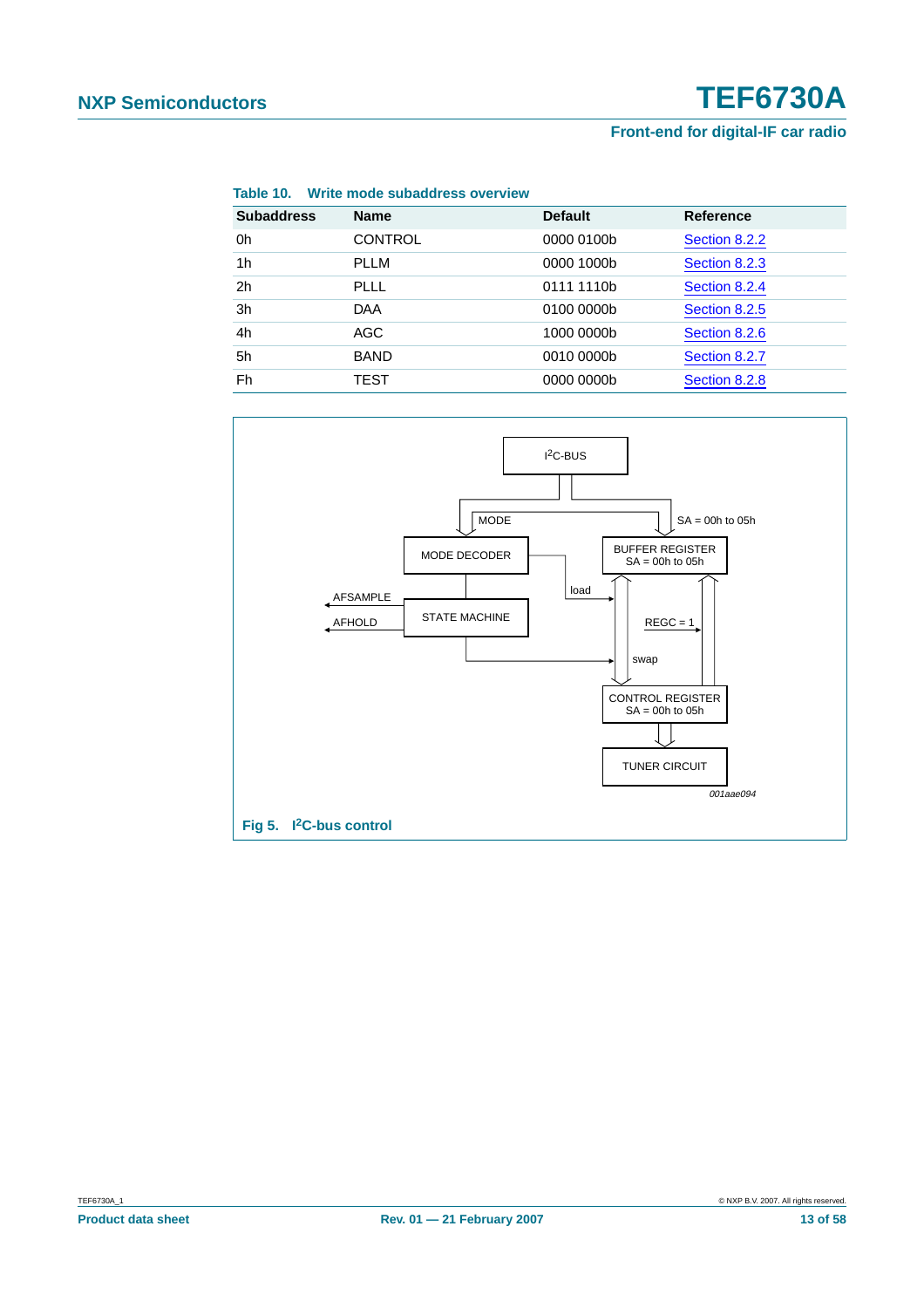| <b>Subaddress</b> | <b>Name</b>    | <b>Default</b> | <b>Reference</b> |
|-------------------|----------------|----------------|------------------|
| 0h                | <b>CONTROL</b> | 0000 0100b     | Section 8.2.2    |
| 1 <sub>h</sub>    | <b>PLLM</b>    | 0000 1000b     | Section 8.2.3    |
| 2 <sub>h</sub>    | <b>PLLL</b>    | 0111 1110b     | Section 8.2.4    |
| 3h                | <b>DAA</b>     | 0100 0000b     | Section 8.2.5    |
| 4h                | AGC            | 1000 0000b     | Section 8.2.6    |
| 5h                | <b>BAND</b>    | 0010 0000b     | Section 8.2.7    |
| Fh                | TEST           | 0000 0000b     | Section 8.2.8    |



<span id="page-12-0"></span>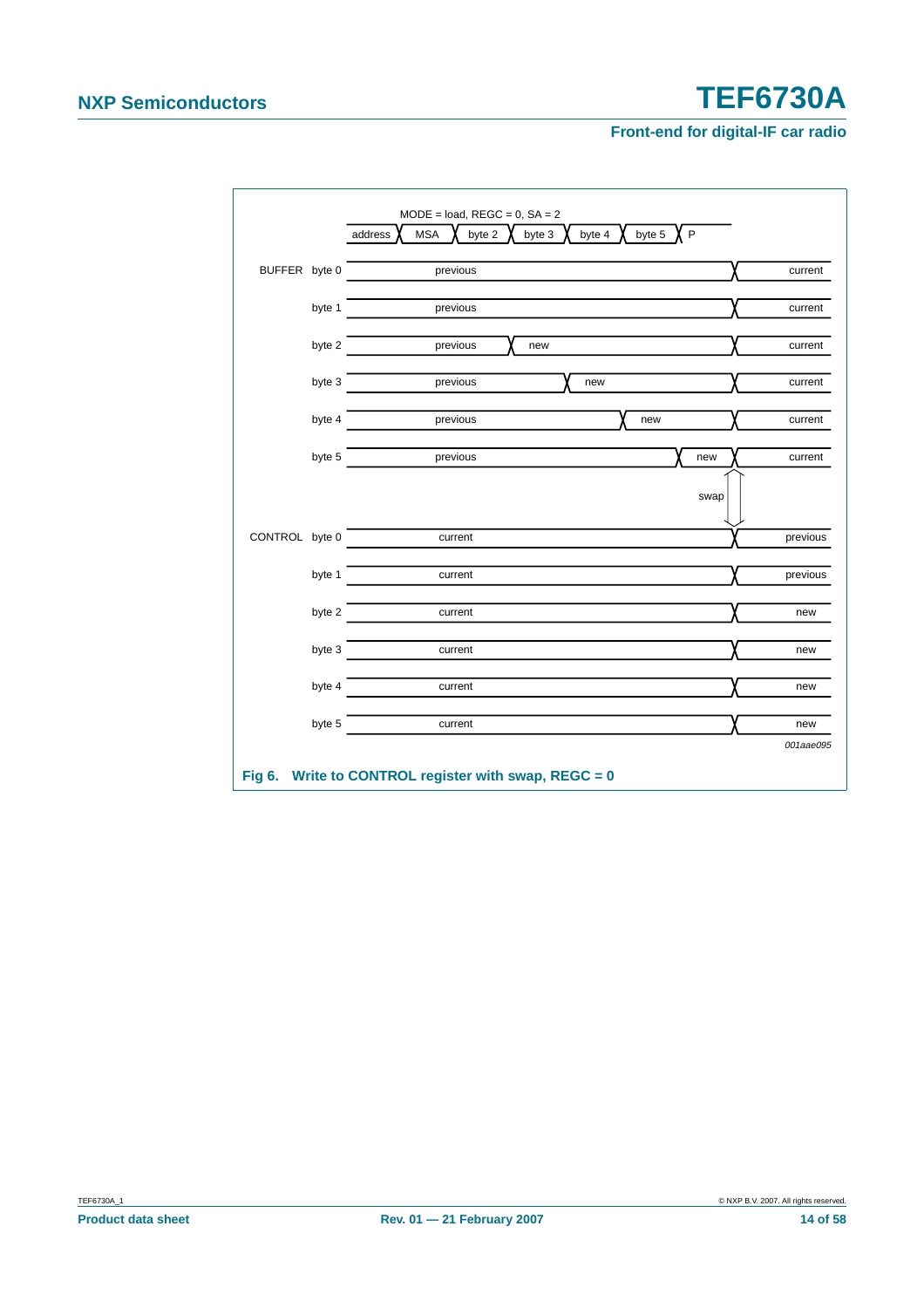<span id="page-13-0"></span>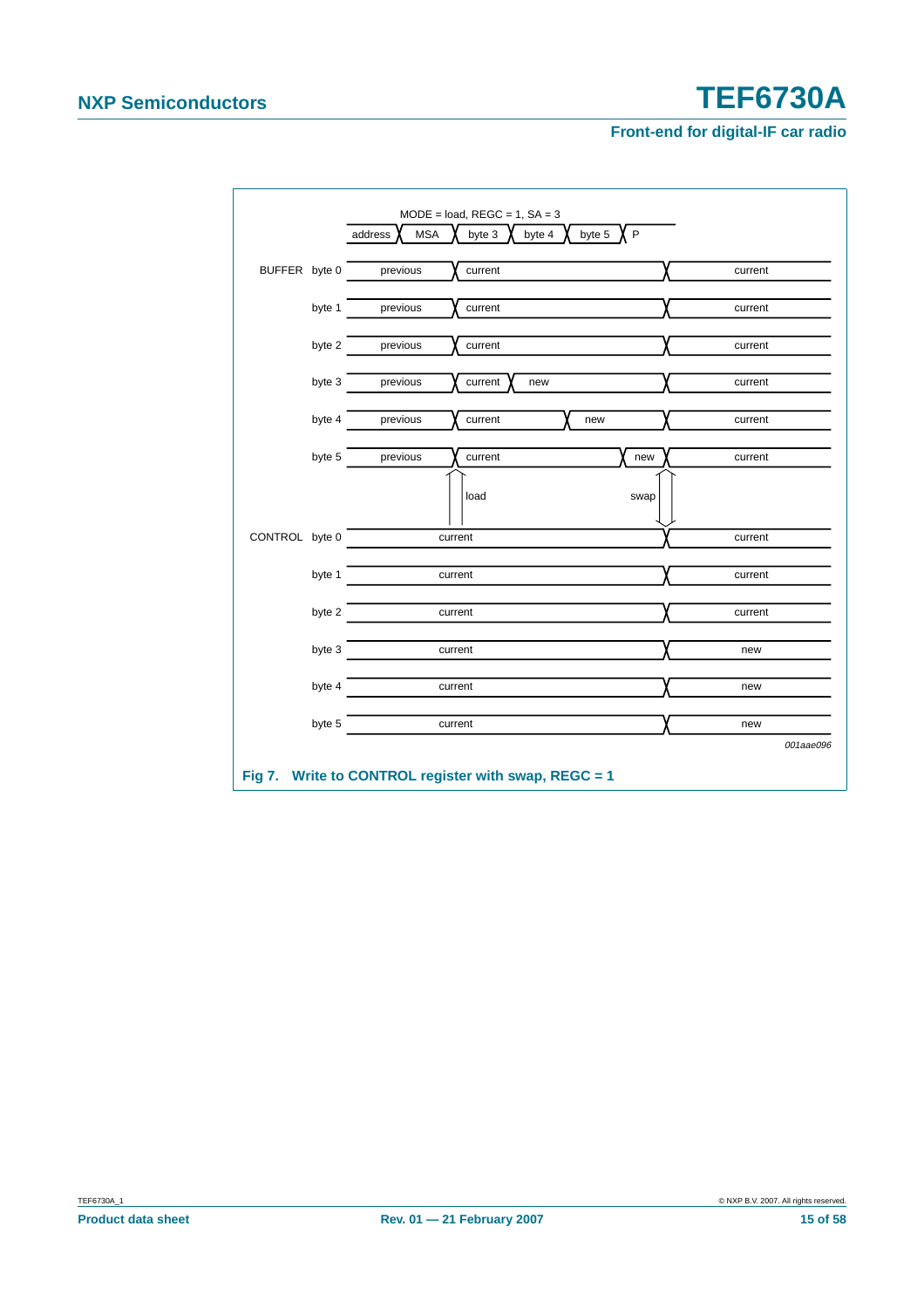<span id="page-14-0"></span>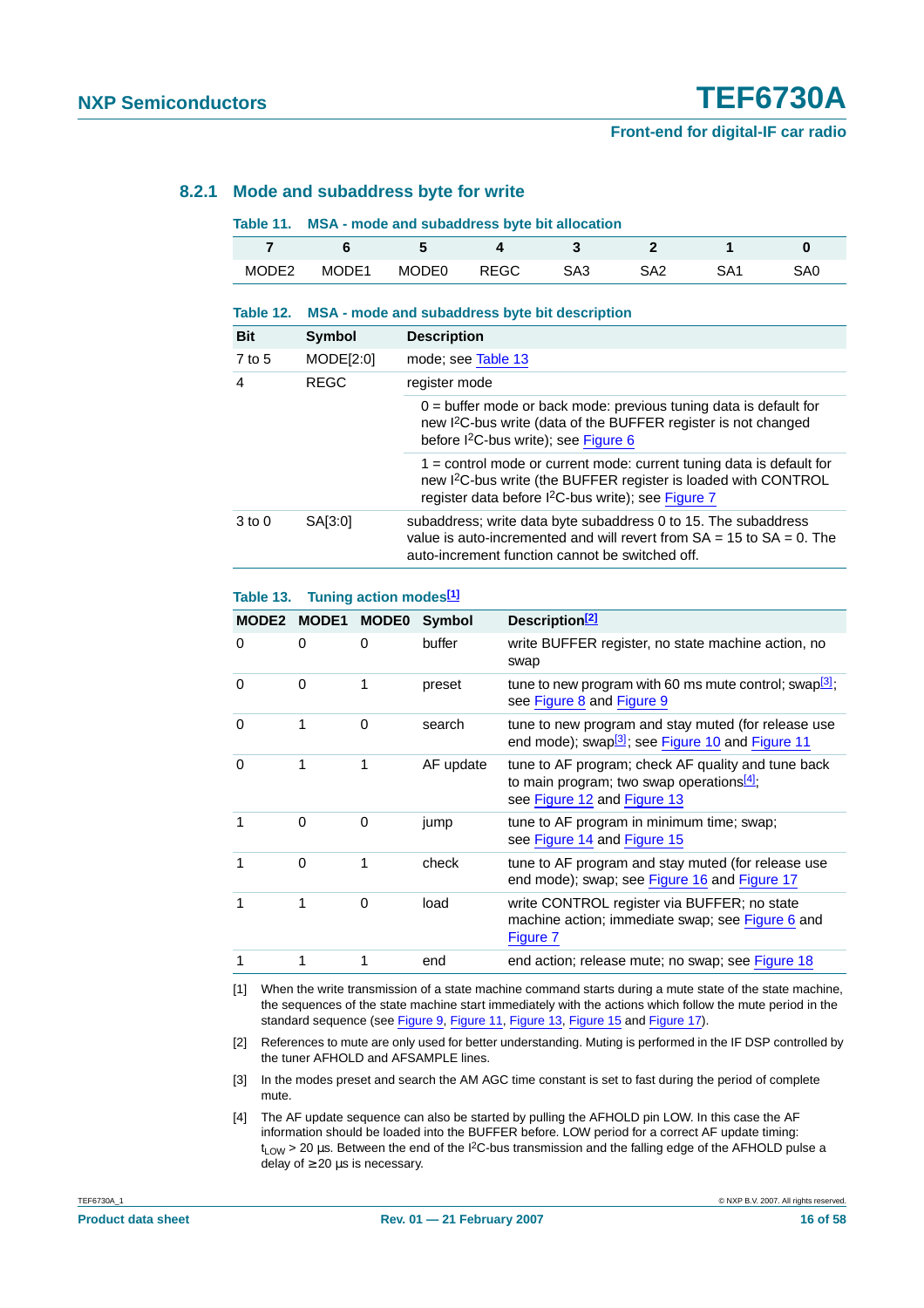### <span id="page-15-5"></span>**8.2.1 Mode and subaddress byte for write**

|  | Table 11. MSA - mode and subaddress byte bit allocation |  |  |
|--|---------------------------------------------------------|--|--|
|--|---------------------------------------------------------|--|--|

|                   |       | $\ddot{\phantom{1}}$ |             |     |     |     |
|-------------------|-------|----------------------|-------------|-----|-----|-----|
| MODE <sub>2</sub> | MODE1 | MODE0                | <b>REGC</b> | SA3 | SA2 | SAC |

#### **Table 12. MSA - mode and subaddress byte bit description**

| <b>Bit</b>     | Symbol                                                                                                                                                                                                     | <b>Description</b>                                                                                                                                                                                                     |  |
|----------------|------------------------------------------------------------------------------------------------------------------------------------------------------------------------------------------------------------|------------------------------------------------------------------------------------------------------------------------------------------------------------------------------------------------------------------------|--|
| 7 to 5         | MODE[2:0]                                                                                                                                                                                                  | mode; see Table 13                                                                                                                                                                                                     |  |
| $\overline{4}$ | <b>REGC</b>                                                                                                                                                                                                | register mode                                                                                                                                                                                                          |  |
|                |                                                                                                                                                                                                            | $0 =$ buffer mode or back mode: previous tuning data is default for<br>new I <sup>2</sup> C-bus write (data of the BUFFER register is not changed<br>before I <sup>2</sup> C-bus write); see Figure 6                  |  |
|                |                                                                                                                                                                                                            | $1 =$ control mode or current mode: current tuning data is default for<br>new I <sup>2</sup> C-bus write (the BUFFER register is loaded with CONTROL<br>register data before I <sup>2</sup> C-bus write); see Figure 7 |  |
| $3$ to $0$     | subaddress; write data byte subaddress 0 to 15. The subaddress<br>SA[3:0]<br>value is auto-incremented and will revert from $SA = 15$ to $SA = 0$ . The<br>auto-increment function cannot be switched off. |                                                                                                                                                                                                                        |  |

#### <span id="page-15-0"></span>**Table 13. Tuning action modes[\[1\]](#page-15-1)**

|          | MODE2 MODE1 | <b>MODE0</b> | <b>Symbol</b> | Description <sup>[2]</sup>                                                                                                        |
|----------|-------------|--------------|---------------|-----------------------------------------------------------------------------------------------------------------------------------|
| 0        | $\Omega$    | $\Omega$     | buffer        | write BUFFER register, no state machine action, no<br>swap                                                                        |
| 0        | $\Omega$    | 1            | preset        | tune to new program with 60 ms mute control; swap $\frac{3}{2}$ ,<br>see Figure 8 and Figure 9                                    |
| $\Omega$ | 1           | $\Omega$     | search        | tune to new program and stay muted (for release use<br>end mode); swap <sup>[3]</sup> ; see Figure 10 and Figure 11               |
| $\Omega$ | 1           | 1            | AF update     | tune to AF program; check AF quality and tune back<br>to main program; two swap operations $[4]$ ;<br>see Figure 12 and Figure 13 |
|          | $\Omega$    | 0            | jump          | tune to AF program in minimum time; swap;<br>see Figure 14 and Figure 15                                                          |
| 1        | $\Omega$    | 1            | check         | tune to AF program and stay muted (for release use<br>end mode); swap; see Figure 16 and Figure 17                                |
| 1        | $\mathbf 1$ | 0            | load          | write CONTROL register via BUFFER; no state<br>machine action; immediate swap; see Figure 6 and<br>Figure 7                       |
|          | 1           | 1            | end           | end action; release mute; no swap; see Figure 18                                                                                  |
|          |             |              |               |                                                                                                                                   |

<span id="page-15-1"></span>[1] When the write transmission of a state machine command starts during a mute state of the state machine, the sequences of the state machine start immediately with the actions which follow the mute period in the standard sequence (see [Figure](#page-16-1) 9, [Figure](#page-17-1) 11, [Figure](#page-18-1) 13, [Figure](#page-19-1) 15 and [Figure](#page-20-1) 17).

<span id="page-15-2"></span>[2] References to mute are only used for better understanding. Muting is performed in the IF DSP controlled by the tuner AFHOLD and AFSAMPLE lines.

<span id="page-15-3"></span>[3] In the modes preset and search the AM AGC time constant is set to fast during the period of complete mute.

<span id="page-15-4"></span>[4] The AF update sequence can also be started by pulling the AFHOLD pin LOW. In this case the AF information should be loaded into the BUFFER before. LOW period for a correct AF update timing:  $t_{LOW}$  > 20 µs. Between the end of the I<sup>2</sup>C-bus transmission and the falling edge of the AFHOLD pulse a delay of  $\geq 20$   $\mu$ s is necessary.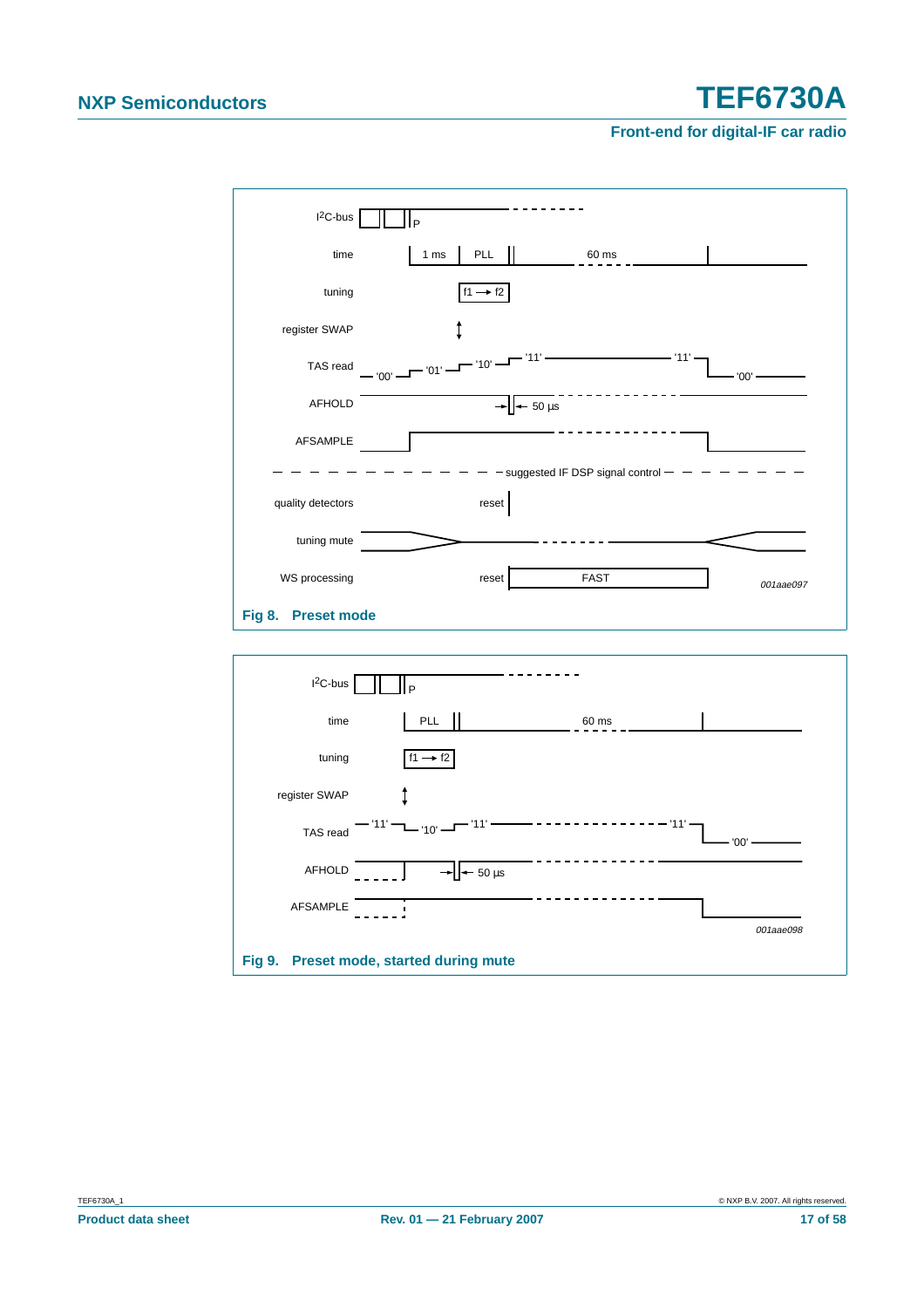<span id="page-16-1"></span><span id="page-16-0"></span>

| $I^2C$ -bus        | P                                   |                                     |           |
|--------------------|-------------------------------------|-------------------------------------|-----------|
| time               | <b>PLL</b><br>1 <sub>ms</sub>       | 60 ms                               |           |
| tuning             | $f1 \rightarrow f2$                 |                                     |           |
| register SWAP      |                                     |                                     |           |
| TAS read           | $-101$ $-10$ $-1$<br>$T_{\sim 00'}$ | - '11'                              | - '00' -  |
| <b>AFHOLD</b>      | $-50 \,\mu s$                       |                                     |           |
| AFSAMPLE           |                                     |                                     |           |
|                    |                                     | suggested IF DSP signal control - - |           |
| quality detectors  | reset                               |                                     |           |
| tuning mute        |                                     |                                     |           |
| WS processing      | reset                               | <b>FAST</b>                         | 001aae097 |
| Fig 8. Preset mode |                                     |                                     |           |
|                    |                                     |                                     |           |
| $I2C-bus$          | l P                                 |                                     |           |
| time               | PLL                                 | 60 ms                               |           |
| tuning             | $f1 \rightarrow f2$                 |                                     |           |
| register SWAP      |                                     |                                     |           |
| TAS read           | $'11'$ —<br>$-110' -$               | - '11' -                            | $'00'$ -  |
| <b>AFHOLD</b>      | $-50 \mu s$                         |                                     |           |
| AFSAMPLE           | I.                                  |                                     |           |
|                    |                                     |                                     | 001aae098 |
| <b>Fig 9.</b>      | Preset mode, started during mute    |                                     |           |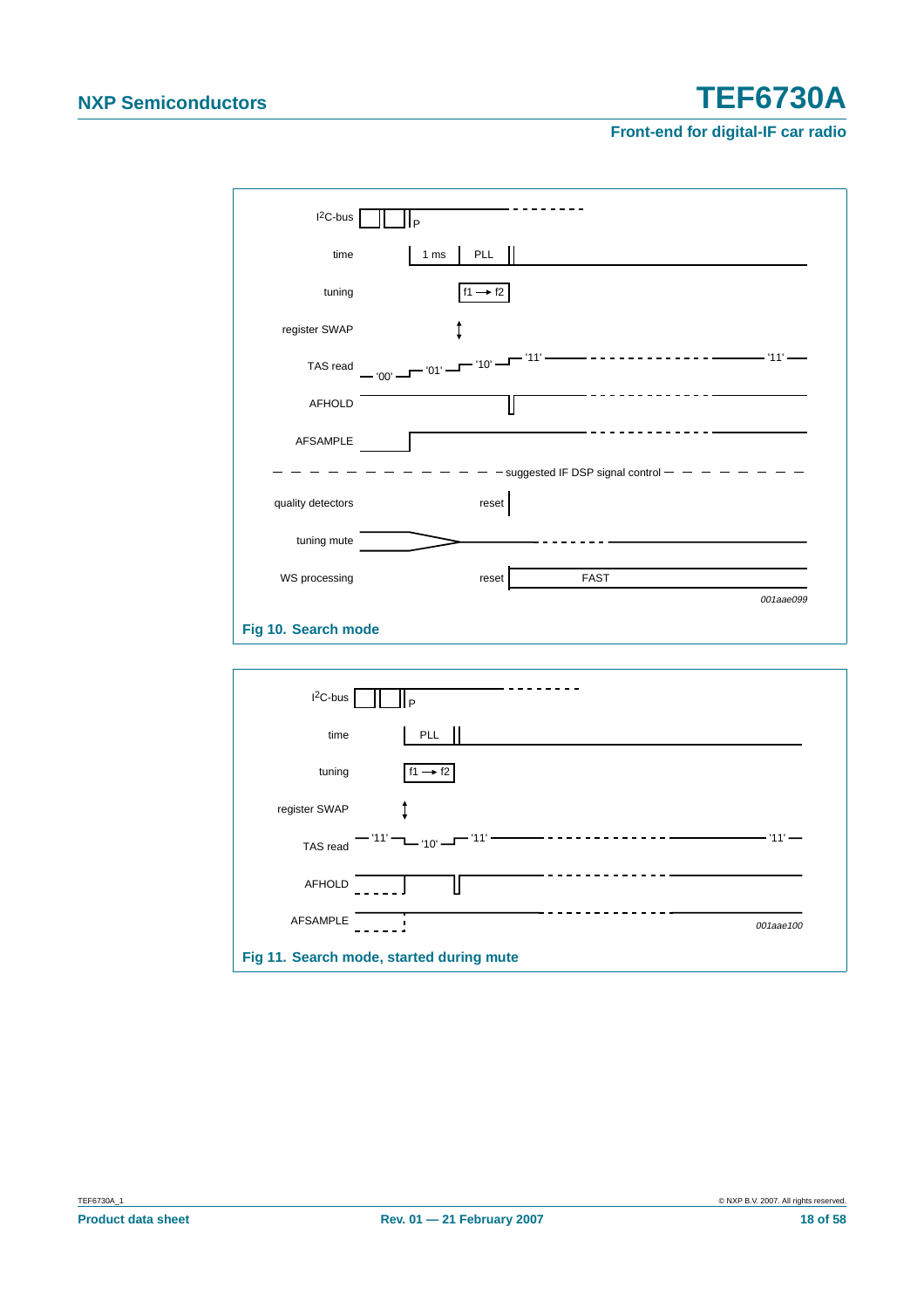| $I^2C$ -bus         | P                                          |
|---------------------|--------------------------------------------|
| time                | PLL   <br>1 <sub>ms</sub>                  |
| tuning              | $f1 \rightarrow f2$                        |
| register SWAP       |                                            |
| TAS read            | '11'<br>— '00' — — '01' — — '10' —         |
| <b>AFHOLD</b>       |                                            |
| <b>AFSAMPLE</b>     |                                            |
|                     | $-$ suggested IF DSP signal control $   -$ |
| quality detectors   | reset                                      |
| tuning mute         |                                            |
| WS processing       | <b>FAST</b><br>reset                       |
|                     | 001aae099                                  |
| Fig 10. Search mode |                                            |

<span id="page-17-1"></span><span id="page-17-0"></span>

| $I2C-bus$       |                                          |           |
|-----------------|------------------------------------------|-----------|
| time            | PLL                                      |           |
| tuning          | $f1 \rightarrow f2$                      |           |
| register SWAP   |                                          |           |
| TAS read        | $11'$ – $10'$ –                          | '11'      |
| <b>AFHOLD</b>   |                                          |           |
| <b>AFSAMPLE</b> |                                          | 001aae100 |
|                 | Fig 11. Search mode, started during mute |           |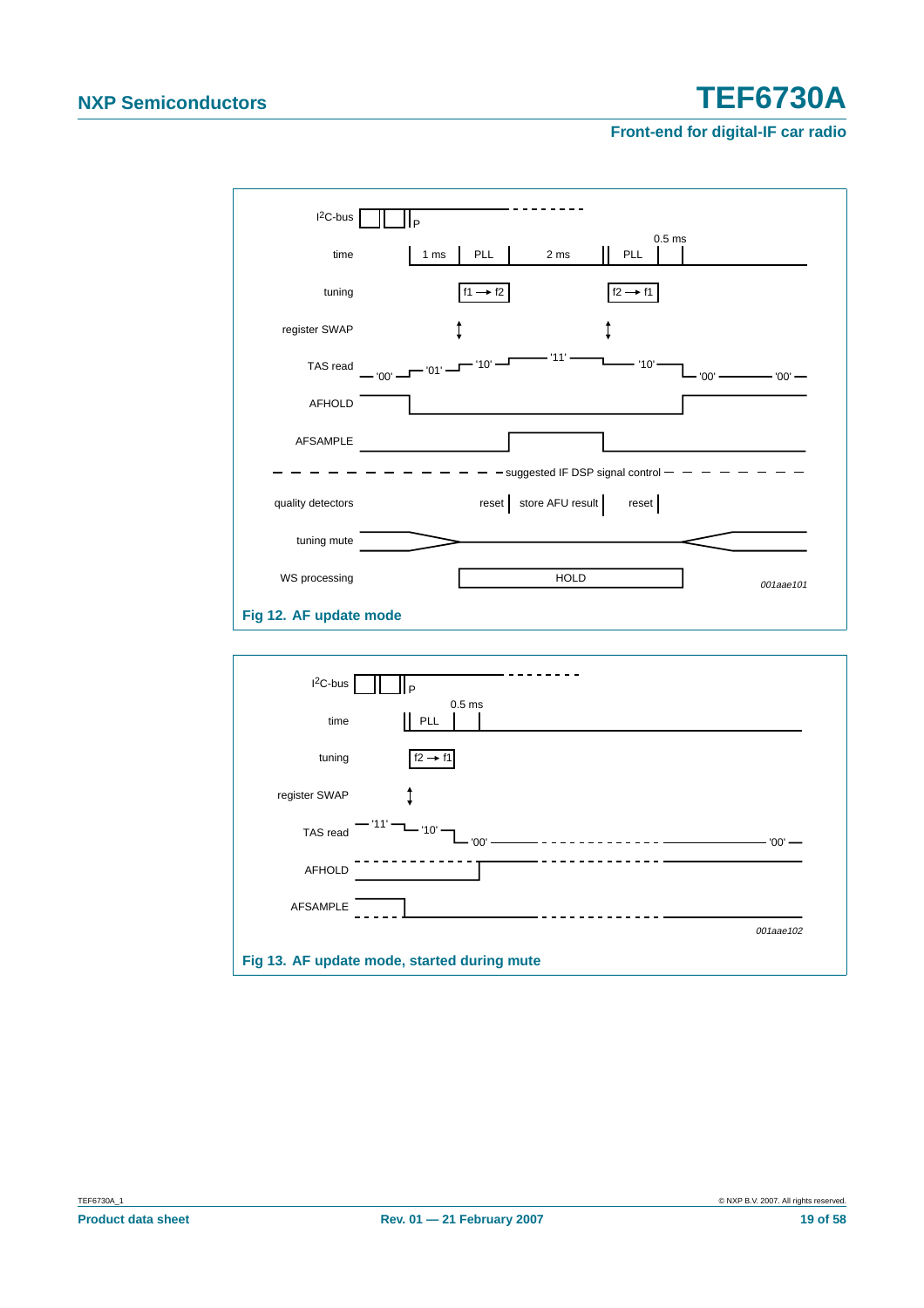

<span id="page-18-1"></span><span id="page-18-0"></span>

| $I2C-bus$       |                                             |
|-----------------|---------------------------------------------|
| time            | 0.5 <sub>ms</sub><br>$\mathbf{H}$<br>PLL    |
| tuning          | $f2 \rightarrow f1$                         |
| register SWAP   |                                             |
| TAS read        | '10'<br>'00'<br>$'00'$ —                    |
| <b>AFHOLD</b>   |                                             |
| <b>AFSAMPLE</b> |                                             |
|                 | 001aae102                                   |
|                 | Fig 13. AF update mode, started during mute |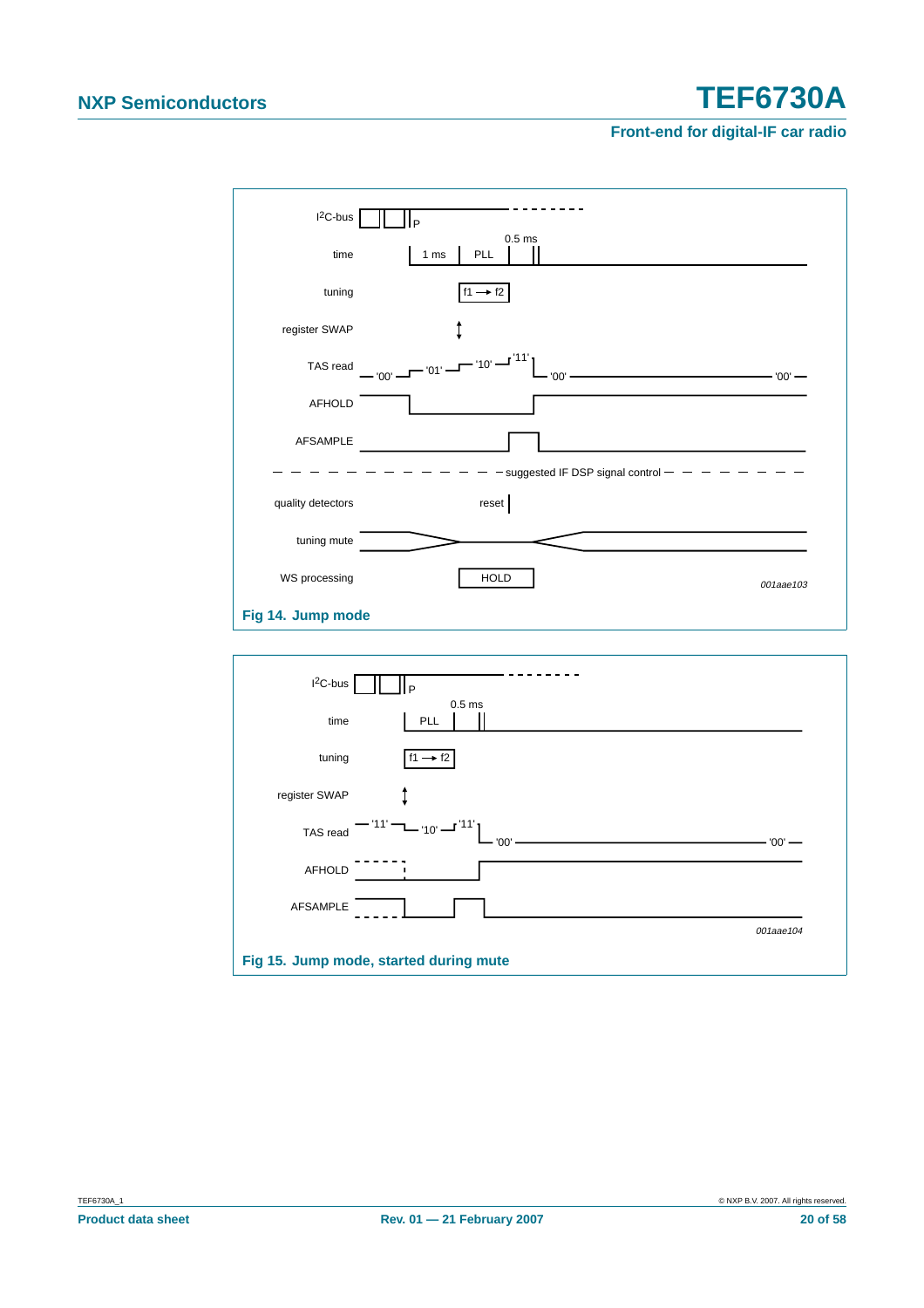<span id="page-19-1"></span><span id="page-19-0"></span>

| $I^2C$ -bus       | Þ                                                  |
|-------------------|----------------------------------------------------|
| time              | 0.5 <sub>ms</sub><br><b>PLL</b><br>1 <sub>ms</sub> |
| tuning            | $f1 \rightarrow f2$                                |
| register SWAP     |                                                    |
| TAS read          | $-101$ - $-101$ - $-111$<br>$"00'$ —<br>$'00'$ —   |
| <b>AFHOLD</b>     |                                                    |
| <b>AFSAMPLE</b>   |                                                    |
|                   | $-$ - suggested IF DSP signal control $-$ - - - -  |
| quality detectors | reset                                              |
| tuning mute       |                                                    |
| WS processing     | <b>HOLD</b><br>001aae103                           |
| Fig 14. Jump mode |                                                    |
|                   |                                                    |
| $12C-bus$         | l p                                                |
| time              | 0.5 <sub>ms</sub><br>PLL                           |
| tuning            | $f1 \rightarrow f2$                                |
| register SWAP     |                                                    |
| TAS read          | – '10' — <sup>'11'</sup><br>$'00'$ -               |
| <b>AFHOLD</b>     |                                                    |
| AFSAMPLE          |                                                    |
|                   | 001aae104                                          |
|                   | Fig 15. Jump mode, started during mute             |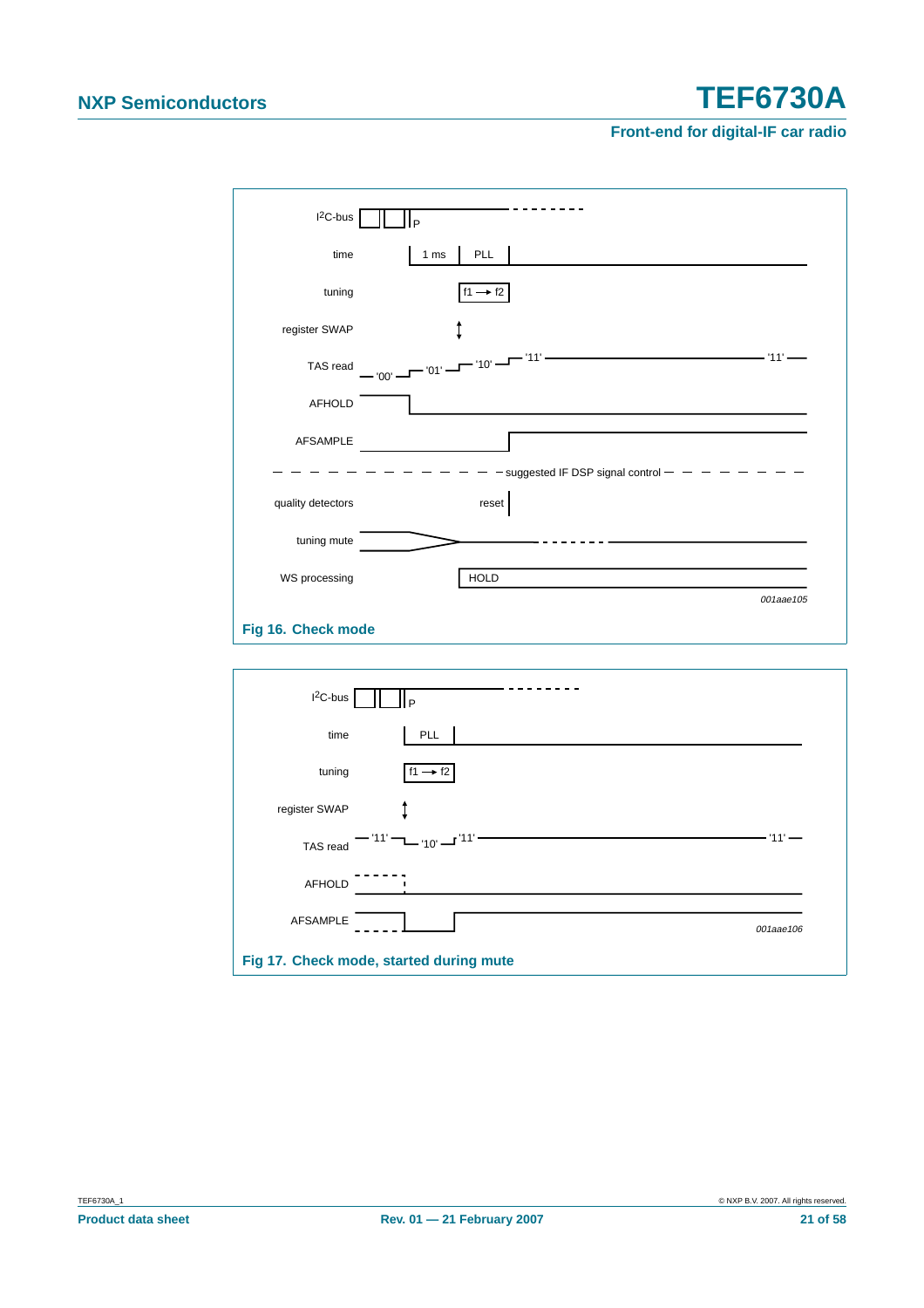| $I^2C$ -bus        | P                                                        |
|--------------------|----------------------------------------------------------|
| time               | PLL<br>1 <sub>ms</sub>                                   |
| tuning             | $f1 \rightarrow f2$                                      |
| register SWAP      |                                                          |
| TAS read           | - '11' -<br>—— '11' ——<br>— $'00'$ — $''01'$ — $''10'$ — |
| AFHOLD             |                                                          |
| <b>AFSAMPLE</b>    |                                                          |
|                    | - suggested IF DSP signal control $-$ - - - -            |
| quality detectors  | reset                                                    |
| tuning mute        |                                                          |
| WS processing      | <b>HOLD</b>                                              |
|                    | 001aae105                                                |
| Fig 16. Check mode |                                                          |

<span id="page-20-1"></span><span id="page-20-0"></span>

| $I2C-bus$                                                   |           |
|-------------------------------------------------------------|-----------|
| PLL<br>time                                                 |           |
| tuning<br>$f1 \rightarrow f2$                               |           |
| register SWAP                                               |           |
| $-111$ $  -10$ $  11$ <sup><math>+</math></sup><br>TAS read | '11'      |
| <b>AFHOLD</b>                                               |           |
| <b>AFSAMPLE</b>                                             | 001aae106 |
| Fig 17. Check mode, started during mute                     |           |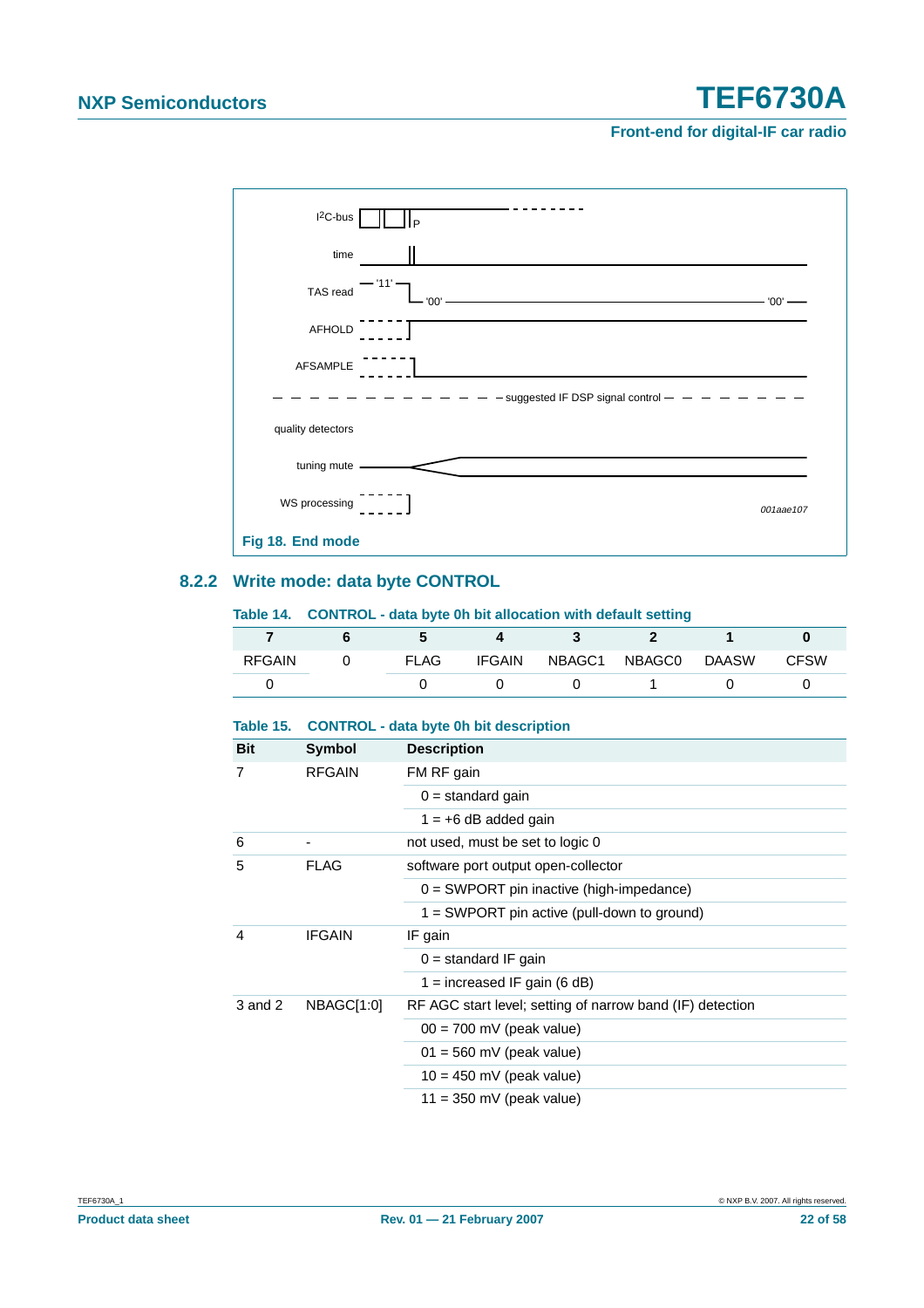**Front-end for digital-IF car radio**



### <span id="page-21-1"></span><span id="page-21-0"></span>**8.2.2 Write mode: data byte CONTROL**

#### **Table 14. CONTROL - data byte 0h bit allocation with default setting**

| <b>RFGAIN</b> | <b>FLAG</b> | <b>IFGAIN</b> | NBAGC1 NBAGC0 | DAASW | <b>CFSW</b> |
|---------------|-------------|---------------|---------------|-------|-------------|
|               |             |               |               |       |             |

#### <span id="page-21-2"></span>**Table 15. CONTROL - data byte 0h bit description**

| <b>Bit</b> | Symbol        | <b>Description</b>                                        |
|------------|---------------|-----------------------------------------------------------|
| 7          | <b>RFGAIN</b> | FM RF gain                                                |
|            |               | $0 =$ standard gain                                       |
|            |               | $1 = +6$ dB added gain                                    |
| 6          |               | not used, must be set to logic 0                          |
| 5          | <b>FLAG</b>   | software port output open-collector                       |
|            |               | $0 = SWPORT$ pin inactive (high-impedance)                |
|            |               | $1 = SWPORT$ pin active (pull-down to ground)             |
| 4          | <b>IFGAIN</b> | IF gain                                                   |
|            |               | $0 =$ standard IF gain                                    |
|            |               | 1 = increased IF gain (6 dB)                              |
| 3 and 2    | NBAGC[1:0]    | RF AGC start level; setting of narrow band (IF) detection |
|            |               | $00 = 700$ mV (peak value)                                |
|            |               | $01 = 560$ mV (peak value)                                |
|            |               | $10 = 450$ mV (peak value)                                |
|            |               | $11 = 350$ mV (peak value)                                |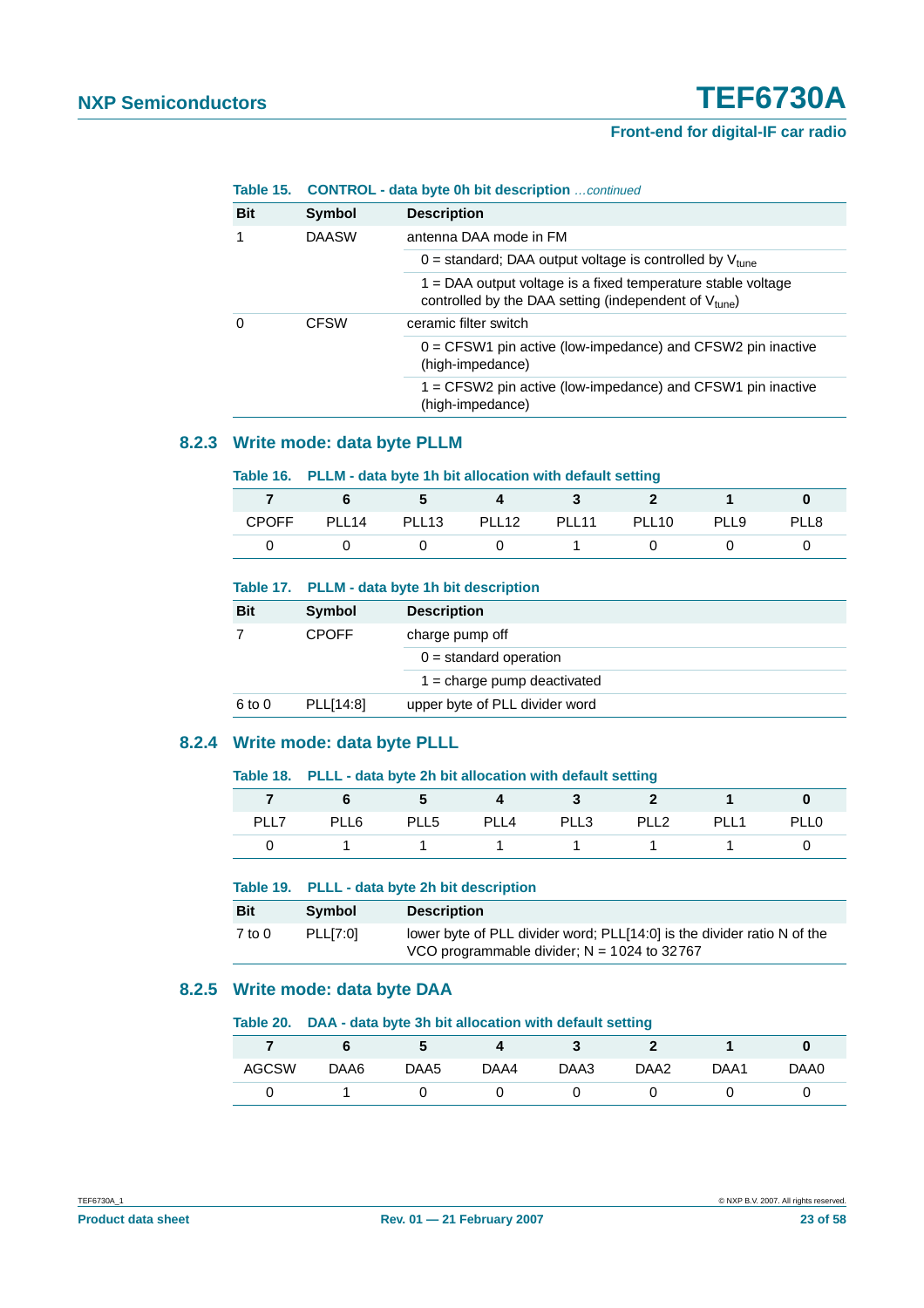|                      | Table 15. CONTROL - data byte 0h bit description  continued |                                                                                                                                     |  |
|----------------------|-------------------------------------------------------------|-------------------------------------------------------------------------------------------------------------------------------------|--|
| <b>Bit</b><br>Symbol |                                                             | <b>Description</b>                                                                                                                  |  |
|                      | <b>DAASW</b>                                                | antenna DAA mode in FM                                                                                                              |  |
|                      |                                                             | 0 = standard; DAA output voltage is controlled by $V_{\text{tune}}$                                                                 |  |
|                      |                                                             | $1 = DAA$ output voltage is a fixed temperature stable voltage<br>controlled by the DAA setting (independent of $V_{\text{tune}}$ ) |  |
| O                    | <b>CFSW</b>                                                 | ceramic filter switch                                                                                                               |  |
|                      |                                                             | $0 = CFSW1$ pin active (low-impedance) and $CFSW2$ pin inactive<br>(high-impedance)                                                 |  |
|                      |                                                             | 1 = CFSW2 pin active (low-impedance) and CFSW1 pin inactive<br>(high-impedance)                                                     |  |

### <span id="page-22-0"></span>**8.2.3 Write mode: data byte PLLM**

#### **Table 16. PLLM - data byte 1h bit allocation with default setting**

| <b>CPOFF</b> | PLL14 PLL13 | PLL12 | PLL11 | PLL10 | PLL9 | PLL8 |
|--------------|-------------|-------|-------|-------|------|------|
|              |             |       |       |       |      |      |

#### **Table 17. PLLM - data byte 1h bit description**

| <b>Bit</b> | Symbol       | <b>Description</b>                   |  |
|------------|--------------|--------------------------------------|--|
|            | <b>CPOFF</b> | charge pump off                      |  |
|            |              | $0 =$ standard operation             |  |
|            |              | $1 = \text{charge pump}$ deactivated |  |
| $6$ to $0$ | PLL[14:8]    | upper byte of PLL divider word       |  |

### <span id="page-22-1"></span>**8.2.4 Write mode: data byte PLLL**

#### **Table 18. PLLL - data byte 2h bit allocation with default setting**

|      |      | - 3              |      |      |                  |                  |             |
|------|------|------------------|------|------|------------------|------------------|-------------|
| PLL7 | PLL6 | PLL <sub>5</sub> | PLL4 | PLL3 | PLL <sub>2</sub> | PLL <sub>1</sub> | <b>PLL0</b> |
|      |      |                  |      |      |                  |                  |             |

#### **Table 19. PLLL - data byte 2h bit description**

| <b>Bit</b> | <b>Symbol</b> | <b>Description</b>                                                                                                       |
|------------|---------------|--------------------------------------------------------------------------------------------------------------------------|
| $7$ to $0$ | PLLI7:01      | lower byte of PLL divider word; PLL[14:0] is the divider ratio N of the<br>VCO programmable divider; $N = 1024$ to 32767 |

### <span id="page-22-2"></span>**8.2.5 Write mode: data byte DAA**

#### **Table 20. DAA - data byte 3h bit allocation with default setting**

| <b>AGCSW</b> | DAA6 | DAA5 | DAA4 | DAA3 | DAA <sub>2</sub> | DAA1 | DAA0 |
|--------------|------|------|------|------|------------------|------|------|
|              |      |      |      |      |                  |      |      |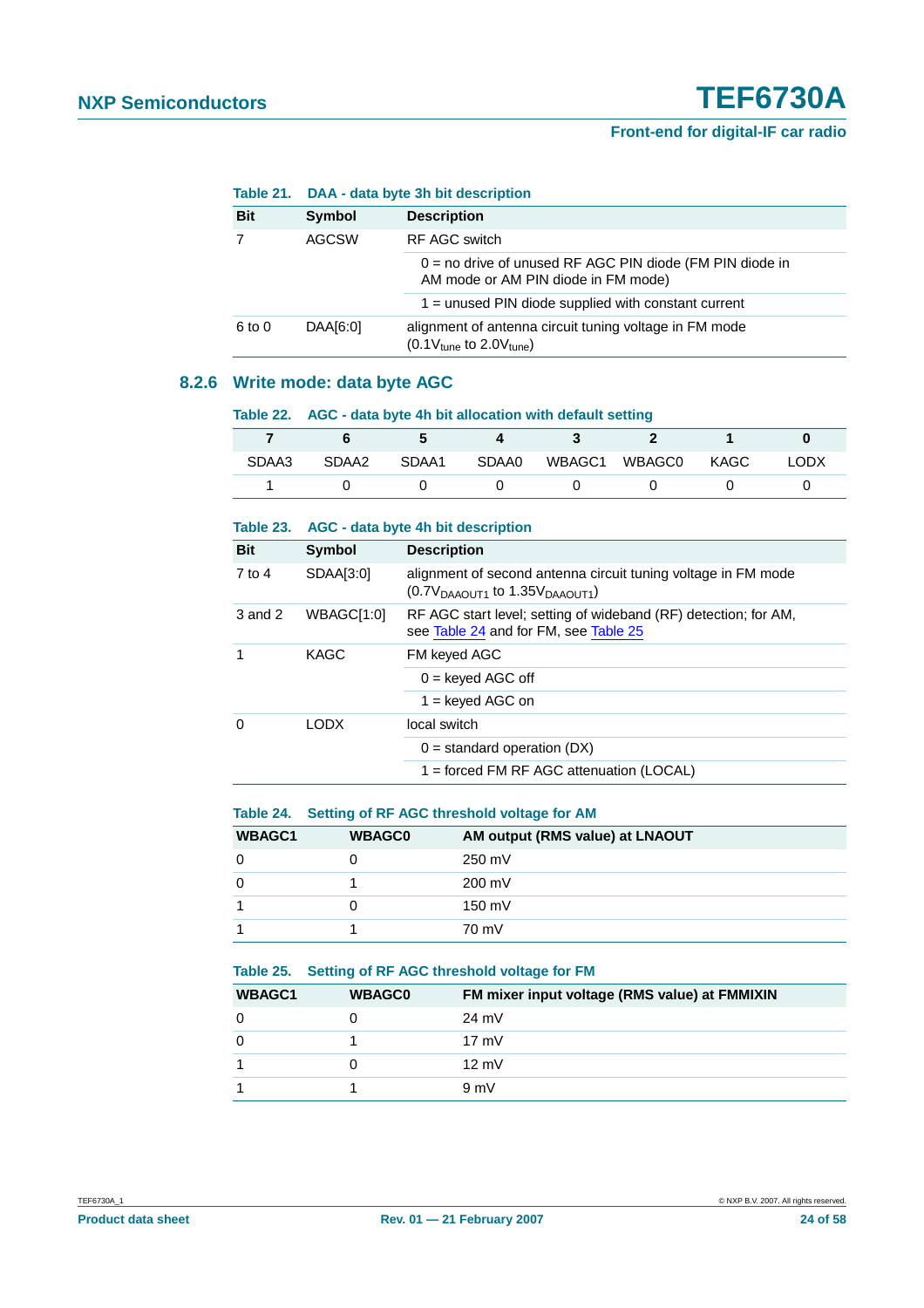|              |               | Table 21. DAA - data byte 3h bit description                                                      |  |  |
|--------------|---------------|---------------------------------------------------------------------------------------------------|--|--|
| <b>Bit</b>   | <b>Symbol</b> | <b>Description</b>                                                                                |  |  |
| <b>AGCSW</b> |               | RF AGC switch                                                                                     |  |  |
|              |               | $0 =$ no drive of unused RF AGC PIN diode (FM PIN diode in<br>AM mode or AM PIN diode in FM mode) |  |  |
|              |               | $1 =$ unused PIN diode supplied with constant current                                             |  |  |
| 6 to 0       | DAA[6:0]      | alignment of antenna circuit tuning voltage in FM mode<br>$(0.1V_{tune}$ to 2.0 $V_{tune}$ )      |  |  |

### <span id="page-23-0"></span>**8.2.6 Write mode: data byte AGC**

|       | Table 22. AGC - data byte 4h bit allocation with default setting |      |  |                  |                                      |  |             |
|-------|------------------------------------------------------------------|------|--|------------------|--------------------------------------|--|-------------|
|       |                                                                  | $-5$ |  | $\overline{4}$ 3 | $\overline{\phantom{a}}$             |  |             |
| SDAA3 |                                                                  |      |  |                  | SDAA2 SDAA1 SDAA0 WBAGC1 WBAGC0 KAGC |  | <b>LODX</b> |
|       |                                                                  |      |  |                  |                                      |  |             |

<span id="page-23-3"></span>

| Table 23.  |             | AGC - data byte 4h bit description                                                                       |  |  |
|------------|-------------|----------------------------------------------------------------------------------------------------------|--|--|
| <b>Bit</b> | Symbol      | <b>Description</b>                                                                                       |  |  |
| 7 to 4     | SDAA[3:0]   | alignment of second antenna circuit tuning voltage in FM mode<br>$(0.7VDAAOUT1$ to 1.35 $VDAAOUT1$ )     |  |  |
| 3 and 2    | WBAGC[1:0]  | RF AGC start level; setting of wideband (RF) detection; for AM,<br>see Table 24 and for FM, see Table 25 |  |  |
| 1          | <b>KAGC</b> | FM keyed AGC                                                                                             |  |  |
|            |             | $0 =$ keyed AGC off                                                                                      |  |  |
|            |             | $1 =$ keyed AGC on                                                                                       |  |  |
| $\Omega$   | LODX.       | local switch                                                                                             |  |  |
|            |             | $0 =$ standard operation (DX)                                                                            |  |  |
|            |             | 1 = forced FM RF AGC attenuation (LOCAL)                                                                 |  |  |

### <span id="page-23-1"></span>**Table 24. Setting of RF AGC threshold voltage for AM**

| <b>WBAGC1</b> | <b>WBAGC0</b> | AM output (RMS value) at LNAOUT |
|---------------|---------------|---------------------------------|
| 0             |               | 250 mV                          |
| 0             |               | 200 mV                          |
|               |               | 150 mV                          |
|               |               | 70 mV                           |

### <span id="page-23-2"></span>**Table 25. Setting of RF AGC threshold voltage for FM**

| <b>WBAGC1</b> | <b>WBAGC0</b> | FM mixer input voltage (RMS value) at FMMIXIN |
|---------------|---------------|-----------------------------------------------|
| $\Omega$      |               | $24 \text{ mV}$                               |
| $\Omega$      |               | $17 \text{ mV}$                               |
| 1             |               | $12 \text{ mV}$                               |
|               |               | 9mV                                           |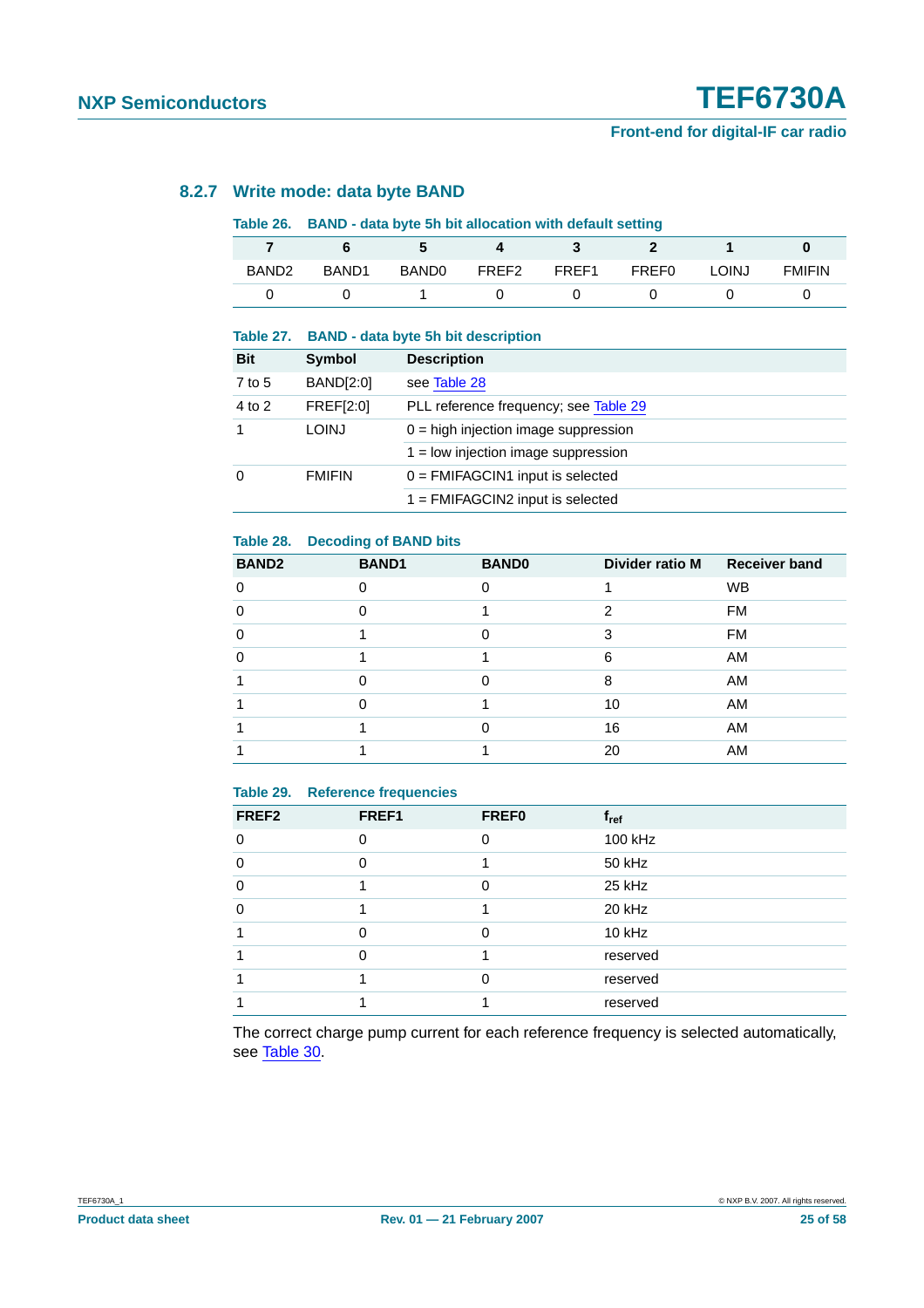### <span id="page-24-2"></span>**8.2.7 Write mode: data byte BAND**

### **Table 26. BAND - data byte 5h bit allocation with default setting**

| BAND <sub>2</sub> | BAND <sub>1</sub> | <b>BANDO</b> | FREF2 | FREF1 | <b>FREF0</b> | LOINJ | <b>FMIFIN</b> |
|-------------------|-------------------|--------------|-------|-------|--------------|-------|---------------|
|                   |                   |              |       |       |              |       |               |

#### **Table 27. BAND - data byte 5h bit description**

| <b>Bit</b>  | Symbol           | <b>Description</b>                     |
|-------------|------------------|----------------------------------------|
| 7 to 5      | <b>BAND[2:0]</b> | see Table 28                           |
| 4 to 2      | <b>FREF[2:0]</b> | PLL reference frequency; see Table 29  |
| $\mathbf 1$ | <b>LOINJ</b>     | $0 =$ high injection image suppression |
|             |                  | $1 =$ low injection image suppression  |
| $\Omega$    | <b>FMIFIN</b>    | $0 = FMIFAGCIN1$ input is selected     |
|             |                  | $1 = FMIFAGCIN2$ input is selected     |

### <span id="page-24-0"></span>**Table 28. Decoding of BAND bits**

| <b>BAND2</b> | <b>BAND1</b> | <b>BAND0</b> | Divider ratio M | <b>Receiver band</b> |
|--------------|--------------|--------------|-----------------|----------------------|
| ∩            |              |              |                 | <b>WB</b>            |
| ∩            |              |              | 2               | <b>FM</b>            |
| $\Omega$     |              | O            | з               | <b>FM</b>            |
| O            |              |              | 6               | AM                   |
|              |              |              | 8               | AM                   |
|              |              |              | 10              | AM                   |
|              |              |              | 16              | AM                   |
|              |              |              | 20              | AM                   |

### <span id="page-24-1"></span>**Table 29. Reference frequencies**

| FREF <sub>2</sub> | FREF1 | <b>FREF0</b> | $f_{ref}$ |
|-------------------|-------|--------------|-----------|
| 0                 | ŋ     | ∩            | 100 kHz   |
| $\Omega$          |       |              | 50 kHz    |
| 0                 |       | ∩            | 25 kHz    |
| O                 |       |              | 20 kHz    |
|                   |       | ∩            | 10 kHz    |
|                   |       |              | reserved  |
|                   |       |              | reserved  |
|                   |       |              | reserved  |

The correct charge pump current for each reference frequency is selected automatically, see [Table](#page-25-0) 30.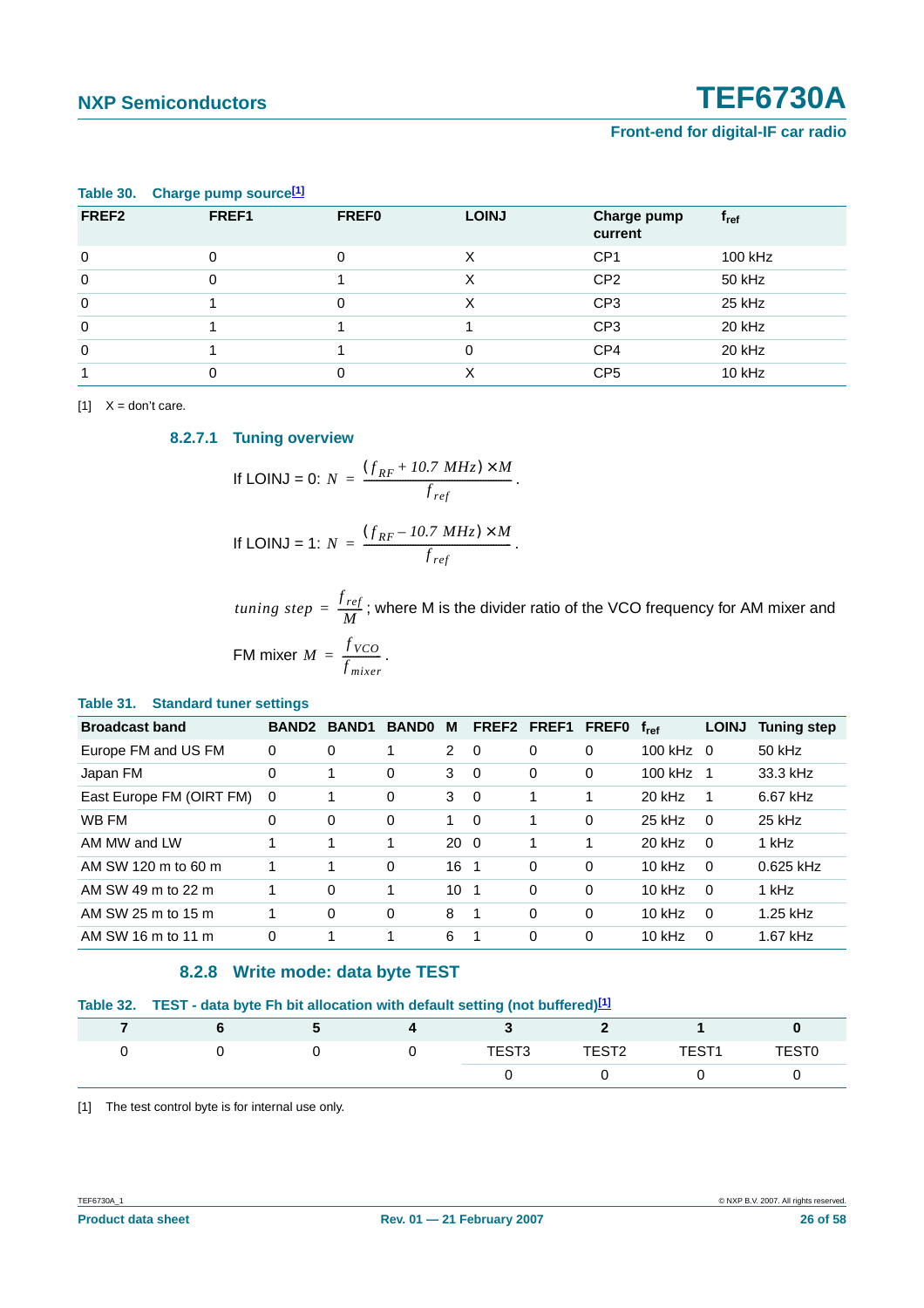| - -               |       |              |              |                        |                  |
|-------------------|-------|--------------|--------------|------------------------|------------------|
| FREF <sub>2</sub> | FREF1 | <b>FREFO</b> | <b>LOINJ</b> | Charge pump<br>current | t <sub>ref</sub> |
| 0                 | 0     | 0            | х            | CP <sub>1</sub>        | 100 kHz          |
| $\mathbf 0$       | 0     |              | х            | CP <sub>2</sub>        | 50 kHz           |
| $\mathbf 0$       |       | 0            | Χ            | CP <sub>3</sub>        | 25 kHz           |
| $\mathbf 0$       |       |              |              | CP <sub>3</sub>        | 20 kHz           |
| $\mathbf 0$       |       |              | 0            | CP <sub>4</sub>        | 20 kHz           |
|                   |       | 0            | Χ            | CP <sub>5</sub>        | 10 kHz           |

### <span id="page-25-0"></span>**Table 30. Charge pump source[\[1\]](#page-25-3)**

<span id="page-25-5"></span><span id="page-25-3"></span> $[1]$   $X =$  don't care.

**8.2.7.1 Tuning overview**

If LOINJ = 0: 
$$
N = \frac{(f_{RF} + 10.7 \text{ MHz}) \times M}{f_{ref}}.
$$

If LOINJ = 1: 
$$
N = \frac{(f_{RF} - 10.7 \text{ MHz}) \times M}{f_{ref}}.
$$

 $tuning\ step=\dfrac{f_{ref}}{M};$  where M is the divider ratio of the VCO frequency for AM mixer and FM mixer  $M = \frac{f_{VCO}}{f}$ .  $=\frac{3 \text{ VCO}}{f_{mixer}}$ 

#### <span id="page-25-1"></span>**Table 31. Standard tuner settings**

| <b>Broadcast band</b>    | <b>BAND2</b> | <b>BAND1</b> | <b>BANDO</b> | м               | FREF2 FREF1 |          | <b>FREFO</b> | $f_{ref}$ | <b>LOINJ</b> | <b>Tuning step</b> |
|--------------------------|--------------|--------------|--------------|-----------------|-------------|----------|--------------|-----------|--------------|--------------------|
| Europe FM and US FM      | $\Omega$     | 0            | 1            | $\overline{2}$  | $\Omega$    | 0        | 0            | $100$ kHz | $\Omega$     | 50 kHz             |
| Japan FM                 | $\Omega$     | 4            | 0            | 3               | $\Omega$    | 0        | 0            | $100$ kHz | 1            | 33.3 kHz           |
| East Europe FM (OIRT FM) | $\Omega$     | 1            | $\mathbf 0$  | 3               | $\Omega$    | 1        | 1            | 20 kHz    | 1            | 6.67 kHz           |
| WB FM                    | $\Omega$     | 0            | 0            | 1               | $\Omega$    | 1        | 0            | $25$ kHz  | $\Omega$     | 25 kHz             |
| AM MW and LW             | 4            | 4            | 1            | $20 \quad 0$    |             | 1        | 1            | $20$ kHz  | $\Omega$     | 1 kHz              |
| AM SW 120 m to 60 m      |              | 1            | $\Omega$     | 16              | - 1         | 0        | 0            | $10$ kHz  | $\Omega$     | $0.625$ kHz        |
| AM SW 49 m to 22 m       |              | 0            | 1            | 10 <sub>1</sub> |             | 0        | 0            | $10$ kHz  | $\Omega$     | 1 kHz              |
| AM SW 25 m to 15 m       | 4            | 0            | 0            | 8               | -1          | $\Omega$ | 0            | $10$ kHz  | $\Omega$     | 1.25 kHz           |
| AM SW 16 m to 11 m       | $\Omega$     | 4            |              | 6               | 1           | 0        | 0            | $10$ kHz  | $\Omega$     | 1.67 kHz           |

### **8.2.8 Write mode: data byte TEST**

<span id="page-25-2"></span>

|  |  |  | Table 32. TEST - data byte Fh bit allocation with default setting (not buffered) <sup>[1]</sup> |  |  |  |
|--|--|--|-------------------------------------------------------------------------------------------------|--|--|--|
|--|--|--|-------------------------------------------------------------------------------------------------|--|--|--|

|  |  | TEST <sub>3</sub> | TEST <sub>2</sub> | TEST <sub>1</sub> | <b>TEST0</b> |
|--|--|-------------------|-------------------|-------------------|--------------|
|  |  |                   |                   |                   |              |

<span id="page-25-4"></span>[1] The test control byte is for internal use only.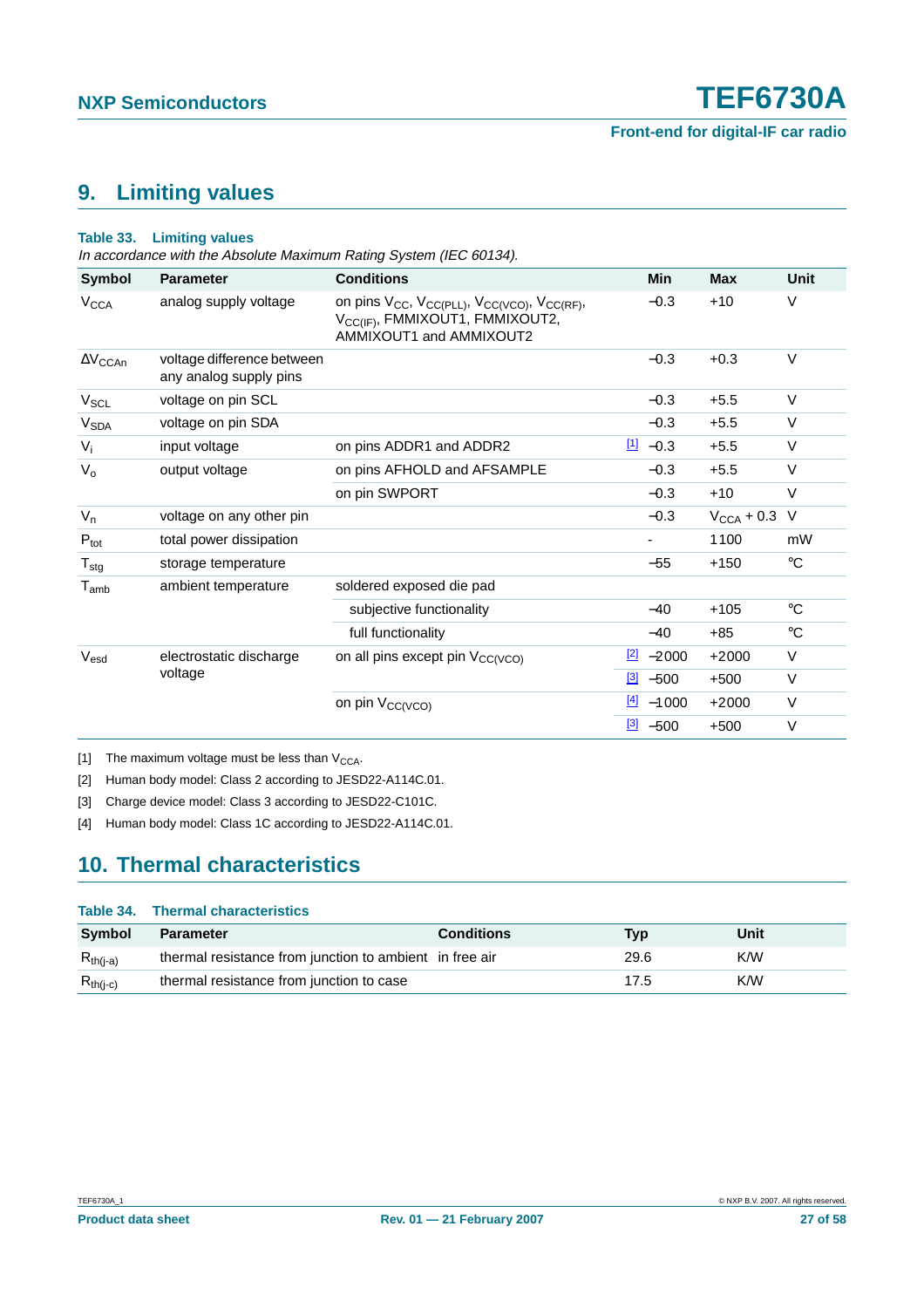### <span id="page-26-4"></span>**9. Limiting values**

#### **Table 33. Limiting values**

In accordance with the Absolute Maximum Rating System (IEC 60134).

| Symbol                      | <b>Parameter</b>                                     | <b>Conditions</b>                                                                                                                                                       | Min                     | <b>Max</b>             | <b>Unit</b> |
|-----------------------------|------------------------------------------------------|-------------------------------------------------------------------------------------------------------------------------------------------------------------------------|-------------------------|------------------------|-------------|
| <b>V<sub>CCA</sub></b>      | analog supply voltage                                | on pins V <sub>CC</sub> , V <sub>CC(PLL)</sub> , V <sub>CC(VCO)</sub> , V <sub>CC(RF)</sub> ,<br>V <sub>CC(IF)</sub> , FMMIXOUT1, FMMIXOUT2,<br>AMMIXOUT1 and AMMIXOUT2 | $-0.3$                  | $+10$                  | V           |
| $\Delta\rm V_{CCAn}$        | voltage difference between<br>any analog supply pins |                                                                                                                                                                         | $-0.3$                  | $+0.3$                 | $\vee$      |
| V <sub>SCL</sub>            | voltage on pin SCL                                   |                                                                                                                                                                         | $-0.3$                  | $+5.5$                 | V           |
| <b>V<sub>SDA</sub></b>      | voltage on pin SDA                                   |                                                                                                                                                                         | $-0.3$                  | $+5.5$                 | $\vee$      |
| $V_i$                       | input voltage                                        | on pins ADDR1 and ADDR2                                                                                                                                                 | $11 - 0.3$              | $+5.5$                 | $\vee$      |
| $V_{o}$                     | output voltage                                       | on pins AFHOLD and AFSAMPLE                                                                                                                                             | $-0.3$                  | $+5.5$                 | V           |
|                             |                                                      | on pin SWPORT                                                                                                                                                           | $-0.3$                  | $+10$                  | V           |
| $V_n$                       | voltage on any other pin                             |                                                                                                                                                                         | $-0.3$                  | $V_{\text{CCA}}$ + 0.3 | $\vee$      |
| $P_{\text{tot}}$            | total power dissipation                              |                                                                                                                                                                         |                         | 1100                   | mW          |
| $T_{\text{stg}}$            | storage temperature                                  |                                                                                                                                                                         | $-55$                   | $+150$                 | $^{\circ}C$ |
| $\mathsf{T}_{\mathsf{amb}}$ | ambient temperature                                  | soldered exposed die pad                                                                                                                                                |                         |                        |             |
|                             |                                                      | subjective functionality                                                                                                                                                | $-40$                   | $+105$                 | $^{\circ}C$ |
|                             |                                                      | full functionality                                                                                                                                                      | $-40$                   | $+85$                  | $^{\circ}C$ |
| $V_{esd}$                   | electrostatic discharge                              | on all pins except pin V <sub>CC(VCO)</sub>                                                                                                                             | $\frac{2}{2}$ -2000     | $+2000$                | V           |
|                             | voltage                                              |                                                                                                                                                                         | $\frac{3}{2}$ -500      | $+500$                 | $\vee$      |
|                             |                                                      | on pin V <sub>CC(VCO)</sub>                                                                                                                                             | $\frac{[4]}{[4]}$ -1000 | $+2000$                | $\vee$      |
|                             |                                                      |                                                                                                                                                                         | $\frac{3}{2}$ -500      | $+500$                 | $\vee$      |

<span id="page-26-0"></span>[1] The maximum voltage must be less than  $V_{\text{CCA}}$ .

<span id="page-26-1"></span>[2] Human body model: Class 2 according to JESD22-A114C.01.

<span id="page-26-2"></span>[3] Charge device model: Class 3 according to JESD22-C101C.

<span id="page-26-3"></span>[4] Human body model: Class 1C according to JESD22-A114C.01.

### <span id="page-26-5"></span>**10. Thermal characteristics**

|               | Table 34. Thermal characteristics                       |                   |      |      |
|---------------|---------------------------------------------------------|-------------------|------|------|
| Symbol        | <b>Parameter</b>                                        | <b>Conditions</b> | Tvp  | Unit |
| $R_{th(i-a)}$ | thermal resistance from junction to ambient in free air |                   | 29.6 | K/W  |
| $R_{th(i-c)}$ | thermal resistance from junction to case                |                   | 17.5 | K/W  |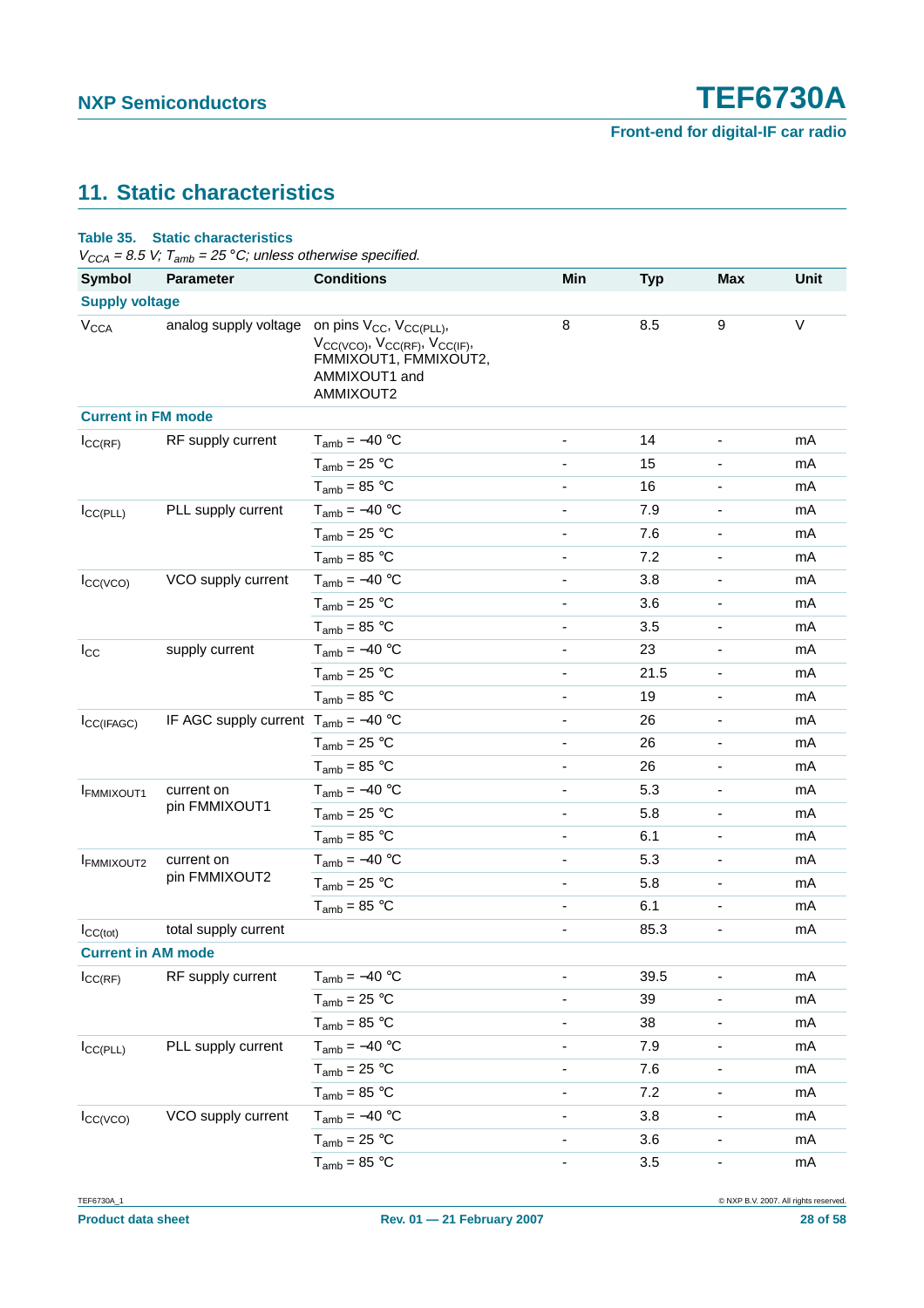### <span id="page-27-0"></span>**11. Static characteristics**

| <b>Symbol</b>             | $V_{CCA} = 8.5 V$ ; T <sub>amb</sub> = 25 °C; unless otherwise specified.<br><b>Parameter</b> | <b>Conditions</b>                                                                                    | Min                          |            | <b>Max</b>                   | <b>Unit</b> |
|---------------------------|-----------------------------------------------------------------------------------------------|------------------------------------------------------------------------------------------------------|------------------------------|------------|------------------------------|-------------|
|                           |                                                                                               |                                                                                                      |                              | <b>Typ</b> |                              |             |
| <b>Supply voltage</b>     |                                                                                               |                                                                                                      | 8                            | 8.5        | 9                            | $\vee$      |
| <b>V<sub>CCA</sub></b>    | analog supply voltage on pins $V_{CC}$ , $V_{CC(PLL)}$ ,                                      | $V_{CC(VCO)}$ , $V_{CC(RF)}$ , $V_{CC(IF)}$ ,<br>FMMIXOUT1, FMMIXOUT2,<br>AMMIXOUT1 and<br>AMMIXOUT2 |                              |            |                              |             |
| <b>Current in FM mode</b> |                                                                                               |                                                                                                      |                              |            |                              |             |
| $I_{\text{CC}(RF)}$       | RF supply current                                                                             | $T_{amb} = -40 °C$                                                                                   | $\overline{\phantom{a}}$     | 14         | -                            | mA          |
|                           |                                                                                               | $T_{amb}$ = 25 °C                                                                                    |                              | 15         |                              | mA          |
|                           |                                                                                               | $T_{amb} = 85 °C$                                                                                    |                              | 16         |                              | mA          |
| $I_{CC(PLL)}$             | PLL supply current                                                                            | $T_{amb} = -40 °C$                                                                                   |                              | 7.9        | $\blacksquare$               | mA          |
|                           |                                                                                               | $T_{amb}$ = 25 °C                                                                                    | $\frac{1}{2}$                | 7.6        | $\overline{\phantom{a}}$     | mA          |
|                           |                                                                                               | $T_{amb}$ = 85 °C                                                                                    |                              | 7.2        |                              | mA          |
| $I_{CC(VCO)}$             | VCO supply current                                                                            | $T_{amb} = -40 °C$                                                                                   |                              | 3.8        |                              | mA          |
|                           |                                                                                               | $T_{amb}$ = 25 °C                                                                                    |                              | 3.6        |                              | mA          |
|                           |                                                                                               | $T_{amb}$ = 85 °C                                                                                    | $\frac{1}{2}$                | 3.5        | $\overline{\phantom{a}}$     | mA          |
| $I_{\rm CC}$              | supply current                                                                                | $T_{amb} = -40 °C$                                                                                   |                              | 23         |                              | mA          |
|                           |                                                                                               | $T_{amb}$ = 25 °C                                                                                    |                              | 21.5       | $\overline{\phantom{a}}$     | mA          |
|                           |                                                                                               | $T_{amb}$ = 85 °C                                                                                    |                              | 19         |                              | mA          |
| ICC(IFAGC)                | IF AGC supply current $T_{amb} = -40$ °C                                                      |                                                                                                      | $\overline{\phantom{0}}$     | 26         | $\overline{\phantom{a}}$     | mA          |
|                           |                                                                                               | $T_{amb}$ = 25 °C                                                                                    |                              | 26         |                              | mA          |
|                           |                                                                                               | $T_{amb} = 85 °C$                                                                                    |                              | 26         |                              | mA          |
| <b>IFMMIXOUT1</b>         | current on                                                                                    | $T_{amb} = -40 °C$                                                                                   |                              | 5.3        |                              | mA          |
|                           | pin FMMIXOUT1                                                                                 | $T_{amb} = 25 °C$                                                                                    |                              | 5.8        | $\overline{\phantom{a}}$     | mA          |
|                           |                                                                                               | $T_{amb} = 85 °C$                                                                                    |                              | 6.1        |                              | mA          |
| <b>FMMIXOUT2</b>          | current on                                                                                    | $T_{amb} = -40 °C$                                                                                   |                              | 5.3        | $\overline{\phantom{a}}$     | mA          |
|                           | pin FMMIXOUT2                                                                                 | $T_{amb}$ = 25 °C                                                                                    |                              | 5.8        |                              | mA          |
|                           |                                                                                               | $T_{amb} = 85 °C$                                                                                    |                              | 6.1        | $\overline{\phantom{0}}$     | mA          |
| $I_{CC(tot)}$             | total supply current                                                                          |                                                                                                      |                              | 85.3       |                              | $mA$        |
| <b>Current in AM mode</b> |                                                                                               |                                                                                                      |                              |            |                              |             |
| $I_{\text{CC}(RF)}$       | RF supply current                                                                             | $T_{amb} = -40 °C$                                                                                   |                              | 39.5       |                              | mA          |
|                           |                                                                                               | $T_{amb} = 25 °C$                                                                                    | ÷,                           | 39         |                              | mA          |
|                           |                                                                                               | $T_{amb} = 85 °C$                                                                                    |                              | 38         |                              | mA          |
| $I_{CC(PLL)}$             | PLL supply current                                                                            | $T_{amb} = -40 °C$                                                                                   | $\qquad \qquad \blacksquare$ | 7.9        | $\overline{\phantom{0}}$     | mA          |
|                           |                                                                                               | $T_{amb} = 25 °C$                                                                                    |                              | 7.6        | $\qquad \qquad \blacksquare$ | mA          |
|                           |                                                                                               | $T_{amb} = 85 °C$                                                                                    | -                            | 7.2        |                              | mA          |
| $I_{CC(VCO)}$             | VCO supply current                                                                            | $T_{amb} = -40 °C$                                                                                   |                              | 3.8        | $\qquad \qquad \blacksquare$ | mA          |
|                           |                                                                                               | $T_{amb} = 25 °C$                                                                                    |                              | 3.6        | ۰                            | mA          |
|                           |                                                                                               | $T_{amb} = 85 °C$                                                                                    |                              | 3.5        | $\overline{\phantom{a}}$     | mA          |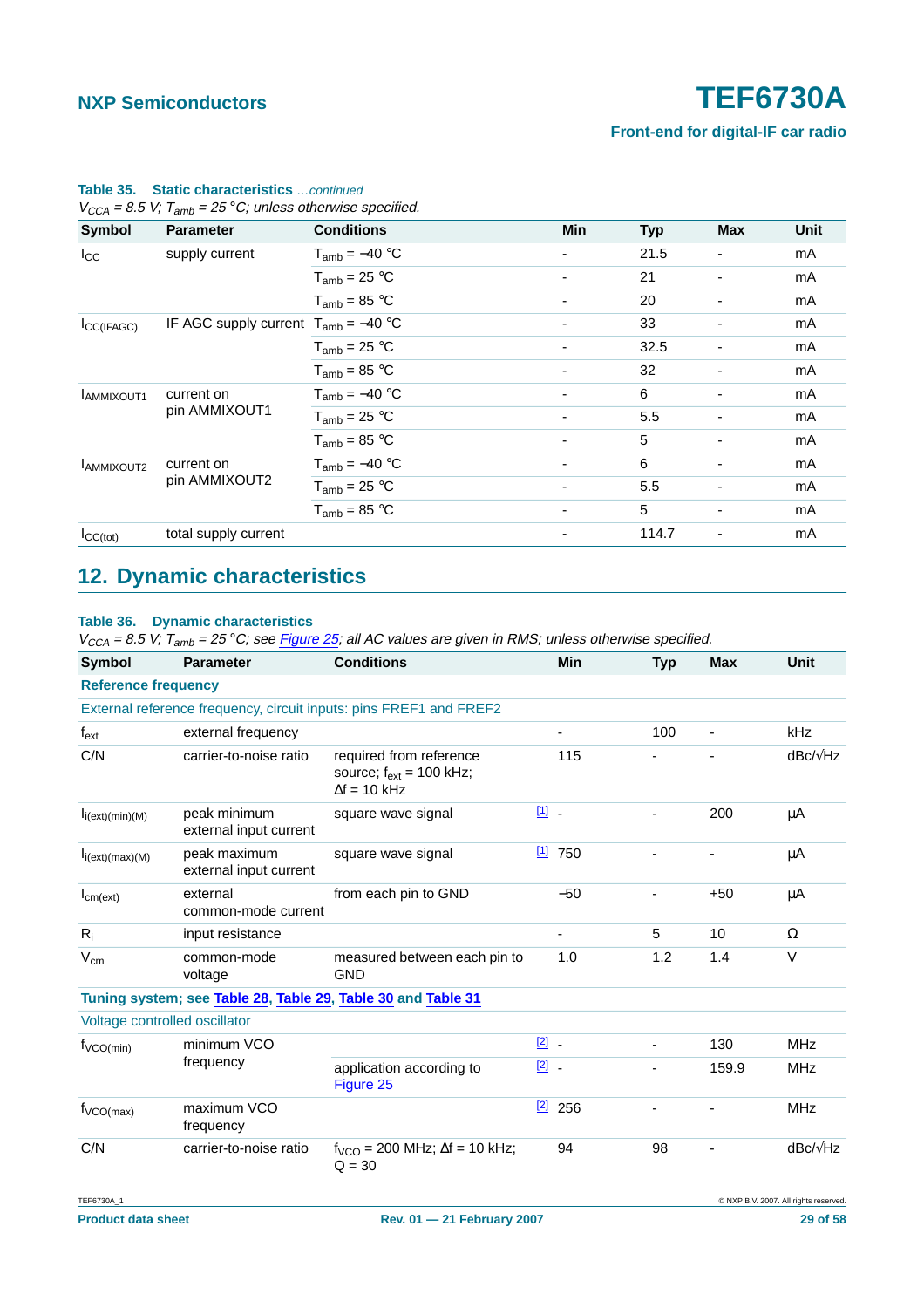| $V_{CCA}$ = 8.5 V; $T_{amb}$ = 25 °C; unless otherwise specified. |                                          |                    |                          |            |                          |      |  |  |  |
|-------------------------------------------------------------------|------------------------------------------|--------------------|--------------------------|------------|--------------------------|------|--|--|--|
| Symbol                                                            | <b>Parameter</b>                         | <b>Conditions</b>  | Min                      | <b>Typ</b> | <b>Max</b>               | Unit |  |  |  |
| $I_{\rm CC}$                                                      | supply current                           | $T_{amb} = -40 °C$ | ٠                        | 21.5       | $\overline{\phantom{a}}$ | mA   |  |  |  |
|                                                                   |                                          | $T_{amb}$ = 25 °C  | ۰                        | 21         | $\overline{\phantom{a}}$ | mA   |  |  |  |
|                                                                   |                                          | $T_{amb}$ = 85 °C  |                          | 20         |                          | mA   |  |  |  |
| $I_{\text{CC}(IFAGC)}$                                            | IF AGC supply current $T_{amb} = -40$ °C |                    | ٠                        | 33         | $\overline{\phantom{a}}$ | mA   |  |  |  |
|                                                                   |                                          | $T_{amb}$ = 25 °C  |                          | 32.5       | $\blacksquare$           | mA   |  |  |  |
|                                                                   |                                          | $T_{amb} = 85 °C$  | ٠                        | 32         |                          | mA   |  |  |  |
| <b>LAMMIXOUT1</b>                                                 | current on                               | $T_{amb} = -40 °C$ |                          | 6          | $\overline{\phantom{a}}$ | mA   |  |  |  |
|                                                                   | pin AMMIXOUT1                            | $T_{amb}$ = 25 °C  |                          | 5.5        | ٠                        | mA   |  |  |  |
|                                                                   |                                          | $T_{amb}$ = 85 °C  |                          | 5          | $\overline{\phantom{a}}$ | mA   |  |  |  |
| <b>LAMMIXOUT2</b>                                                 | current on                               | $T_{amb} = -40 °C$ |                          | 6          | $\overline{\phantom{a}}$ | mA   |  |  |  |
|                                                                   | pin AMMIXOUT2                            | $T_{amb}$ = 25 °C  | ٠                        | 5.5        | $\overline{\phantom{a}}$ | mA   |  |  |  |
|                                                                   |                                          | $T_{amb} = 85 °C$  | ۰                        | 5          | $\overline{\phantom{a}}$ | mA   |  |  |  |
| $I_{CC(tot)}$                                                     | total supply current                     |                    | $\overline{\phantom{0}}$ | 114.7      | $\overline{\phantom{a}}$ | mA   |  |  |  |

### **Table 35. Static characteristics** …continued

### <span id="page-28-0"></span>**12. Dynamic characteristics**

### **Table 36. Dynamic characteristics**

| <b>Symbol</b>                                                      | <b>Parameter</b>                                             | <b>Conditions</b>                                                              |               | Min            | <b>Typ</b> | <b>Max</b>               | <b>Unit</b>     |  |  |
|--------------------------------------------------------------------|--------------------------------------------------------------|--------------------------------------------------------------------------------|---------------|----------------|------------|--------------------------|-----------------|--|--|
| <b>Reference frequency</b>                                         |                                                              |                                                                                |               |                |            |                          |                 |  |  |
| External reference frequency, circuit inputs: pins FREF1 and FREF2 |                                                              |                                                                                |               |                |            |                          |                 |  |  |
| $\mathsf{f}_{\mathsf{ext}}$                                        | external frequency                                           |                                                                                |               |                | 100        | $\overline{\phantom{a}}$ | kHz             |  |  |
| C/N                                                                | carrier-to-noise ratio                                       | required from reference<br>source; $f_{ext} = 100$ kHz;<br>$\Delta f = 10$ kHz |               | 115            |            |                          | $dBc/\sqrt{Hz}$ |  |  |
| $I_i(ext)(min)(M)$                                                 | peak minimum<br>external input current                       | square wave signal                                                             | $11$ .        |                |            | 200                      | $\mu$ A         |  |  |
| I <sub>i</sub> (ext)(max)(M)                                       | peak maximum<br>external input current                       | square wave signal                                                             | $[1]$         | 750            |            |                          | μA              |  |  |
| $I_{cm(ext)}$                                                      | external<br>common-mode current                              | from each pin to GND                                                           |               | $-50$          |            | $+50$                    | μA              |  |  |
| $R_i$                                                              | input resistance                                             |                                                                                |               | $\blacksquare$ | 5          | 10                       | $\Omega$        |  |  |
| $V_{\text{cm}}$                                                    | common-mode<br>voltage                                       | measured between each pin to<br><b>GND</b>                                     |               | 1.0            | 1.2        | 1.4                      | $\vee$          |  |  |
|                                                                    | Tuning system; see Table 28, Table 29, Table 30 and Table 31 |                                                                                |               |                |            |                          |                 |  |  |
| Voltage controlled oscillator                                      |                                                              |                                                                                |               |                |            |                          |                 |  |  |
| $f_{VCO(min)}$                                                     | minimum VCO                                                  |                                                                                | $\boxed{2}$ . |                |            | 130                      | <b>MHz</b>      |  |  |
|                                                                    | frequency                                                    | application according to<br>Figure 25                                          | $\boxed{2}$   |                |            | 159.9                    | <b>MHz</b>      |  |  |
| $f_{VCO(max)}$                                                     | maximum VCO<br>frequency                                     |                                                                                | [2]           | 256            |            |                          | <b>MHz</b>      |  |  |
| C/N                                                                | carrier-to-noise ratio                                       | $f_{VCO}$ = 200 MHz; $\Delta f$ = 10 kHz;<br>$Q = 30$                          |               | 94             | 98         |                          | $dBc/\sqrt{Hz}$ |  |  |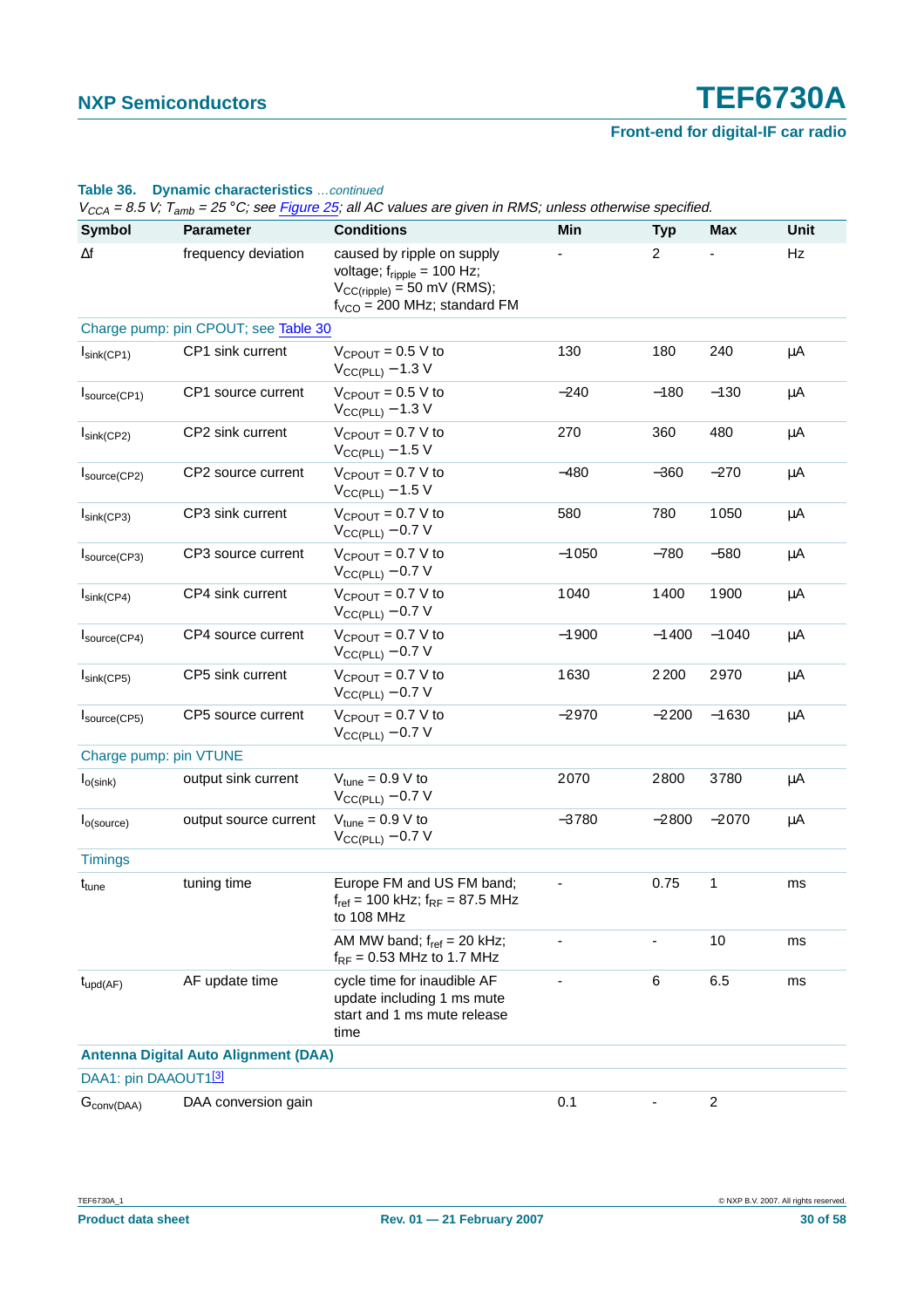|                         |                                             | $V_{CCA}$ = 8.5 V; 1 <sub>amb</sub> = 25 °C; see <u>Figure 25</u> ; all AC values are given in RMS; unless otherwise specified.                      |         |                              |         |         |
|-------------------------|---------------------------------------------|------------------------------------------------------------------------------------------------------------------------------------------------------|---------|------------------------------|---------|---------|
| Symbol                  | <b>Parameter</b>                            | <b>Conditions</b>                                                                                                                                    | Min     | <b>Typ</b>                   | Max     | Unit    |
| $\Delta f$              | frequency deviation                         | caused by ripple on supply<br>voltage; $f_{\text{ripple}} = 100 \text{ Hz}$ ;<br>$V_{CC(ripple)} = 50$ mV (RMS);<br>$f_{VCO}$ = 200 MHz; standard FM |         | $\overline{2}$               |         | Hz      |
|                         | Charge pump: pin CPOUT; see Table 30        |                                                                                                                                                      |         |                              |         |         |
| $I_{\text{sink}(CP1)}$  | CP1 sink current                            | $V_{CPOUT} = 0.5 V to$<br>$V_{CC(PLL)} - 1.3 V$                                                                                                      | 130     | 180                          | 240     | $\mu$ A |
| Isource(CP1)            | CP1 source current                          | $V_{CPOUT} = 0.5 V to$<br>$V_{\text{CC(PLL)}}$ – 1.3 V                                                                                               | $-240$  | $-180$                       | $-130$  | $\mu$ A |
| $I_{\text{sink}(CP2)}$  | CP2 sink current                            | $V_{CPOUT} = 0.7 V to$<br>$V_{\text{CC(PLL)}}$ – 1.5 V                                                                                               | 270     | 360                          | 480     | μA      |
| Isource(CP2)            | CP2 source current                          | $V_{CPOUT} = 0.7 V to$<br>$V_{CC(PLL)} - 1.5 V$                                                                                                      | $-480$  | $-360$                       | $-270$  | $\mu$ A |
| $I_{\text{sink}(CP3)}$  | CP3 sink current                            | $V_{CPOUT} = 0.7 V to$<br>$V_{\text{CC(PLL)}} - 0.7$ V                                                                                               | 580     | 780                          | 1050    | $\mu$ A |
| Isource(CP3)            | CP3 source current                          | $V_{CPOUT} = 0.7 V to$<br>$V_{CC(PLL)} - 0.7 V$                                                                                                      | $-1050$ | $-780$                       | $-580$  | μA      |
| $I_{\text{sink}(CP4)}$  | CP4 sink current                            | $V_{CPOUT} = 0.7 V to$<br>$V_{CC(PLL)} - 0.7 V$                                                                                                      | 1040    | 1400                         | 1900    | μA      |
| Source(CP4)             | CP4 source current                          | $V_{CPOUT} = 0.7 V to$<br>$V_{\text{CC}(PLL)} - 0.7 V$                                                                                               | $-1900$ | $-1400$                      | $-1040$ | μA      |
| $I_{\text{sink}(CP5)}$  | CP5 sink current                            | $V_{CPOUT} = 0.7 V to$<br>$V_{\text{CC(PLL)}}$ – 0.7 V                                                                                               | 1630    | 2200                         | 2970    | μA      |
| Isource(CP5)            | CP5 source current                          | $V_{CPOUT} = 0.7 V to$<br>$V_{\text{CC(PLL)}}$ – 0.7 V                                                                                               | $-2970$ | $-2200$                      | $-1630$ | μA      |
| Charge pump: pin VTUNE  |                                             |                                                                                                                                                      |         |                              |         |         |
| $I_{O(sink)}$           | output sink current                         | $V_{tune} = 0.9 V to$<br>$V_{CC(PLL)} - 0.7 V$                                                                                                       | 2070    | 2800                         | 3780    | μA      |
| I <sub>o</sub> (source) | output source current                       | $V_{tune} = 0.9 V to$<br>$V_{CC(PLL)} - 0.7 V$                                                                                                       | $-3780$ | $-2800$                      | $-2070$ | $\mu$ A |
| <b>Timings</b>          |                                             |                                                                                                                                                      |         |                              |         |         |
| t <sub>tune</sub>       | tuning time                                 | Europe FM and US FM band;<br>$f_{ref}$ = 100 kHz; $f_{RF}$ = 87.5 MHz<br>to 108 MHz                                                                  |         | 0.75                         | 1       | ms      |
|                         |                                             | AM MW band; $f_{ref} = 20$ kHz;<br>$f_{RF}$ = 0.53 MHz to 1.7 MHz                                                                                    |         |                              | 10      | ms      |
| $t_{\text{upd}(AF)}$    | AF update time                              | cycle time for inaudible AF<br>update including 1 ms mute<br>start and 1 ms mute release<br>time                                                     |         | 6                            | 6.5     | ms      |
|                         | <b>Antenna Digital Auto Alignment (DAA)</b> |                                                                                                                                                      |         |                              |         |         |
| DAA1: pin DAAOUT1[3]    |                                             |                                                                                                                                                      |         |                              |         |         |
| $G_{\text{conv}(DAA)}$  | DAA conversion gain                         |                                                                                                                                                      | 0.1     | $\qquad \qquad \blacksquare$ | 2       |         |

### **Table 36. Dynamic characteristics** …continued

 $\mathcal{L}_{\text{VSS}}$  are signal in RMC; unless athenyise specified.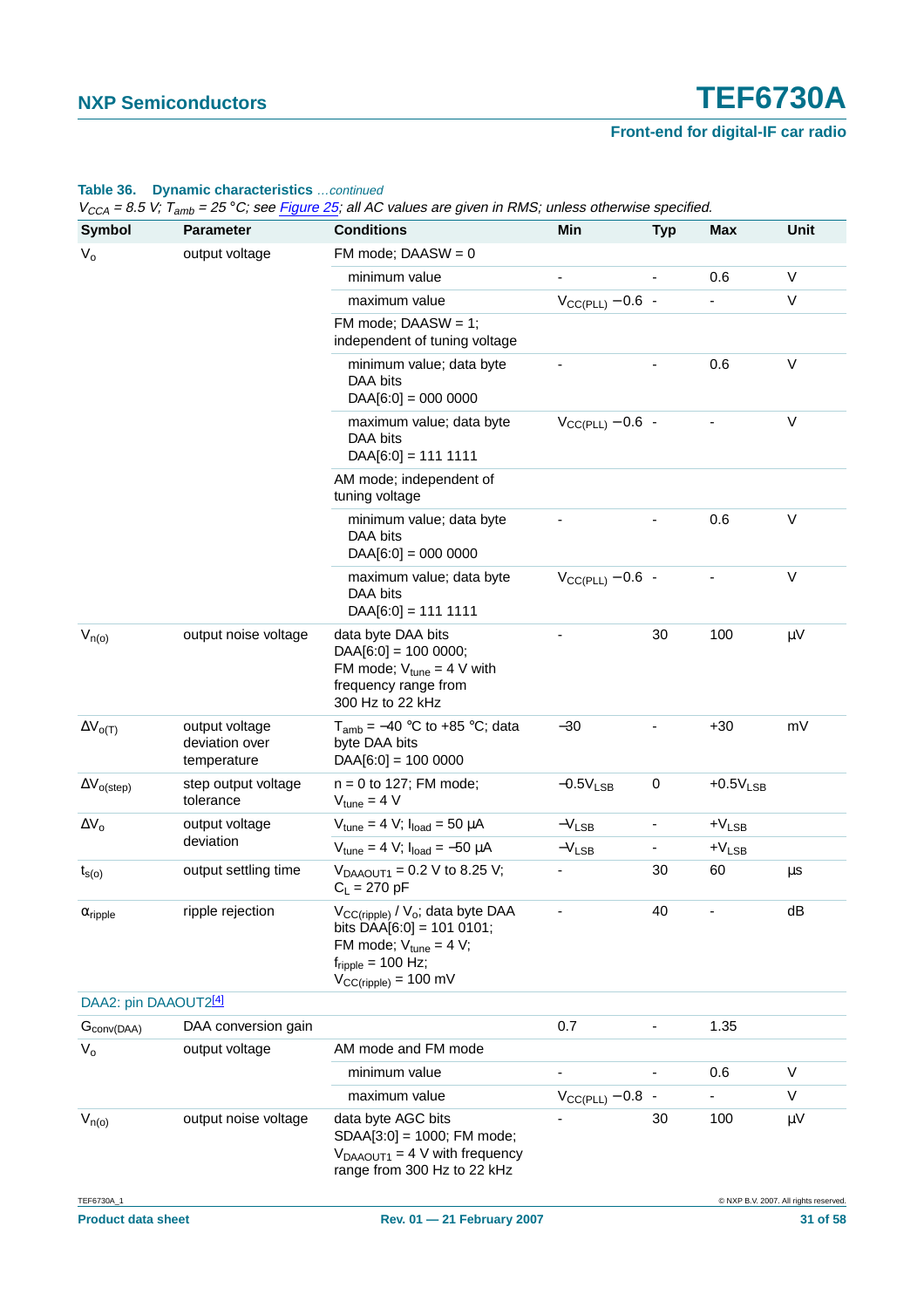### **Table 36. Dynamic characteristics** …continued

| <b>Symbol</b>              | <b>Parameter</b>                                | <b>Conditions</b>                                                                                                                                                                              | Min                   | <b>Typ</b>               | <b>Max</b>             | Unit                                  |
|----------------------------|-------------------------------------------------|------------------------------------------------------------------------------------------------------------------------------------------------------------------------------------------------|-----------------------|--------------------------|------------------------|---------------------------------------|
| $V_{o}$                    | output voltage                                  | FM mode; $DAASW = 0$                                                                                                                                                                           |                       |                          |                        |                                       |
|                            |                                                 | minimum value                                                                                                                                                                                  |                       |                          | 0.6                    | $\vee$                                |
|                            |                                                 | maximum value                                                                                                                                                                                  | $V_{CC(PLL)} - 0.6$ - |                          |                        | V                                     |
|                            |                                                 | FM mode; $DAASW = 1$ ;<br>independent of tuning voltage                                                                                                                                        |                       |                          |                        |                                       |
|                            |                                                 | minimum value; data byte<br>DAA bits<br>$DAA[6:0] = 000 0000$                                                                                                                                  |                       |                          | 0.6                    | V                                     |
|                            |                                                 | maximum value; data byte<br>DAA bits<br>$DAA[6:0] = 1111111$                                                                                                                                   | $V_{CC(PLL)} - 0.6$ - |                          |                        | V                                     |
|                            |                                                 | AM mode; independent of<br>tuning voltage                                                                                                                                                      |                       |                          |                        |                                       |
|                            |                                                 | minimum value; data byte<br>DAA bits<br>$DAA[6:0] = 000 0000$                                                                                                                                  |                       |                          | 0.6                    | $\vee$                                |
|                            |                                                 | maximum value; data byte<br>DAA bits<br>$DAA[6:0] = 111 1111$                                                                                                                                  | $V_{CC(PLL)} - 0.6$ - |                          |                        | V                                     |
| $V_{n(o)}$                 | output noise voltage                            | data byte DAA bits<br>$DAA[6:0] = 100 0000;$<br>FM mode; $V_{tune} = 4 V$ with<br>frequency range from<br>300 Hz to 22 kHz                                                                     |                       | 30                       | 100                    | $\mu$ V                               |
| $\Delta V_{O(T)}$          | output voltage<br>deviation over<br>temperature | $T_{amb} = -40$ °C to +85 °C; data<br>byte DAA bits<br>$DAA[6:0] = 100 0000$                                                                                                                   | $-30$                 |                          | $+30$                  | mV                                    |
| $\Delta V_{o (step)}$      | step output voltage<br>tolerance                | $n = 0$ to 127; FM mode;<br>$V_{tune} = 4 V$                                                                                                                                                   | $-0.5V_{LSB}$         | $\pmb{0}$                | $+0.5V$ <sub>LSB</sub> |                                       |
| $\Delta {\rm V}_{\rm o}$   | output voltage                                  | $V_{tune} = 4 V; I_{load} = 50 \mu A$                                                                                                                                                          | $-V_{LSB}$            | $\overline{\phantom{a}}$ | $+V_{LSB}$             |                                       |
|                            | deviation                                       | $V_{tune} = 4 V$ ; $I_{load} = -50 \mu A$                                                                                                                                                      | $-V_{LSB}$            |                          | $+V_{LSB}$             |                                       |
| $t_{s(o)}$                 | output settling time                            | $V_{DAAOUT1} = 0.2 V$ to 8.25 V;<br>$C_L = 270 pF$                                                                                                                                             |                       | 30                       | 60                     | μs                                    |
| $\alpha$ <sub>ripple</sub> | ripple rejection                                | V <sub>CC(ripple)</sub> / V <sub>o</sub> ; data byte DAA<br>bits DAA $[6:0] = 101 0101;$<br>FM mode; $V_{tune} = 4 V$ ;<br>$f_{\text{ripple}} = 100 \text{ Hz}$ ;<br>$V_{CC(ripple)} = 100$ mV |                       | 40                       |                        | dB                                    |
| DAA2: pin DAAOUT2[4]       |                                                 |                                                                                                                                                                                                |                       |                          |                        |                                       |
| $G_{\text{conv}(DAA)}$     | DAA conversion gain                             |                                                                                                                                                                                                | 0.7                   |                          | 1.35                   |                                       |
| $V_{o}$                    | output voltage                                  | AM mode and FM mode                                                                                                                                                                            |                       |                          |                        |                                       |
|                            |                                                 | minimum value                                                                                                                                                                                  |                       |                          | 0.6                    | V                                     |
|                            |                                                 | maximum value                                                                                                                                                                                  | $V_{CC(PLL)} - 0.8$ - |                          |                        | V                                     |
| $V_{n(o)}$                 | output noise voltage                            | data byte AGC bits<br>SDAA[3:0] = 1000; FM mode;<br>$V_{DAAOUT1} = 4$ V with frequency<br>range from 300 Hz to 22 kHz                                                                          |                       | 30                       | 100                    | μV                                    |
| TEF6730A_1                 |                                                 |                                                                                                                                                                                                |                       |                          |                        | C NXP B.V. 2007. All rights reserved. |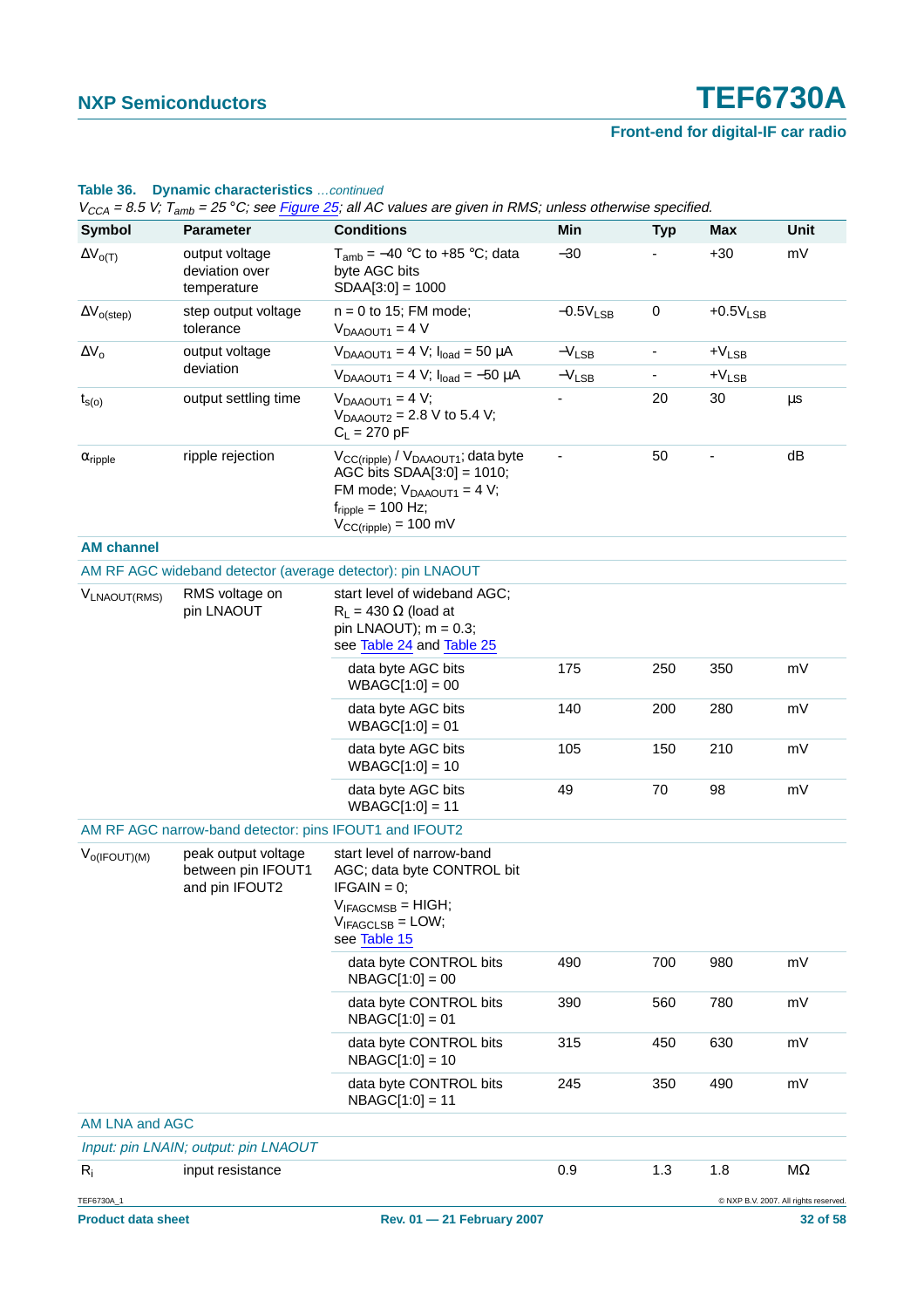|                            |                                                             | $V_{CCA}$ = 8.5 V; T <sub>amb</sub> = 25 °C; see Figure 25; all AC values are given in RMS; unless otherwise specified.                                                    |                        |            |            |                                       |
|----------------------------|-------------------------------------------------------------|----------------------------------------------------------------------------------------------------------------------------------------------------------------------------|------------------------|------------|------------|---------------------------------------|
| <b>Symbol</b>              | <b>Parameter</b>                                            | <b>Conditions</b>                                                                                                                                                          | Min                    | <b>Typ</b> | Max        | Unit                                  |
| $\Delta V_{O(T)}$          | output voltage<br>deviation over<br>temperature             | $T_{amb}$ = -40 °C to +85 °C; data<br>byte AGC bits<br>$SDAA[3:0] = 1000$                                                                                                  | $-30$                  |            | $+30$      | mV                                    |
| $\Delta V_{o (step)}$      | step output voltage<br>tolerance                            | $n = 0$ to 15; FM mode;<br>$V_{DAAOUT1} = 4 V$                                                                                                                             | $-0.5V$ <sub>LSB</sub> | $\pmb{0}$  | $+0.5VLSB$ |                                       |
| $\Delta V_o$               | output voltage                                              | $V_{DAAOUT1} = 4 V; I_{load} = 50 \mu A$                                                                                                                                   | $-V_{LSB}$             | -          | $+V_{LSB}$ |                                       |
|                            | deviation                                                   | $V_{DAAOUT1} = 4 V$ ; $I_{load} = -50 \mu A$                                                                                                                               | $-V_{LSB}$             | -          | $+V_{LSB}$ |                                       |
| $t_{s(o)}$                 | output settling time                                        | $V_{DAAOUT1} = 4 V;$<br>$V_{DAAOUT2} = 2.8 V$ to 5.4 V;<br>$C_L = 270 pF$                                                                                                  |                        | 20         | 30         | μs                                    |
| $\alpha$ <sub>ripple</sub> | ripple rejection                                            | $V_{CC(ripple)} / V_{DAAOUT1}$ ; data byte<br>AGC bits $SDAA[3:0] = 1010;$<br>FM mode; $V_{DAAOUT1} = 4 V$ ;<br>$f_{\text{ripole}}$ = 100 Hz;<br>$V_{CC(ripple)} = 100$ mV |                        | 50         |            | dB                                    |
| <b>AM channel</b>          |                                                             |                                                                                                                                                                            |                        |            |            |                                       |
|                            |                                                             | AM RF AGC wideband detector (average detector): pin LNAOUT                                                                                                                 |                        |            |            |                                       |
| V <sub>LNAOUT</sub> (RMS)  | RMS voltage on<br>pin LNAOUT                                | start level of wideband AGC;<br>$R_1$ = 430 $\Omega$ (load at<br>pin LNAOUT); $m = 0.3$ ;<br>see Table 24 and Table 25                                                     |                        |            |            |                                       |
|                            |                                                             | data byte AGC bits<br>$WBAGC[1:0] = 00$                                                                                                                                    | 175                    | 250        | 350        | mV                                    |
|                            |                                                             | data byte AGC bits<br>$WBAGC[1:0] = 01$                                                                                                                                    | 140                    | 200        | 280        | mV                                    |
|                            |                                                             | data byte AGC bits<br>$WBAGC[1:0] = 10$                                                                                                                                    | 105                    | 150        | 210        | mV                                    |
|                            |                                                             | data byte AGC bits<br>$WBAGC[1:0] = 11$                                                                                                                                    | 49                     | 70         | 98         | mV                                    |
|                            | AM RF AGC narrow-band detector: pins IFOUT1 and IFOUT2      |                                                                                                                                                                            |                        |            |            |                                       |
| $V_{O(IFOUT)(M)}$          | peak output voltage<br>between pin IFOUT1<br>and pin IFOUT2 | start level of narrow-band<br>AGC; data byte CONTROL bit<br>$IFGAIN = 0;$<br>$V_{IFAGCMSB} = HIGH;$<br>$V_{IFAGCLSB} = LOW;$<br>see Table 15                               |                        |            |            |                                       |
|                            |                                                             | data byte CONTROL bits<br>$NBAGC[1:0] = 00$                                                                                                                                | 490                    | 700        | 980        | mV                                    |
|                            |                                                             | data byte CONTROL bits<br>$NBAGC[1:0] = 01$                                                                                                                                | 390                    | 560        | 780        | mV                                    |
|                            |                                                             | data byte CONTROL bits<br>$NBAGC[1:0] = 10$                                                                                                                                | 315                    | 450        | 630        | mV                                    |
|                            |                                                             | data byte CONTROL bits<br>$NBAGC[1:0] = 11$                                                                                                                                | 245                    | 350        | 490        | mV                                    |
| AM LNA and AGC             |                                                             |                                                                                                                                                                            |                        |            |            |                                       |
|                            | Input: pin LNAIN; output: pin LNAOUT                        |                                                                                                                                                                            |                        |            |            |                                       |
| $R_i$                      | input resistance                                            |                                                                                                                                                                            | 0.9                    | 1.3        | 1.8        | ΜΩ                                    |
| TEF6730A_1                 |                                                             |                                                                                                                                                                            |                        |            |            | C NXP B.V. 2007. All rights reserved. |

### **Table 36. Dynamic characteristics** …continued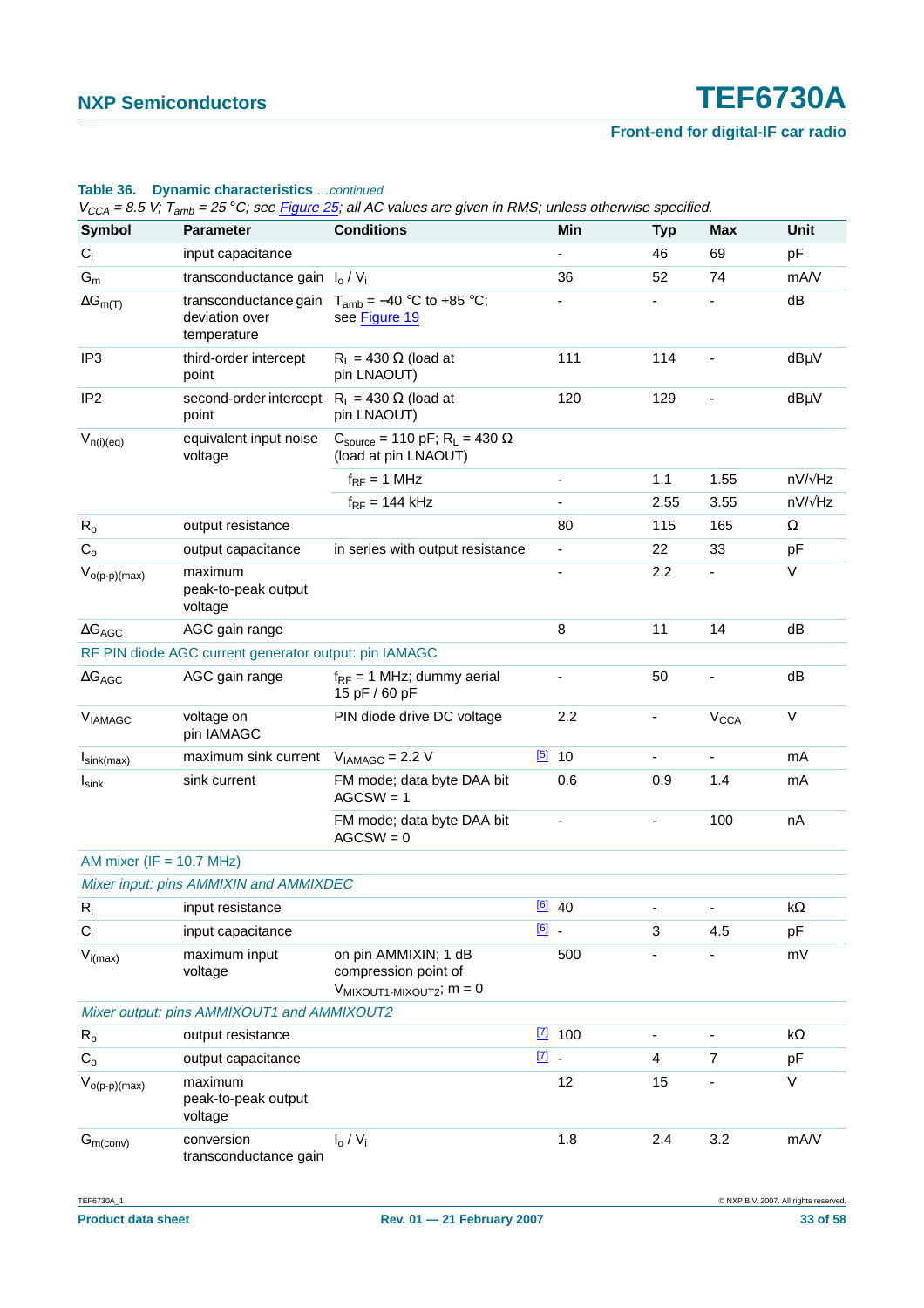### **Table 36. Dynamic characteristics** …continued

| <b>UUN</b>                                            |                                                             |                                                                                              |               |                    | <u>— г</u>               |                        |                    |  |
|-------------------------------------------------------|-------------------------------------------------------------|----------------------------------------------------------------------------------------------|---------------|--------------------|--------------------------|------------------------|--------------------|--|
| <b>Symbol</b>                                         | <b>Parameter</b>                                            | <b>Conditions</b>                                                                            |               | Min                | <b>Typ</b>               | <b>Max</b>             | Unit               |  |
| $C_i$                                                 | input capacitance                                           |                                                                                              |               |                    | 46                       | 69                     | pF                 |  |
| $\mathsf{G}_{\mathsf{m}}$                             | transconductance gain                                       | $I_0/V_i$                                                                                    |               | 36                 | 52                       | 74                     | mA/V               |  |
| $\Delta G_{m(T)}$                                     | transconductance gain<br>deviation over<br>temperature      | $T_{amb} = -40$ °C to +85 °C;<br>see Figure 19                                               |               |                    |                          |                        | dB                 |  |
| IP <sub>3</sub>                                       | third-order intercept<br>point                              | $R_L$ = 430 $\Omega$ (load at<br>pin LNAOUT)                                                 |               | 111                | 114                      |                        | dBµV               |  |
| IP <sub>2</sub>                                       | second-order intercept $R_1 = 430 \Omega$ (load at<br>point | pin LNAOUT)                                                                                  |               | 120                | 129                      |                        | dBµV               |  |
| $V_{n(i)(eq)}$                                        | equivalent input noise<br>voltage                           | $C_{\text{source}} = 110 \text{ pF}$ ; R <sub>L</sub> = 430 $\Omega$<br>(load at pin LNAOUT) |               |                    |                          |                        |                    |  |
|                                                       |                                                             | $f_{RF} = 1$ MHz                                                                             |               | ۰                  | 1.1                      | 1.55                   | nV/√Hz             |  |
|                                                       |                                                             | $f_{RF}$ = 144 kHz                                                                           |               |                    | 2.55                     | 3.55                   | nV/ $\sqrt{Hz}$    |  |
| $R_{o}$                                               | output resistance                                           |                                                                                              |               | 80                 | 115                      | 165                    | Ω                  |  |
| $C_{o}$                                               | output capacitance                                          | in series with output resistance                                                             |               |                    | 22                       | 33                     | pF                 |  |
| $V_{o(p-p)(max)}$                                     | maximum<br>peak-to-peak output<br>voltage                   |                                                                                              |               |                    | 2.2                      |                        | $\vee$             |  |
| $\Delta G_{AGC}$                                      | AGC gain range                                              |                                                                                              |               | 8                  | 11                       | 14                     | dB                 |  |
| RF PIN diode AGC current generator output: pin IAMAGC |                                                             |                                                                                              |               |                    |                          |                        |                    |  |
| $\Delta G_{AGC}$                                      | AGC gain range                                              | $f_{RF}$ = 1 MHz; dummy aerial<br>15 pF / 60 pF                                              |               |                    | 50                       |                        | dB                 |  |
| <b>VIAMAGC</b>                                        | voltage on<br>pin IAMAGC                                    | PIN diode drive DC voltage                                                                   |               | 2.2                | ۰                        | <b>V<sub>CCA</sub></b> | V                  |  |
| $I_{\text{sink(max)}}$                                | maximum sink current                                        | $V_{IAMAGC} = 2.2 V$                                                                         |               | $\frac{[5]}{2}$ 10 | $\overline{\phantom{0}}$ | $\blacksquare$         | mA                 |  |
| $I_{\textsf{sink}}$                                   | sink current                                                | FM mode; data byte DAA bit<br>$AGCSW = 1$                                                    |               | 0.6                | 0.9                      | 1.4                    | mA                 |  |
|                                                       |                                                             | FM mode; data byte DAA bit<br>$AGCSW = 0$                                                    |               |                    |                          | 100                    | nA                 |  |
| AM mixer ( $IF = 10.7 MHz$ )                          |                                                             |                                                                                              |               |                    |                          |                        |                    |  |
|                                                       | Mixer input: pins AMMIXIN and AMMIXDEC                      |                                                                                              |               |                    |                          |                        |                    |  |
| $R_i$                                                 | input resistance                                            |                                                                                              |               | $[6]$ 40           |                          |                        | $\mathsf{k}\Omega$ |  |
| $C_i$                                                 | input capacitance                                           |                                                                                              | $\boxed{6}$ - |                    | 3                        | 4.5                    | pF                 |  |
| $V_{i(max)}$                                          | maximum input<br>voltage                                    | on pin AMMIXIN; 1 dB<br>compression point of<br>$V_{MIXOUT1-MIXOUT2}$ ; $m = 0$              |               | 500                |                          |                        | mV                 |  |
|                                                       | Mixer output: pins AMMIXOUT1 and AMMIXOUT2                  |                                                                                              |               |                    |                          |                        |                    |  |
| $R_{o}$                                               | output resistance                                           |                                                                                              |               | $\boxed{7}$ 100    |                          |                        | kΩ                 |  |
| $C_{o}$                                               | output capacitance                                          |                                                                                              | $\boxed{7}$ . |                    | 4                        | $\overline{7}$         | pF                 |  |
| $V_{o(p-p)(max)}$                                     | maximum<br>peak-to-peak output<br>voltage                   |                                                                                              |               | 12                 | 15                       |                        | V                  |  |
| $G_{m$ (conv)                                         | conversion<br>transconductance gain                         | $I_0/V_i$                                                                                    |               | 1.8                | 2.4                      | 3.2                    | mA/V               |  |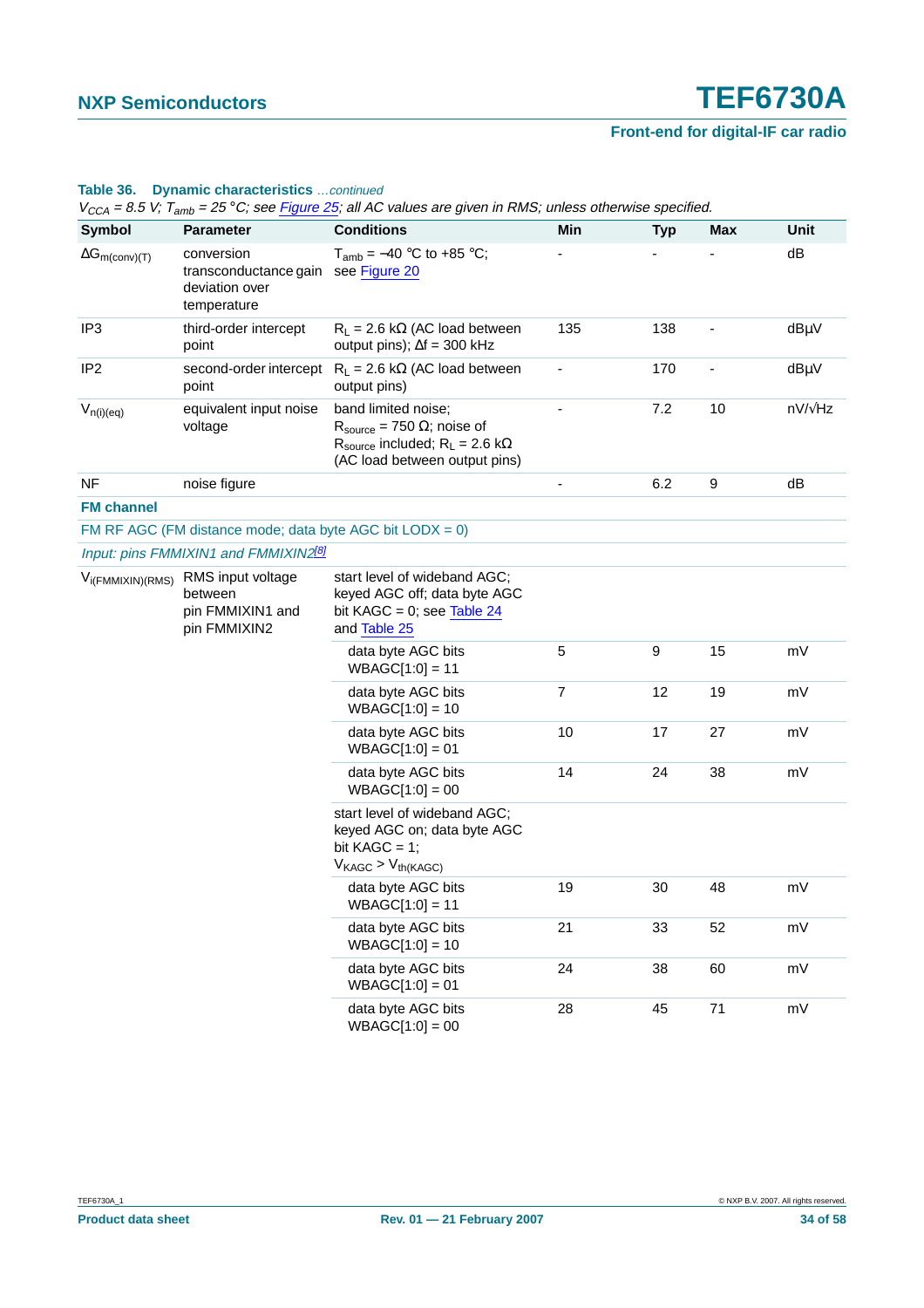### **Table 36. Dynamic characteristics** …continued

| <b>Symbol</b>                  | <b>Parameter</b>                                                                               | <b>Conditions</b>                                                                                                                                    | Min                      | <b>Typ</b> | Max | Unit            |
|--------------------------------|------------------------------------------------------------------------------------------------|------------------------------------------------------------------------------------------------------------------------------------------------------|--------------------------|------------|-----|-----------------|
| $\Delta G_{m\text{(conv)}(T)}$ | conversion<br>transconductance gain<br>deviation over<br>temperature                           | $T_{amb} = -40 °C$ to +85 °C;<br>see Figure 20                                                                                                       |                          |            |     | dB              |
| IP <sub>3</sub>                | third-order intercept<br>point                                                                 | $R_L$ = 2.6 k $\Omega$ (AC load between<br>output pins); $\Delta f = 300$ kHz                                                                        | 135                      | 138        |     | dBµV            |
| IP <sub>2</sub>                | second-order intercept<br>point                                                                | $R_L$ = 2.6 k $\Omega$ (AC load between<br>output pins)                                                                                              | $\overline{\phantom{a}}$ | 170        |     | dBµV            |
| $V_{n(i)(eq)}$                 | equivalent input noise<br>voltage                                                              | band limited noise;<br>$R_{\text{source}} = 750 \Omega$ ; noise of<br>$R_{source}$ included; $R_L = 2.6$ k $\Omega$<br>(AC load between output pins) |                          | 7.2        | 10  | nV/ $\sqrt{Hz}$ |
| NF                             | noise figure                                                                                   |                                                                                                                                                      |                          | 6.2        | 9   | dB              |
| <b>FM channel</b>              |                                                                                                |                                                                                                                                                      |                          |            |     |                 |
|                                |                                                                                                | FM RF AGC (FM distance mode; data byte AGC bit $LODX = 0$ )                                                                                          |                          |            |     |                 |
|                                | Input: pins FMMIXIN1 and FMMIXIN2 <sup>[8]</sup>                                               |                                                                                                                                                      |                          |            |     |                 |
|                                | V <sub>i(FMMIXIN)</sub> (RMS) RMS input voltage<br>between<br>pin FMMIXIN1 and<br>pin FMMIXIN2 | start level of wideband AGC;<br>keyed AGC off; data byte AGC<br>bit KAGC = $0$ ; see Table 24<br>and Table 25                                        |                          |            |     |                 |
|                                |                                                                                                | data byte AGC bits<br>$WBAGC[1:0] = 11$                                                                                                              | $\sqrt{5}$               | 9          | 15  | mV              |
|                                |                                                                                                | data byte AGC bits<br>$WBAGC[1:0] = 10$                                                                                                              | 7                        | 12         | 19  | mV              |
|                                |                                                                                                | data byte AGC bits<br>$WBAGC[1:0] = 01$                                                                                                              | 10                       | 17         | 27  | mV              |
|                                |                                                                                                | data byte AGC bits<br>$WBAGC[1:0] = 00$                                                                                                              | 14                       | 24         | 38  | mV              |
|                                |                                                                                                | start level of wideband AGC;<br>keyed AGC on; data byte AGC<br>bit KAGC = $1$ ;<br>$V_{KAGC}$ > $V_{th(KAGC)}$                                       |                          |            |     |                 |
|                                |                                                                                                | data byte AGC bits<br>$WBAGC[1:0] = 11$                                                                                                              | 19                       | 30         | 48  | mV              |
|                                |                                                                                                | data byte AGC bits<br>$WBAGC[1:0] = 10$                                                                                                              | 21                       | 33         | 52  | mV              |
|                                |                                                                                                | data byte AGC bits<br>$WBAGC[1:0] = 01$                                                                                                              | 24                       | 38         | 60  | mV              |
|                                |                                                                                                | data byte AGC bits<br>$WBAGC[1:0] = 00$                                                                                                              | 28                       | 45         | 71  | mV              |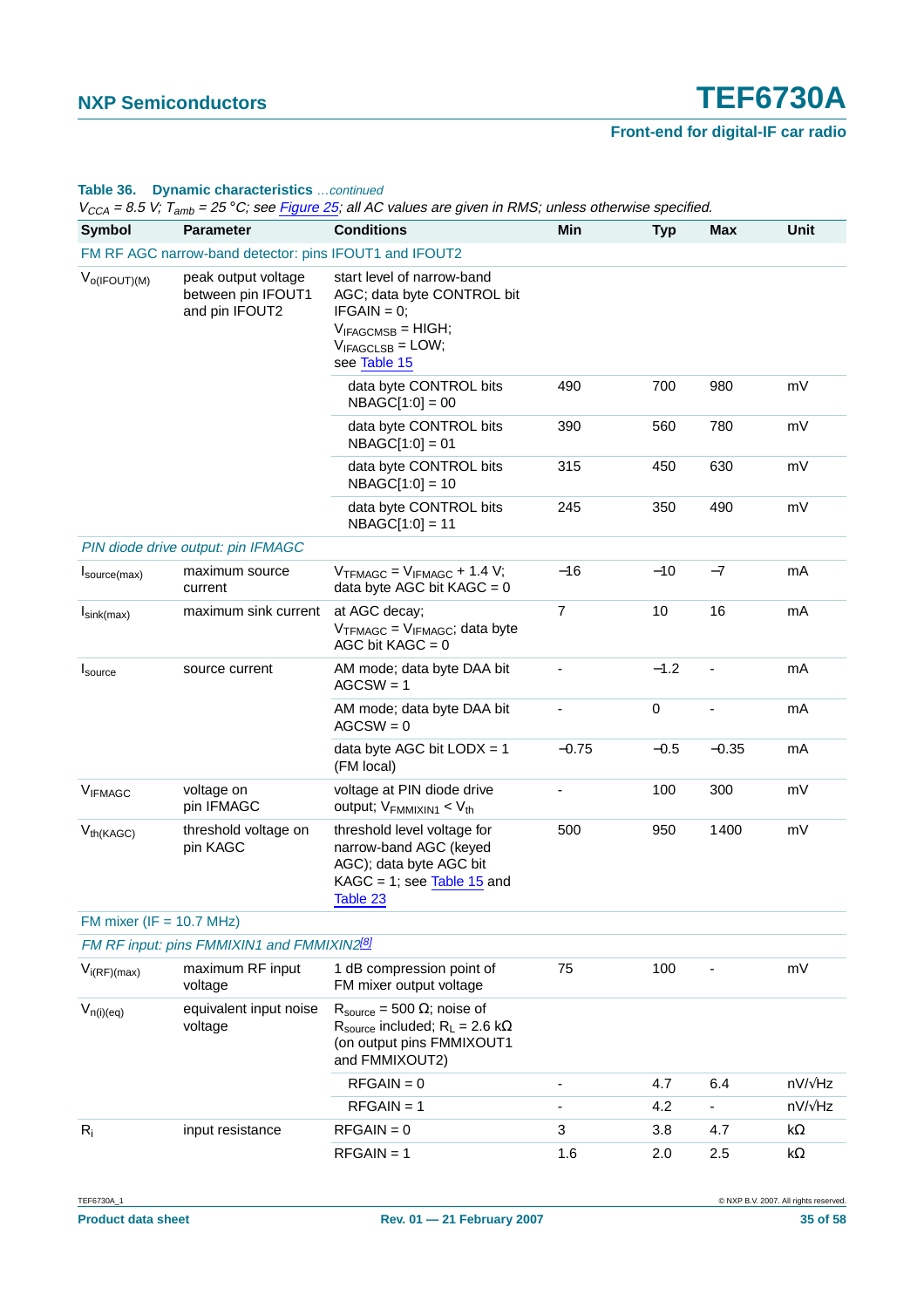### **Table 36. Dynamic characteristics** …continued

| ゛ししハ<br>- 0.0 %, amp<br><b>Symbol</b> | <b>Parameter</b>                                            | <b>Conditions</b>                                                                                                                            | Min     | <b>Typ</b> | <b>Max</b> | Unit            |
|---------------------------------------|-------------------------------------------------------------|----------------------------------------------------------------------------------------------------------------------------------------------|---------|------------|------------|-----------------|
|                                       | FM RF AGC narrow-band detector: pins IFOUT1 and IFOUT2      |                                                                                                                                              |         |            |            |                 |
| $V_{O(IFOUT)(M)}$                     | peak output voltage<br>between pin IFOUT1<br>and pin IFOUT2 | start level of narrow-band<br>AGC; data byte CONTROL bit<br>$IFGAIN = 0;$<br>$V_{IFAGCMSB} = HIGH;$<br>$V_{IFAGCLSB} = LOW;$<br>see Table 15 |         |            |            |                 |
|                                       |                                                             | data byte CONTROL bits<br>$NBAGC[1:0] = 00$                                                                                                  | 490     | 700        | 980        | mV              |
|                                       |                                                             | data byte CONTROL bits<br>$NBAGC[1:0] = 01$                                                                                                  | 390     | 560        | 780        | mV              |
|                                       |                                                             | data byte CONTROL bits<br>$NBAGC[1:0] = 10$                                                                                                  | 315     | 450        | 630        | mV              |
|                                       |                                                             | data byte CONTROL bits<br>$NBAGC[1:0] = 11$                                                                                                  | 245     | 350        | 490        | mV              |
|                                       | PIN diode drive output: pin IFMAGC                          |                                                                                                                                              |         |            |            |                 |
| $I_{source(max)}$                     | maximum source<br>current                                   | $V$ TFMAGC = $V$ IFMAGC + 1.4 V;<br>data byte AGC bit $KAGC = 0$                                                                             | $-16$   | $-10$      | $-7$       | mA              |
| $I_{\text{sink(max)}}$                | maximum sink current                                        | at AGC decay;<br>$V$ TFMAGC = $V_{IFMAGC}$ ; data byte<br>AGC bit $KAGC = 0$                                                                 | 7       | 10         | 16         | mA              |
| $I_{\text{source}}$                   | source current                                              | AM mode; data byte DAA bit<br>$AGCSW = 1$                                                                                                    |         | $-1.2$     |            | mA              |
|                                       |                                                             | AM mode; data byte DAA bit<br>$AGCSW = 0$                                                                                                    |         | $\pmb{0}$  |            | mA              |
|                                       |                                                             | data byte AGC bit $LODX = 1$<br>(FM local)                                                                                                   | $-0.75$ | $-0.5$     | $-0.35$    | mA              |
| <b>VIFMAGC</b>                        | voltage on<br>pin IFMAGC                                    | voltage at PIN diode drive<br>output; $V_{FMMIXIN1}$ < $V_{th}$                                                                              |         | 100        | 300        | mV              |
| $V_{th(KAGC)}$                        | threshold voltage on<br>pin KAGC                            | threshold level voltage for<br>narrow-band AGC (keyed<br>AGC); data byte AGC bit<br>$KAGC = 1$ ; see Table 15 and<br>Table 23                | 500     | 950        | 1400       | mV              |
| FM mixer ( $IF = 10.7 MHz$ )          |                                                             |                                                                                                                                              |         |            |            |                 |
|                                       | FM RF input: pins FMMIXIN1 and FMMIXIN2 <sup>[8]</sup>      |                                                                                                                                              |         |            |            |                 |
| $V_{i(RF)(max)}$                      | maximum RF input<br>voltage                                 | 1 dB compression point of<br>FM mixer output voltage                                                                                         | 75      | 100        |            | mV              |
| $V_{n(i)(eq)}$                        | equivalent input noise<br>voltage                           | $R_{\text{source}} = 500 \Omega$ ; noise of<br>$R_{source}$ included; $R_L = 2.6$ k $\Omega$<br>(on output pins FMMIXOUT1<br>and FMMIXOUT2)  |         |            |            |                 |
|                                       |                                                             | $RFGAIN = 0$                                                                                                                                 | ٠       | 4.7        | 6.4        | nV/ $\sqrt{Hz}$ |
|                                       |                                                             | $RFGAIN = 1$                                                                                                                                 |         | 4.2        |            | nV/ $\sqrt{Hz}$ |
| $R_i$                                 | input resistance                                            | $RFGAIN = 0$                                                                                                                                 | 3       | 3.8        | 4.7        | k $\Omega$      |
|                                       |                                                             | $RFGAIN = 1$                                                                                                                                 | 1.6     | 2.0        | 2.5        | kΩ              |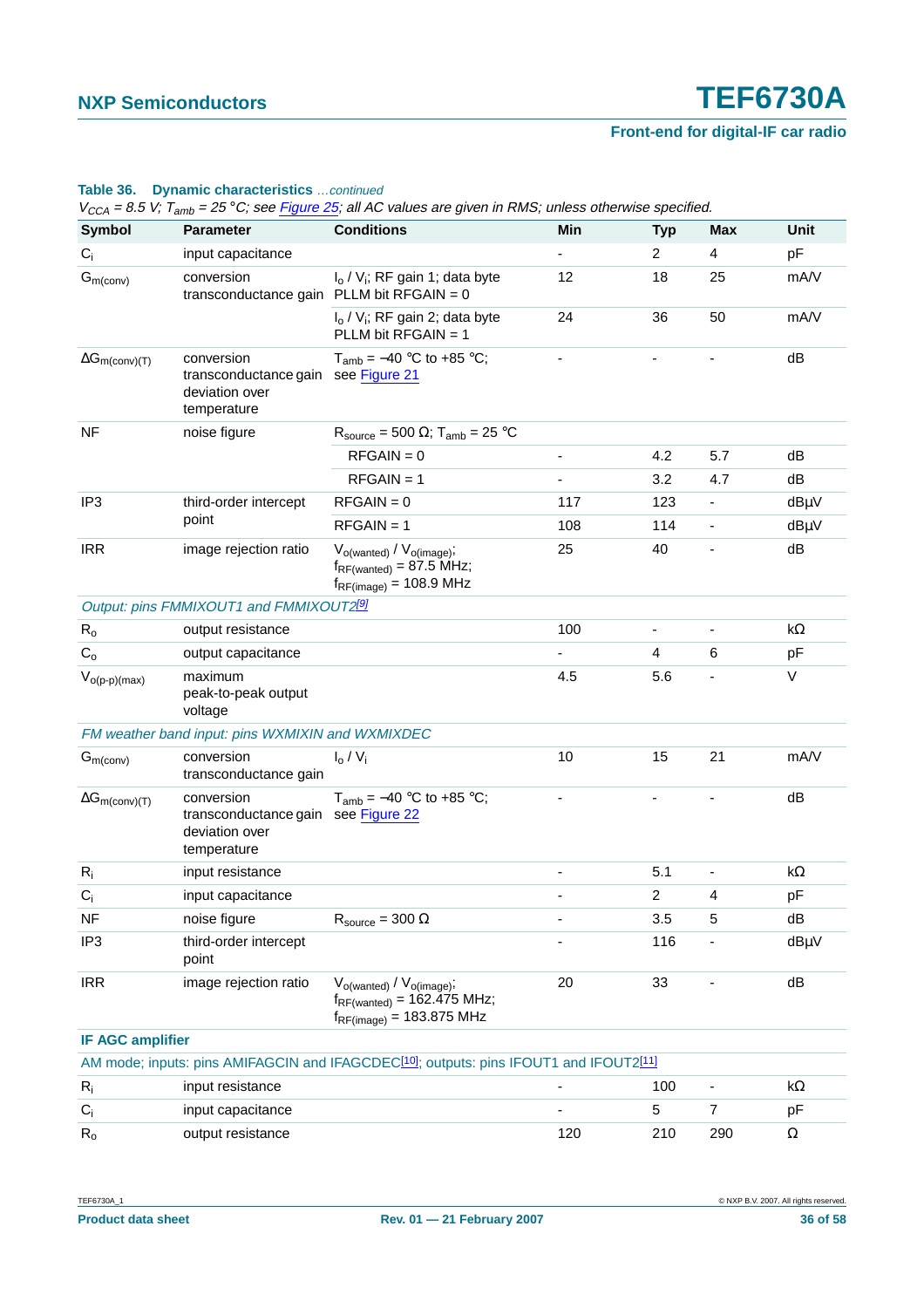### **Table 36. Dynamic characteristics** …continued

| <b>Symbol</b>                  | <b>Parameter</b>                                                                   | <b>Conditions</b>                                                                                                   | Min                      | <b>Typ</b>     | <b>Max</b>     | Unit       |
|--------------------------------|------------------------------------------------------------------------------------|---------------------------------------------------------------------------------------------------------------------|--------------------------|----------------|----------------|------------|
| $C_i$                          | input capacitance                                                                  |                                                                                                                     |                          | $\overline{2}$ | $\overline{4}$ | pF         |
| $G_{m (conv)}$                 | conversion<br>transconductance gain PLLM bit RFGAIN = $0$                          | $I_0 / V_i$ ; RF gain 1; data byte                                                                                  | 12                       | 18             | 25             | mA/V       |
|                                |                                                                                    | $I_0 / V_i$ ; RF gain 2; data byte<br>PLLM bit RFGAIN = 1                                                           | 24                       | 36             | 50             | mA/V       |
| $\Delta G_{m\text{(conv)}(T)}$ | conversion<br>transconductance gain see Figure 21<br>deviation over<br>temperature | $T_{amb} = -40$ °C to +85 °C;                                                                                       |                          |                |                | dB         |
| <b>NF</b>                      | noise figure                                                                       | $R_{\text{source}} = 500 \Omega$ ; T <sub>amb</sub> = 25 °C                                                         |                          |                |                |            |
|                                |                                                                                    | $RFGAIN = 0$                                                                                                        |                          | 4.2            | 5.7            | dB         |
|                                |                                                                                    | $RFGAIN = 1$                                                                                                        |                          | 3.2            | 4.7            | dB         |
| IP <sub>3</sub>                | third-order intercept                                                              | $RFGAIN = 0$                                                                                                        | 117                      | 123            |                | $dB\mu V$  |
|                                | point                                                                              | $RFGAIN = 1$                                                                                                        | 108                      | 114            |                | dBµV       |
| <b>IRR</b>                     | image rejection ratio                                                              | $V_{o(wanted)} / V_{o(image)}$ ;<br>$f_{RF(wanted)} = 87.5 \text{ MHz};$<br>$f_{RF(image)} = 108.9 \text{ MHz}$     | 25                       | 40             |                | dB         |
|                                | Output: pins FMMIXOUT1 and FMMIXOUT2 <sup>[9]</sup>                                |                                                                                                                     |                          |                |                |            |
| $R_{o}$                        | output resistance                                                                  |                                                                                                                     | 100                      | $\blacksquare$ | $\blacksquare$ | $k\Omega$  |
| $C_{o}$                        | output capacitance                                                                 |                                                                                                                     |                          | 4              | 6              | pF         |
| $V_{o(p-p)(max)}$              | maximum<br>peak-to-peak output<br>voltage                                          |                                                                                                                     | 4.5                      | 5.6            |                | $\vee$     |
|                                | FM weather band input: pins WXMIXIN and WXMIXDEC                                   |                                                                                                                     |                          |                |                |            |
| $G_{m$ (conv)                  | conversion<br>transconductance gain                                                | $I_0/V_i$                                                                                                           | 10                       | 15             | 21             | mA/V       |
| $\Delta G_{m\text{(conv)}(T)}$ | conversion<br>transconductance gain see Figure 22<br>deviation over<br>temperature | $T_{amb} = -40$ °C to +85 °C;                                                                                       | $\overline{\phantom{a}}$ |                |                | dB         |
| $R_i$                          | input resistance                                                                   |                                                                                                                     |                          | 5.1            | $\blacksquare$ | $k\Omega$  |
| $C_i$                          | input capacitance                                                                  |                                                                                                                     |                          | $\overline{c}$ | 4              | pF         |
| <b>NF</b>                      | noise figure                                                                       | $R_{source} = 300 \Omega$                                                                                           |                          | 3.5            | 5              | dB         |
| IP <sub>3</sub>                | third-order intercept<br>point                                                     |                                                                                                                     |                          | 116            |                | $dB\mu V$  |
| <b>IRR</b>                     | image rejection ratio                                                              | $V_{o(wanted)} / V_{o(mage)}$ ;<br>$f_{RF(wanted)} = 162.475 \text{ MHz};$<br>$f_{RF(image)} = 183.875 \text{ MHz}$ | 20                       | 33             |                | dB         |
| <b>IF AGC amplifier</b>        |                                                                                    |                                                                                                                     |                          |                |                |            |
|                                |                                                                                    | AM mode; inputs: pins AMIFAGCIN and IFAGCDEC <sup>[10]</sup> ; outputs: pins IFOUT1 and IFOUT2 <sup>[11]</sup>      |                          |                |                |            |
| $R_i$                          | input resistance                                                                   |                                                                                                                     |                          | 100            | $\blacksquare$ | k $\Omega$ |
| $C_i$                          | input capacitance                                                                  |                                                                                                                     |                          | 5              | $\overline{7}$ | pF         |
| $R_{o}$                        | output resistance                                                                  |                                                                                                                     | 120                      | 210            | 290            | $\Omega$   |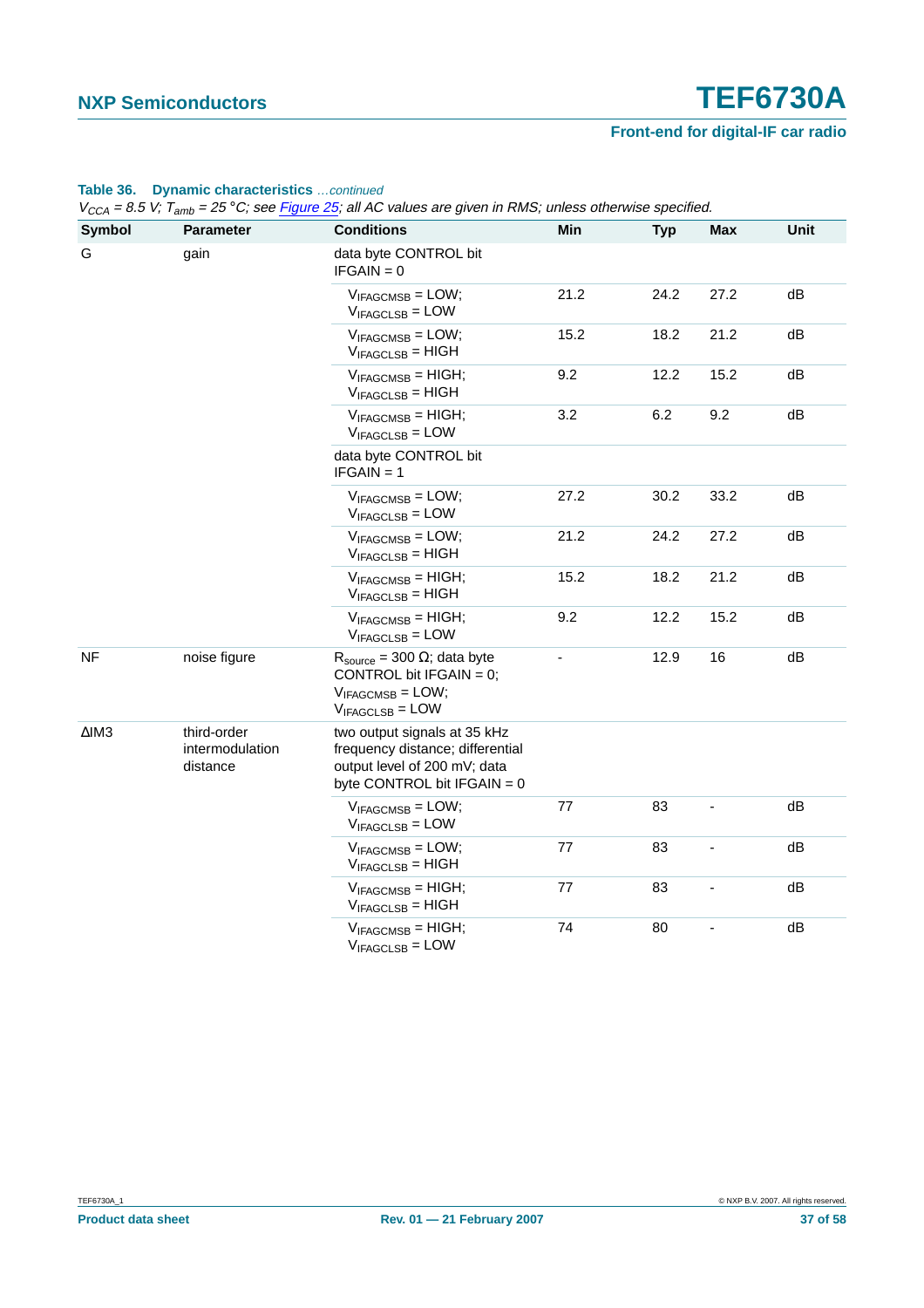### **Table 36. Dynamic characteristics** …continued

| <b>Symbol</b>   | <b>Parameter</b>                           | <b>Conditions</b>                                                                                                                 | Min  | <b>Typ</b> | <b>Max</b> | Unit |
|-----------------|--------------------------------------------|-----------------------------------------------------------------------------------------------------------------------------------|------|------------|------------|------|
| G               | gain                                       | data byte CONTROL bit<br>$IFGAIN = 0$                                                                                             |      |            |            |      |
|                 |                                            | $V_{IFAGCMSB} = LOW;$<br>$V_{IFAGCLSB} = LOW$                                                                                     | 21.2 | 24.2       | 27.2       | dB   |
|                 |                                            | $V_{IFAGCMSB} = LOW;$<br>$V_{IFAGCLSB} = HIGH$                                                                                    | 15.2 | 18.2       | 21.2       | dВ   |
|                 |                                            | $V_{IFAGCMSB} = HIGH;$<br>$V_{IFAGCLSB} = HIGH$                                                                                   | 9.2  | 12.2       | 15.2       | dB   |
|                 |                                            | $V_{IFAGCMSB} = HIGH;$<br>$V_{IFAGCLSB} = LOW$                                                                                    | 3.2  | 6.2        | 9.2        | dB   |
|                 |                                            | data byte CONTROL bit<br>$IFGAIN = 1$                                                                                             |      |            |            |      |
|                 |                                            | $V_{IFAGCMSB} =$ LOW;<br>$V_{IFAGCLSB} = LOW$                                                                                     | 27.2 | 30.2       | 33.2       | dB   |
|                 |                                            | $V_{IFAGCMSB} = LOW;$<br>$V_{IFAGCLSB} = HIGH$                                                                                    | 21.2 | 24.2       | 27.2       | dB   |
|                 |                                            | $V_{IFAGCMSB} = HIGH;$<br>$V_{IFAGCLSB} = HIGH$                                                                                   | 15.2 | 18.2       | 21.2       | dВ   |
|                 |                                            | $V_{IFAGCMSB} = HIGH;$<br>$V_{IFAGCLSB} = LOW$                                                                                    | 9.2  | 12.2       | 15.2       | dB   |
| <b>NF</b>       | noise figure                               | $R_{\text{source}} = 300 \Omega$ ; data byte<br>CONTROL bit IFGAIN = $0$ ;<br>$V_{IFAGCMSB} = LOW;$<br>$V_{IFAGCLSB} = LOW$       |      | 12.9       | 16         | dB   |
| $\triangle$ IM3 | third-order<br>intermodulation<br>distance | two output signals at 35 kHz<br>frequency distance; differential<br>output level of 200 mV; data<br>byte CONTROL bit $IFGAIN = 0$ |      |            |            |      |
|                 |                                            | $V_{IFAGCMSB} = LOW;$<br>$V_{IFAGCLSB} =$ LOW                                                                                     | 77   | 83         |            | dB   |
|                 |                                            | $V_{IFAGCMSB} = LOW;$<br>$V_{IFAGCLSB} = HIGH$                                                                                    | 77   | 83         |            | dB   |
|                 |                                            | $V_{IFAGCMSB} = HIGH;$<br>$V_{IFAGCLSB} = HIGH$                                                                                   | 77   | 83         |            | dB   |
|                 |                                            | $V_{IFAGCMSB} = HIGH;$<br>$V_{IFAGCLSB} = LOW$                                                                                    | 74   | 80         |            | dB   |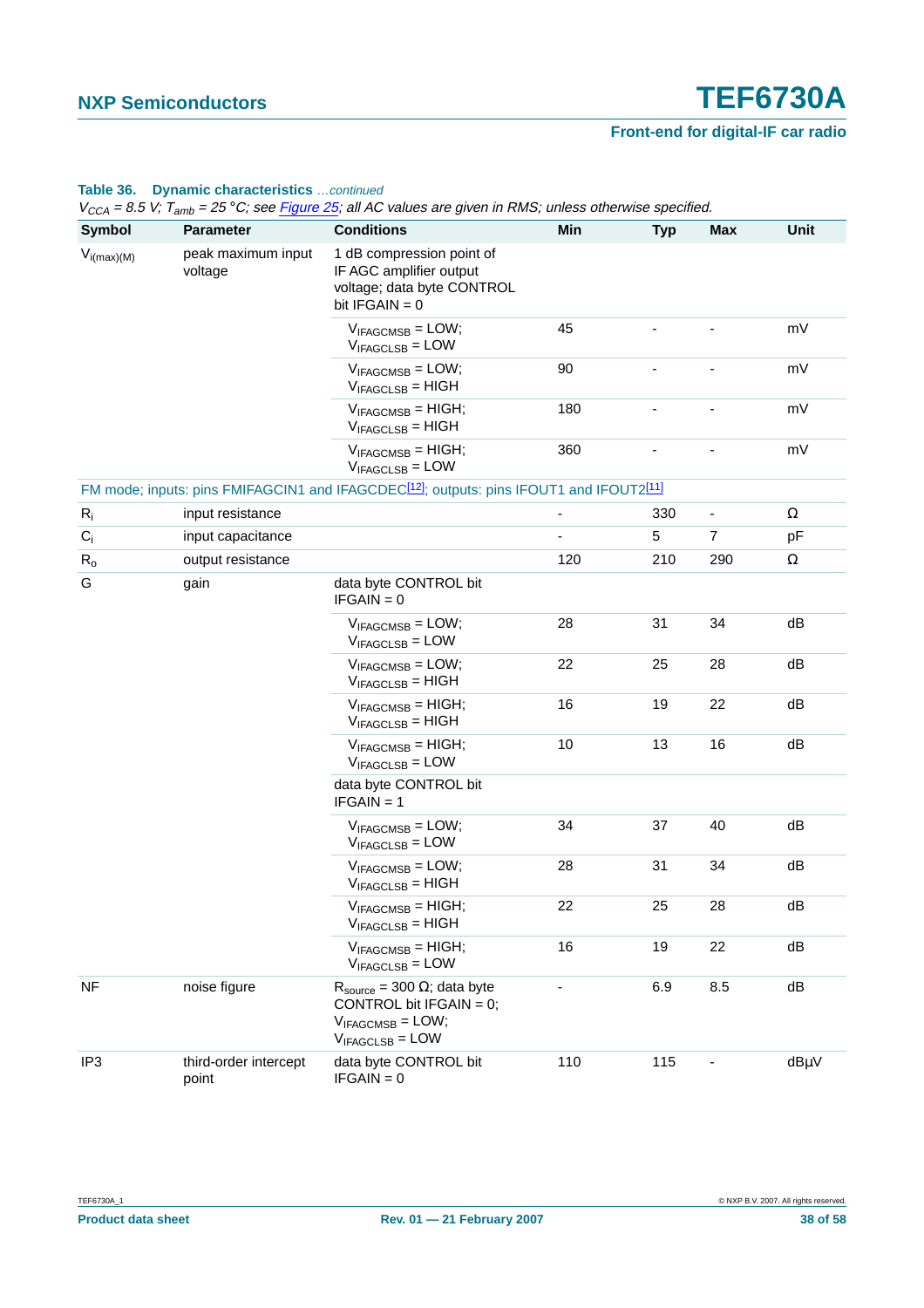### **Table 36. Dynamic characteristics** …continued

| <b>Symbol</b>   | <b>Parameter</b>               | <b>Conditions</b>                                                                                                           | Min | <b>Typ</b> | <b>Max</b>     | Unit     |
|-----------------|--------------------------------|-----------------------------------------------------------------------------------------------------------------------------|-----|------------|----------------|----------|
| $V_{i(max)(M)}$ | peak maximum input<br>voltage  | 1 dB compression point of<br>IF AGC amplifier output<br>voltage; data byte CONTROL<br>bit $IFGAIN = 0$                      |     |            |                |          |
|                 |                                | $V_{IFAGCMSB} = LOW;$<br>$V_{IFAGCLSB} =$ LOW                                                                               | 45  |            |                | mV       |
|                 |                                | $V_{IFAGCMSB} = LOW;$<br>$V_{IFAGCLSB} = HIGH$                                                                              | 90  |            |                | mV       |
|                 |                                | $V_{IFAGCMSB} = HIGH;$<br>$V_{IFAGCLSB}$ = HIGH                                                                             | 180 |            |                | mV       |
|                 |                                | $V_{IFAGCMSB} = HIGH;$<br>$V_{IFAGCLSB} = LOW$                                                                              | 360 |            |                | mV       |
|                 |                                | FM mode; inputs: pins FMIFAGCIN1 and IFAGCDEC <sup>[12]</sup> ; outputs: pins IFOUT1 and IFOUT2 <sup>[11]</sup>             |     |            |                |          |
| $R_i$           | input resistance               |                                                                                                                             | ÷   | 330        |                | $\Omega$ |
| $C_i$           | input capacitance              |                                                                                                                             |     | 5          | $\overline{7}$ | pF       |
| $R_0$           | output resistance              |                                                                                                                             | 120 | 210        | 290            | $\Omega$ |
| G               | gain                           | data byte CONTROL bit<br>$IFGAIN = 0$                                                                                       |     |            |                |          |
|                 |                                | $V_{IFAGCMSB} = LOW;$<br>$V_{IFAGCLSB} = LOW$                                                                               | 28  | 31         | 34             | dB       |
|                 |                                | $V_{IFAGCMSB} = LOW;$<br>$V_{IFAGCLSB} = HIGH$                                                                              | 22  | 25         | 28             | dB       |
|                 |                                | $V_{IFAGCMSB} = HIGH;$<br>$V_{IFAGCLSB} = HIGH$                                                                             | 16  | 19         | 22             | dB       |
|                 |                                | $V_{IFAGCMSB} = HIGH;$<br>$V_{IFAGCLSB} = LOW$                                                                              | 10  | 13         | 16             | dB       |
|                 |                                | data byte CONTROL bit<br>$IFGAIN = 1$                                                                                       |     |            |                |          |
|                 |                                | $V_{IFAGCMSB} = LOW;$<br>$V_{IFAGCLSB} =$ LOW                                                                               | 34  | 37         | 40             | dB       |
|                 |                                | $V_{IFAGCMSB} = LOW;$<br>$V_{IFAGCLSB} = HIGH$                                                                              | 28  | 31         | 34             | dB       |
|                 |                                | $V_{IFAGCMSB} = HIGH;$<br>$V_{IFAGCLSB} = HIGH$                                                                             | 22  | 25         | 28             | dB       |
|                 |                                | $V_{IFAGCMSB} = HIGH;$<br>$V_{IFAGCLSB} = LOW$                                                                              | 16  | 19         | 22             | dB       |
| <b>NF</b>       | noise figure                   | $R_{\text{source}} = 300 \Omega$ ; data byte<br>CONTROL bit IFGAIN = $0$ ;<br>$V_{IFAGCMSB} = LOW;$<br>$V_{IFAGCLSB} =$ LOW | -   | 6.9        | 8.5            | dB       |
| IP <sub>3</sub> | third-order intercept<br>point | data byte CONTROL bit<br>$IFGAIN = 0$                                                                                       | 110 | 115        |                | dBµV     |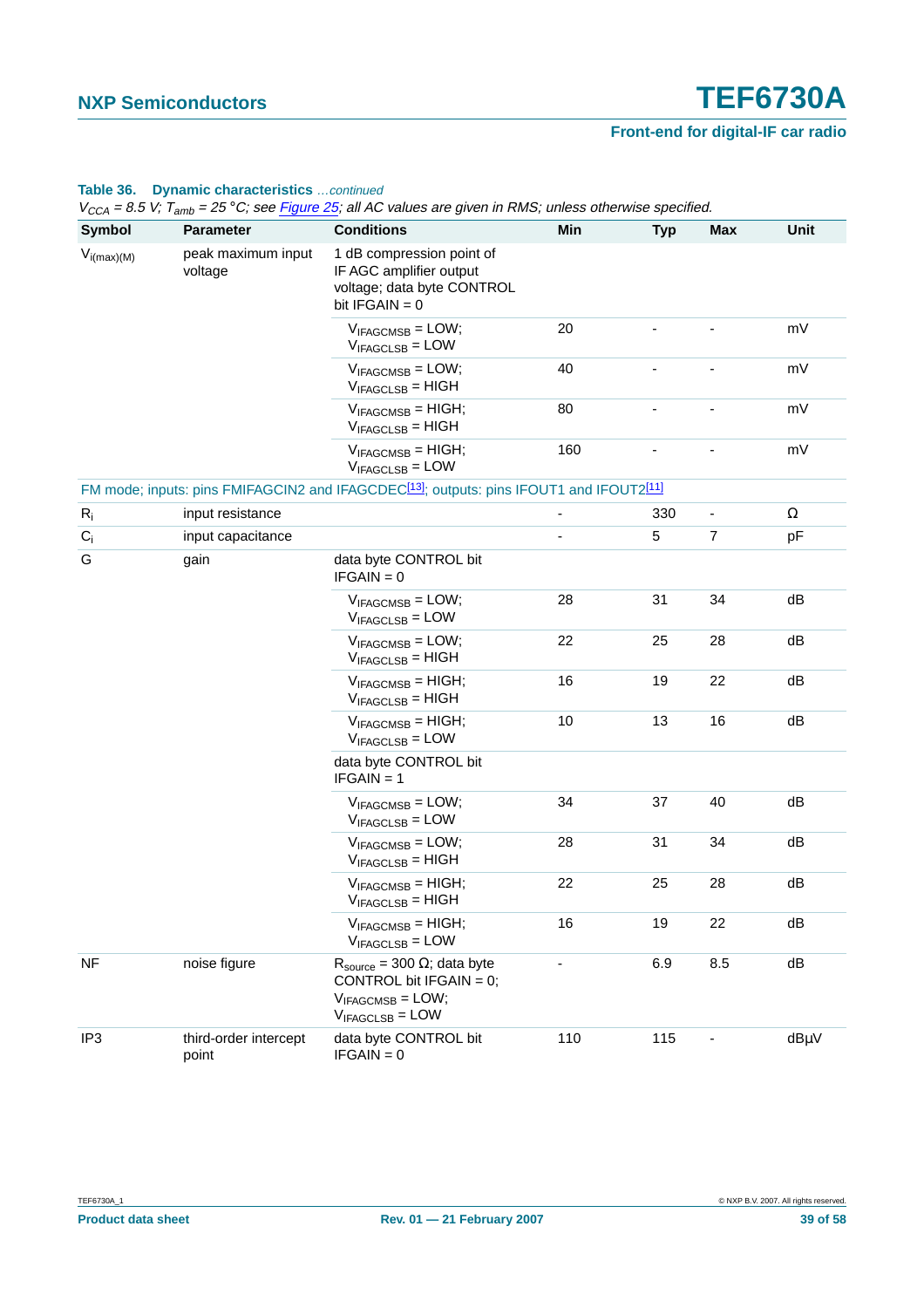### **Table 36. Dynamic characteristics** …continued

| <b>Symbol</b>   | <b>Parameter</b>               | <b>Conditions</b>                                                                                                           | Min | <b>Typ</b> | <b>Max</b>     | Unit     |
|-----------------|--------------------------------|-----------------------------------------------------------------------------------------------------------------------------|-----|------------|----------------|----------|
| $V_{i(max)(M)}$ | peak maximum input<br>voltage  | 1 dB compression point of<br>IF AGC amplifier output<br>voltage; data byte CONTROL<br>bit $IFGAN = 0$                       |     |            |                |          |
|                 |                                | $V_{IFAGCMSB} = LOW;$<br>$V_{IFAGCLSB} =$ LOW                                                                               | 20  |            |                | mV       |
|                 |                                | $V_{IFAGCMSB} = LOW;$<br>$V_{IFAGCLSB} = HIGH$                                                                              | 40  |            |                | mV       |
|                 |                                | $V_{IFAGCMSB} = HIGH;$<br>$V_{IFAGCLSB}$ = HIGH                                                                             | 80  |            |                | mV       |
|                 |                                | $V_{IFAGCMSB} = HIGH;$<br>$V_{IFAGCLSB} =$ LOW                                                                              | 160 |            |                | mV       |
|                 |                                | FM mode; inputs: pins FMIFAGCIN2 and IFAGCDEC <sup>[13]</sup> ; outputs: pins IFOUT1 and IFOUT2 <sup>[11]</sup>             |     |            |                |          |
| $R_i$           | input resistance               |                                                                                                                             |     | 330        |                | $\Omega$ |
| $C_i$           | input capacitance              |                                                                                                                             |     | 5          | $\overline{7}$ | pF       |
| G               | gain                           | data byte CONTROL bit<br>$IFGAIN = 0$                                                                                       |     |            |                |          |
|                 |                                | $V_{IFAGCMSB} = LOW;$<br>$V_{IFAGCLSB} =$ LOW                                                                               | 28  | 31         | 34             | dB       |
|                 |                                | $V_{IFAGCMSB} = LOW;$<br>$V_{IFAGCLSB} = HIGH$                                                                              | 22  | 25         | 28             | dB       |
|                 |                                | $V_{IFAGCMSB} = HIGH;$<br>$V_{IFAGCLSB} = HIGH$                                                                             | 16  | 19         | 22             | dB       |
|                 |                                | $V_{IFAGCMSB} = HIGH;$<br>$V_{IFAGCLSB} = LOW$                                                                              | 10  | 13         | 16             | dB       |
|                 |                                | data byte CONTROL bit<br>$IFGAIN = 1$                                                                                       |     |            |                |          |
|                 |                                | $V_{IFAGCMSB} = LOW;$<br>$V_{IFAGCLSB} =$ LOW                                                                               | 34  | 37         | 40             | dB       |
|                 |                                | $V_{IFAGCMSB} = LOW;$<br>$V_{IFAGCLSB} = HIGH$                                                                              | 28  | 31         | 34             | dB       |
|                 |                                | $V_{IFAGCMSB} = HIGH;$<br>$V_{IFAGCLSB} = HIGH$                                                                             | 22  | 25         | 28             | dB       |
|                 |                                | $V_{IFAGCMSB} = HIGH;$<br>$V_{IFAGCLSB} = LOW$                                                                              | 16  | 19         | 22             | dB       |
| <b>NF</b>       | noise figure                   | $R_{\text{source}} = 300 \Omega$ ; data byte<br>CONTROL bit IFGAIN = $0$ ;<br>$V_{IFAGCMSB} = LOW;$<br>$V_{IFAGCLSB} = LOW$ |     | 6.9        | 8.5            | dB       |
| IP <sub>3</sub> | third-order intercept<br>point | data byte CONTROL bit<br>$IFGAIN = 0$                                                                                       | 110 | 115        |                | dBµV     |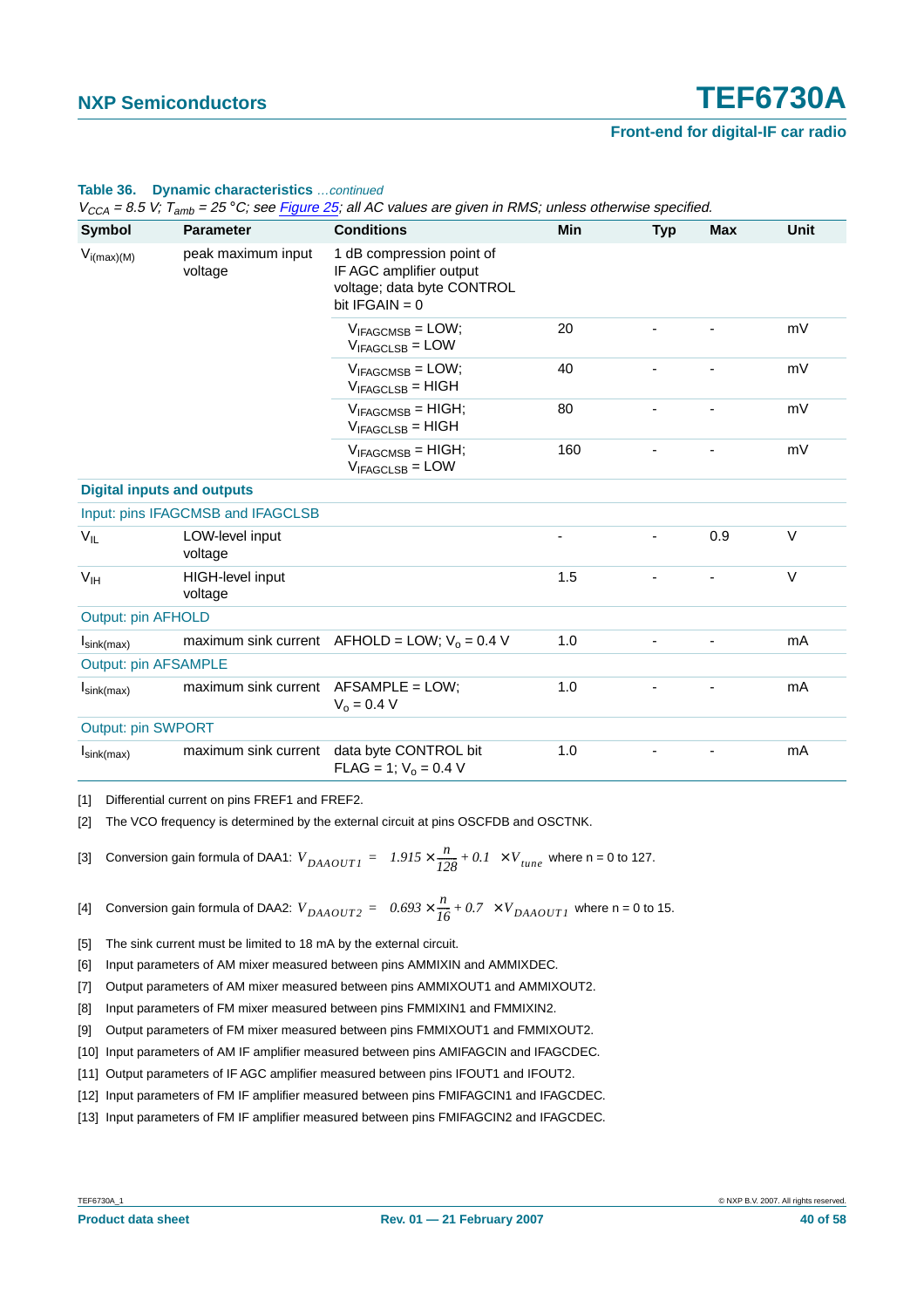#### **Table 36. Dynamic characteristics** …continued

 $V_{CCA}$  = 8.5 V;  $T_{amb}$  = 25 °C; see Figure 25; all AC values are given in RMS; unless otherwise specified.

| $V_{i(max)(M)}$                   | peak maximum input                     |                                                                                                        |     |     | <b>Unit</b> |
|-----------------------------------|----------------------------------------|--------------------------------------------------------------------------------------------------------|-----|-----|-------------|
|                                   | voltage                                | 1 dB compression point of<br>IF AGC amplifier output<br>voltage; data byte CONTROL<br>bit $IFGAIN = 0$ |     |     |             |
|                                   |                                        | $V_{IFAGCMSB} = LOW;$<br>$V_{IFAGCLSB} = LOW$                                                          | 20  |     | mV          |
|                                   |                                        | $V_{IFAGCMSB} = LOW;$<br>$V_{IFAGCLSB} = HIGH$                                                         | 40  |     | mV          |
|                                   |                                        | $V_{IFAGCMSB} = HIGH;$<br>$V_{IFAGCLSB} = HIGH$                                                        | 80  |     | mV          |
|                                   |                                        | $V_{IFAGCMSB} = HIGH;$<br>$V_{IFAGCLSB} =$ LOW                                                         | 160 |     | mV          |
| <b>Digital inputs and outputs</b> |                                        |                                                                                                        |     |     |             |
|                                   | Input: pins IFAGCMSB and IFAGCLSB      |                                                                                                        |     |     |             |
| $V_{IL}$                          | LOW-level input<br>voltage             |                                                                                                        |     | 0.9 | $\vee$      |
| V <sub>IH</sub>                   | HIGH-level input<br>voltage            |                                                                                                        | 1.5 |     | $\vee$      |
| <b>Output: pin AFHOLD</b>         |                                        |                                                                                                        |     |     |             |
| $I_{\text{sink(max)}}$            |                                        | maximum sink current $AFHOLD = LOW$ ; $V_0 = 0.4 V$                                                    | 1.0 |     | mA          |
| <b>Output: pin AFSAMPLE</b>       |                                        |                                                                                                        |     |     |             |
| $I_{\text{sink(max)}}$            | maximum sink current $AFSAMPLE = LOW;$ | $V_0 = 0.4 V$                                                                                          | 1.0 |     | mA          |
| <b>Output: pin SWPORT</b>         |                                        |                                                                                                        |     |     |             |
| $I_{\text{sink(max)}}$            |                                        | maximum sink current data byte CONTROL bit<br>$FLAG = 1$ ; $V_0 = 0.4$ V                               | 1.0 |     | mA          |

<span id="page-39-0"></span>[1] Differential current on pins FREF1 and FREF2.

<span id="page-39-2"></span><span id="page-39-1"></span>[2] The VCO frequency is determined by the external circuit at pins OSCFDB and OSCTNK.

[3] Conversion gain formula of DAA1: 
$$
V_{DAAOUTI} = (1.915 \times \frac{n}{128} + 0.1) \times V_{tune}
$$
 where n = 0 to 127.

<span id="page-39-3"></span>[4] Conversion gain formula of DAA2:  $V_{DAAOUT2} = \left(0.693 \times \frac{n}{16} + 0.7\right) \times V_{DAAOUT1}$  where n = 0 to 15.

<span id="page-39-4"></span>[5] The sink current must be limited to 18 mA by the external circuit.

<span id="page-39-5"></span>[6] Input parameters of AM mixer measured between pins AMMIXIN and AMMIXDEC.

<span id="page-39-6"></span>[7] Output parameters of AM mixer measured between pins AMMIXOUT1 and AMMIXOUT2.

- <span id="page-39-7"></span>[8] Input parameters of FM mixer measured between pins FMMIXIN1 and FMMIXIN2.
- <span id="page-39-8"></span>[9] Output parameters of FM mixer measured between pins FMMIXOUT1 and FMMIXOUT2.
- <span id="page-39-9"></span>[10] Input parameters of AM IF amplifier measured between pins AMIFAGCIN and IFAGCDEC.
- <span id="page-39-10"></span>[11] Output parameters of IF AGC amplifier measured between pins IFOUT1 and IFOUT2.
- <span id="page-39-11"></span>[12] Input parameters of FM IF amplifier measured between pins FMIFAGCIN1 and IFAGCDEC.
- <span id="page-39-12"></span>[13] Input parameters of FM IF amplifier measured between pins FMIFAGCIN2 and IFAGCDEC.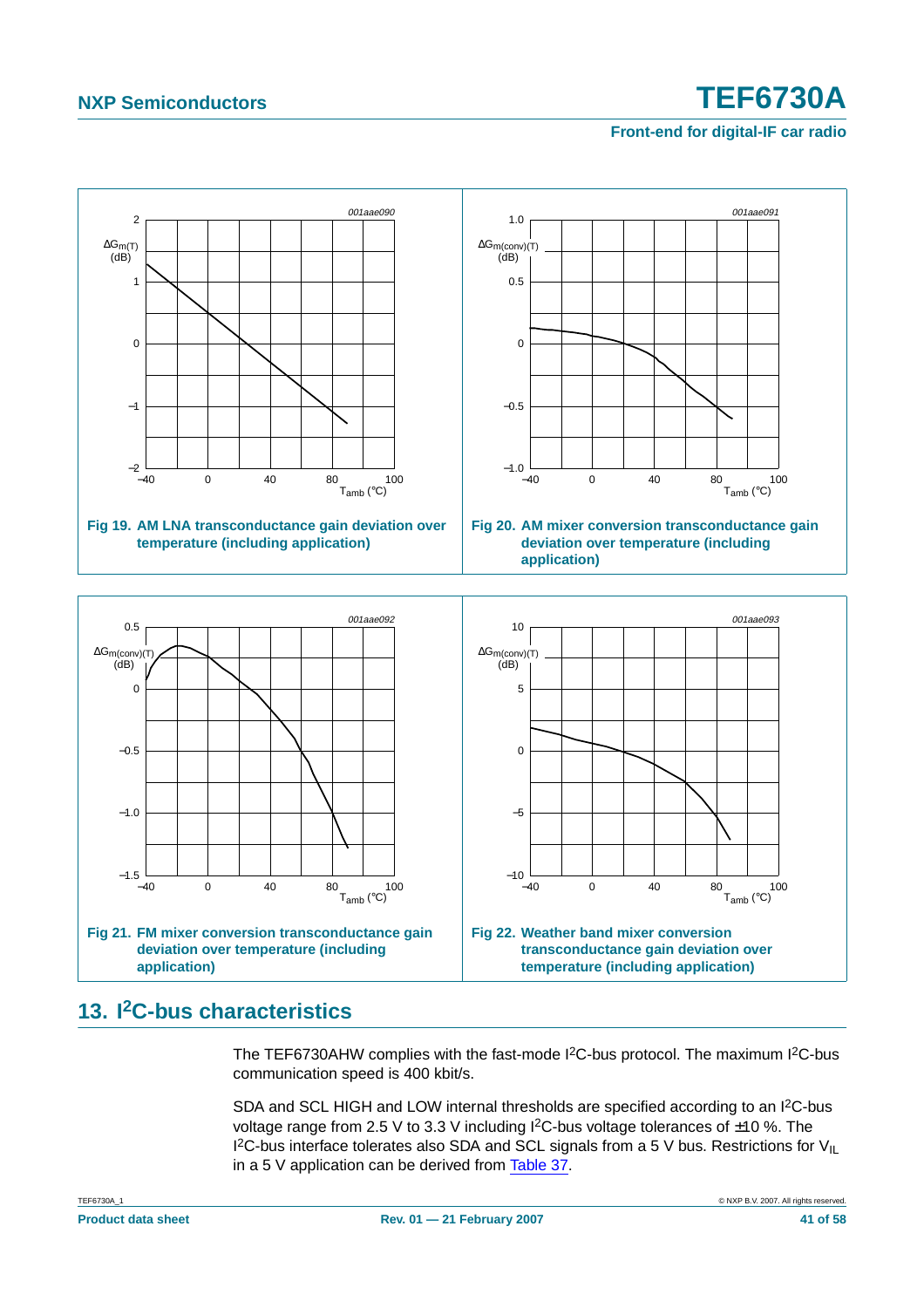<span id="page-40-1"></span>**Front-end for digital-IF car radio**

<span id="page-40-0"></span>

### <span id="page-40-4"></span><span id="page-40-2"></span>**13. I2C-bus characteristics**

<span id="page-40-3"></span>The TEF6730AHW complies with the fast-mode  $1<sup>2</sup>C$ -bus protocol. The maximum  $1<sup>2</sup>C$ -bus communication speed is 400 kbit/s.

SDA and SCL HIGH and LOW internal thresholds are specified according to an I<sup>2</sup>C-bus voltage range from 2.5 V to 3.3 V including I<sup>2</sup>C-bus voltage tolerances of ±10 %. The I<sup>2</sup>C-bus interface tolerates also SDA and SCL signals from a 5 V bus. Restrictions for V<sub>IL</sub> in a 5 V application can be derived from [Table](#page-41-0) 37.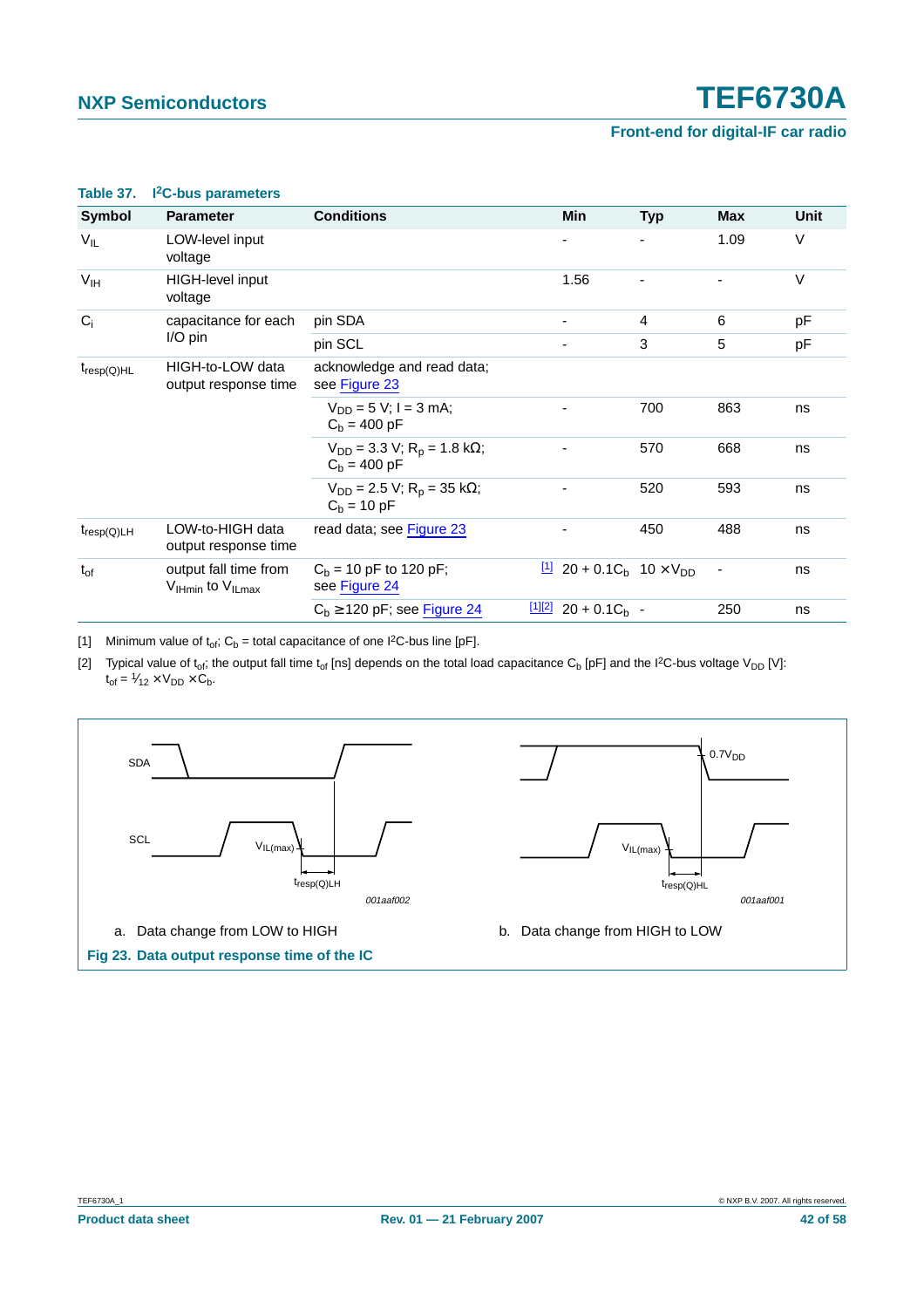| <b>Symbol</b>    | <b>Parameter</b>                                                 | <b>Conditions</b>                                            | Min                                                         | <b>Typ</b> | Max  | <b>Unit</b> |
|------------------|------------------------------------------------------------------|--------------------------------------------------------------|-------------------------------------------------------------|------------|------|-------------|
| $V_{IL}$         | LOW-level input<br>voltage                                       |                                                              |                                                             |            | 1.09 | V           |
| V <sub>IH</sub>  | HIGH-level input<br>voltage                                      |                                                              | 1.56                                                        |            |      | $\vee$      |
| $C_i$            | capacitance for each                                             | pin SDA                                                      |                                                             | 4          | 6    | pF          |
|                  | I/O pin                                                          | pin SCL                                                      |                                                             | 3          | 5    | pF          |
| $t_{resp(Q)HL}$  | HIGH-to-LOW data<br>output response time                         | acknowledge and read data;<br>see Figure 23                  |                                                             |            |      |             |
|                  |                                                                  | $V_{DD} = 5 V$ ; I = 3 mA;<br>$C_h = 400 pF$                 |                                                             | 700        | 863  | ns          |
|                  |                                                                  | $V_{DD}$ = 3.3 V; R <sub>p</sub> = 1.8 kΩ;<br>$C_h = 400 pF$ |                                                             | 570        | 668  | ns          |
|                  |                                                                  | $V_{DD} = 2.5 V$ ; R <sub>p</sub> = 35 kΩ;<br>$C_h = 10 pF$  |                                                             | 520        | 593  | ns          |
| $t_{resp(Q) LH}$ | LOW-to-HIGH data<br>output response time                         | read data; see Figure 23                                     |                                                             | 450        | 488  | ns          |
| $t_{of}$         | output fall time from<br>$V_{\text{Hmin}}$ to $V_{\text{ILmax}}$ | $C_b$ = 10 pF to 120 pF;<br>see Figure 24                    | $\frac{11}{20}$ 20 + 0.1C <sub>b</sub> 10 × V <sub>DD</sub> |            | ٠    | ns          |
|                  |                                                                  | $C_b \ge 120$ pF; see Figure 24                              | $\frac{[1][2]}{20}$ + 0.1C <sub>b</sub> -                   |            | 250  | ns          |

#### <span id="page-41-0"></span>**Table 37. I2C-bus parameters**

<span id="page-41-2"></span>[1] Minimum value of  $t_{of}$ ; C<sub>b</sub> = total capacitance of one I<sup>2</sup>C-bus line [pF].

<span id="page-41-3"></span>[2] Typical value of t<sub>of</sub>; the output fall time t<sub>of</sub> [ns] depends on the total load capacitance C<sub>b</sub> [pF] and the I<sup>2</sup>C-bus voltage V<sub>DD</sub> [V]:  $t_{of} = \frac{1}{2} \times V_{DD} \times C_b.$ 

<span id="page-41-1"></span>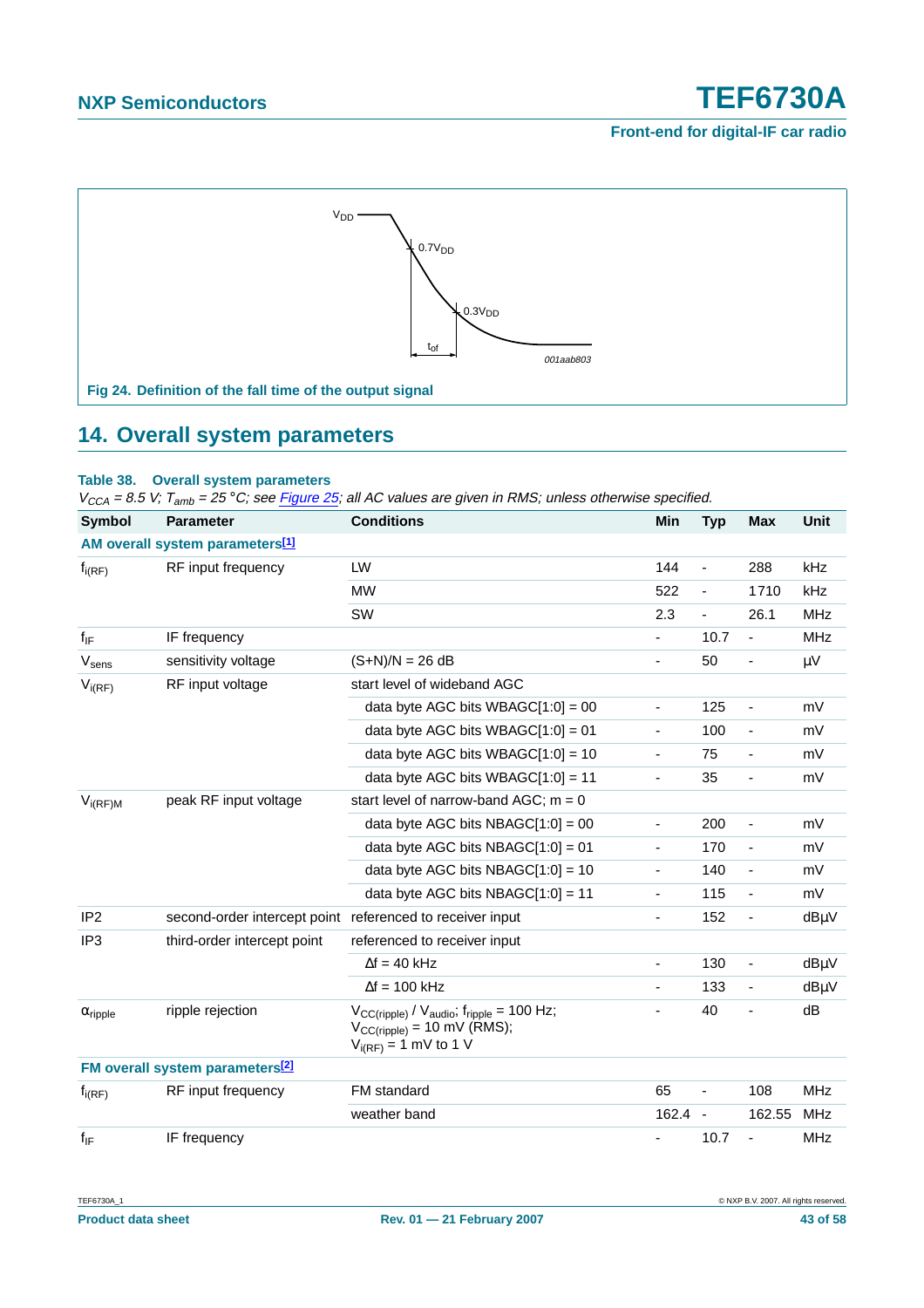### **Front-end for digital-IF car radio**



### <span id="page-42-1"></span><span id="page-42-0"></span>**14. Overall system parameters**

### **Table 38. Overall system parameters**

| <b>Symbol</b>              | <b>Parameter</b>                                          | <b>Conditions</b>                                                                                                     | Min                      | <b>Typ</b>               | <b>Max</b>                   | <b>Unit</b> |
|----------------------------|-----------------------------------------------------------|-----------------------------------------------------------------------------------------------------------------------|--------------------------|--------------------------|------------------------------|-------------|
|                            | AM overall system parameters[1]                           |                                                                                                                       |                          |                          |                              |             |
| $f_{i(RF)}$                | RF input frequency                                        | LW                                                                                                                    | 144                      | $\blacksquare$           | 288                          | kHz         |
|                            |                                                           | <b>MW</b>                                                                                                             | 522                      | -                        | 1710                         | kHz         |
|                            |                                                           | SW                                                                                                                    | 2.3                      | $\blacksquare$           | 26.1                         | <b>MHz</b>  |
| $f_{IF}$                   | IF frequency                                              |                                                                                                                       | L,                       | 10.7                     | $\overline{a}$               | <b>MHz</b>  |
| Vsens                      | sensitivity voltage                                       | $(S+N)/N = 26 dB$                                                                                                     | ä,                       | 50                       | ÷                            | μV          |
| $V_{i(RF)}$                | RF input voltage                                          | start level of wideband AGC                                                                                           |                          |                          |                              |             |
|                            |                                                           | data byte AGC bits WBAGC $[1:0] = 00$                                                                                 | $\overline{\phantom{0}}$ | 125                      | ÷                            | mV          |
|                            |                                                           | data byte AGC bits WBAGC $[1:0] = 01$                                                                                 | ٠                        | 100                      | ÷                            | mV          |
|                            |                                                           | data byte AGC bits WBAGC $[1:0] = 10$                                                                                 | $\overline{\phantom{0}}$ | 75                       | $\qquad \qquad \blacksquare$ | mV          |
|                            |                                                           | data byte AGC bits WBAGC $[1:0] = 11$                                                                                 | -                        | 35                       | ÷                            | mV          |
| $V_{i(RF)M}$               | peak RF input voltage                                     | start level of narrow-band AGC; $m = 0$                                                                               |                          |                          |                              |             |
|                            |                                                           | data byte AGC bits NBAGC $[1:0] = 00$                                                                                 | ÷,                       | 200                      | $\overline{a}$               | mV          |
|                            |                                                           | data byte AGC bits NBAGC $[1:0] = 01$                                                                                 | $\overline{\phantom{0}}$ | 170                      | $\qquad \qquad \blacksquare$ | mV          |
|                            |                                                           | data byte AGC bits NBAGC $[1:0] = 10$                                                                                 | -                        | 140                      | $\frac{1}{2}$                | mV          |
|                            |                                                           | data byte AGC bits NBAGC $[1:0] = 11$                                                                                 | ٠                        | 115                      | ÷                            | mV          |
| IP <sub>2</sub>            | second-order intercept point referenced to receiver input |                                                                                                                       | Ξ.                       | 152                      | $\blacksquare$               | dBµV        |
| IP <sub>3</sub>            | third-order intercept point                               | referenced to receiver input                                                                                          |                          |                          |                              |             |
|                            |                                                           | $\Delta f = 40$ kHz                                                                                                   | $\overline{\phantom{0}}$ | 130                      | $\overline{\phantom{a}}$     | dBµV        |
|                            |                                                           | $\Delta f = 100$ kHz                                                                                                  | ä,                       | 133                      | ä,                           | dBµV        |
| $\alpha$ <sub>ripple</sub> | ripple rejection                                          | $V_{CC(ripple)} / V_{audio}$ , $f_{ripole} = 100$ Hz;<br>$V_{CC(ripple)} = 10$ mV (RMS);<br>$V_{i(RF)} = 1$ mV to 1 V | $\overline{\phantom{0}}$ | 40                       | ä,                           | dB          |
|                            | FM overall system parameters <sup>[2]</sup>               |                                                                                                                       |                          |                          |                              |             |
| $f_{i(RF)}$                | RF input frequency                                        | FM standard                                                                                                           | 65                       |                          | 108                          | <b>MHz</b>  |
|                            |                                                           | weather band                                                                                                          | 162.4                    | $\overline{\phantom{a}}$ | 162.55                       | <b>MHz</b>  |
| $f_{IF}$                   | IF frequency                                              |                                                                                                                       |                          | 10.7                     |                              | <b>MHz</b>  |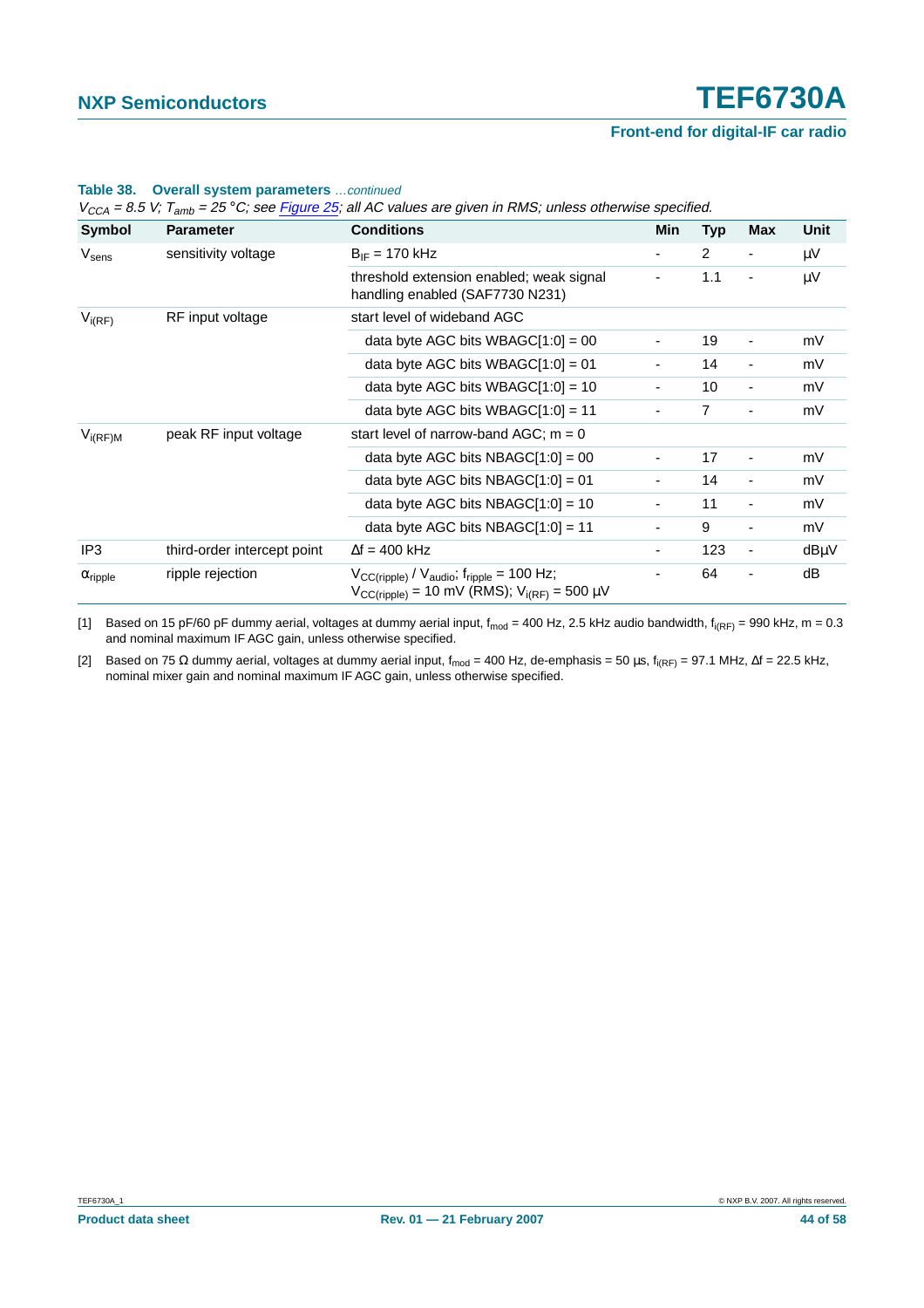### **Front-end for digital-IF car radio**

| Symbol                     | <b>Parameter</b>            | <b>Conditions</b>                                                                                                                       | Min                      | <b>Typ</b>     | <b>Max</b>               | Unit |
|----------------------------|-----------------------------|-----------------------------------------------------------------------------------------------------------------------------------------|--------------------------|----------------|--------------------------|------|
| $V_{\text{sens}}$          | sensitivity voltage         | $B_{IF} = 170$ kHz                                                                                                                      | ۰                        | $\overline{2}$ | ٠                        | μV   |
|                            |                             | threshold extension enabled; weak signal<br>handling enabled (SAF7730 N231)                                                             |                          | 1.1            | $\overline{\phantom{0}}$ | μV   |
| $V_{i(RF)}$                | RF input voltage            | start level of wideband AGC                                                                                                             |                          |                |                          |      |
|                            |                             | data byte AGC bits WBAGC[1:0] = 00                                                                                                      |                          | 19             | $\overline{\phantom{a}}$ | mV   |
|                            |                             | data byte AGC bits WBAGC $[1:0] = 01$                                                                                                   | ۰                        | 14             | $\overline{\phantom{a}}$ | mV   |
|                            |                             | data byte AGC bits WBAGC $[1:0] = 10$                                                                                                   | ۰                        | 10             | $\blacksquare$           | mV   |
|                            |                             | data byte AGC bits WBAGC $[1:0] = 11$                                                                                                   | ۰                        | $\overline{7}$ | ٠                        | mV   |
| $V_{i(RF)M}$               | peak RF input voltage       | start level of narrow-band AGC; $m = 0$                                                                                                 |                          |                |                          |      |
|                            |                             | data byte AGC bits $NBAGC[1:0] = 00$                                                                                                    | ٠                        | 17             | $\overline{\phantom{a}}$ | mV   |
|                            |                             | data byte AGC bits NBAGC $[1:0] = 01$                                                                                                   |                          | 14             | $\overline{\phantom{a}}$ | mV   |
|                            |                             | data byte AGC bits NBAGC $[1:0] = 10$                                                                                                   | ٠                        | 11             | $\overline{\phantom{a}}$ | mV   |
|                            |                             | data byte AGC bits NBAGC $[1:0] = 11$                                                                                                   | $\overline{\phantom{0}}$ | 9              | $\overline{\phantom{0}}$ | mV   |
| IP3                        | third-order intercept point | $\Delta f = 400$ kHz                                                                                                                    | ۰                        | 123            | $\overline{\phantom{a}}$ | dBµV |
| $\alpha$ <sub>ripple</sub> | ripple rejection            | $V_{CC(ripple)} / V_{audio}$ , $f_{ripple} = 100$ Hz;<br>$V_{CC(ripple)} = 10 \text{ mV (RMS)}$ ; $V_{i(RF)} = 500 \text{ }\mu\text{V}$ |                          | 64             |                          | dB   |

#### **Table 38. Overall system parameters** …continued

 $V_{CCA} = 8.5$  V;  $T_{\text{cath}} = 25$  °C; see Figure 25; all AC values are given in RMS; unless otherwise specified.

<span id="page-43-0"></span>[1] Based on 15 pF/60 pF dummy aerial, voltages at dummy aerial input,  $f_{mod} = 400$  Hz, 2.5 kHz audio bandwidth,  $f_{i(RF)} = 990$  kHz, m = 0.3 and nominal maximum IF AGC gain, unless otherwise specified.

<span id="page-43-1"></span>[2] Based on 75 Ω dummy aerial, voltages at dummy aerial input, f<sub>mod</sub> = 400 Hz, de-emphasis = 50 μs, f<sub>i(RF)</sub> = 97.1 MHz, ∆f = 22.5 kHz, nominal mixer gain and nominal maximum IF AGC gain, unless otherwise specified.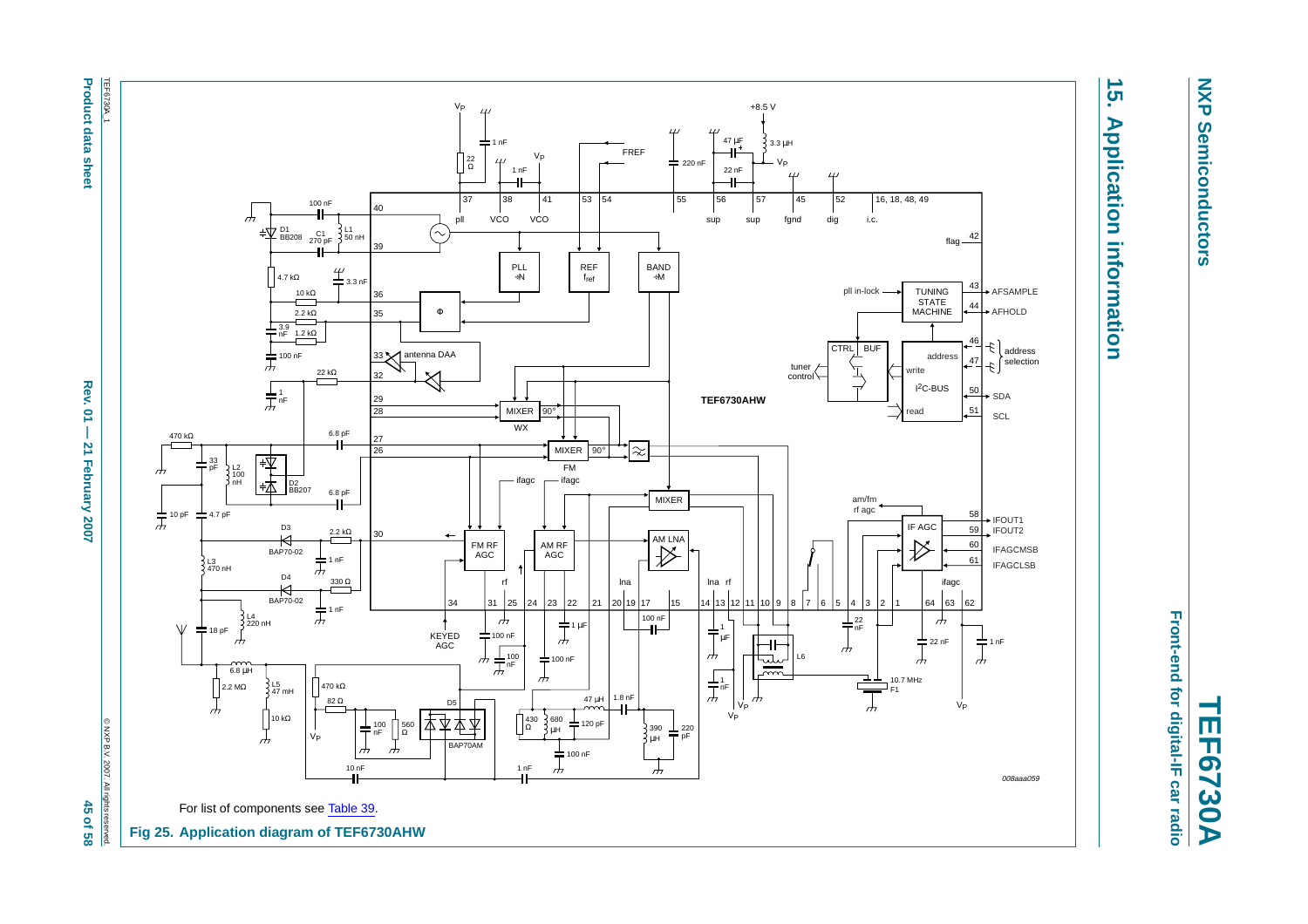

# $\overline{5}$ **15. Application information Application information**

**NXP Semiconductors**

**Semiconductors** 

**NXP** 

<span id="page-44-0"></span>Front-end for digital-IF car radio **Front-end for digital-IF car radio TEF6730A**

<span id="page-44-1"></span>**Product data sheet Rev. 01 — 21 Tephroduck 2007**  $\times$  **88** Rev.  $\overline{a}$  $\overline{1}$ **21 February 2007** 

45 of 58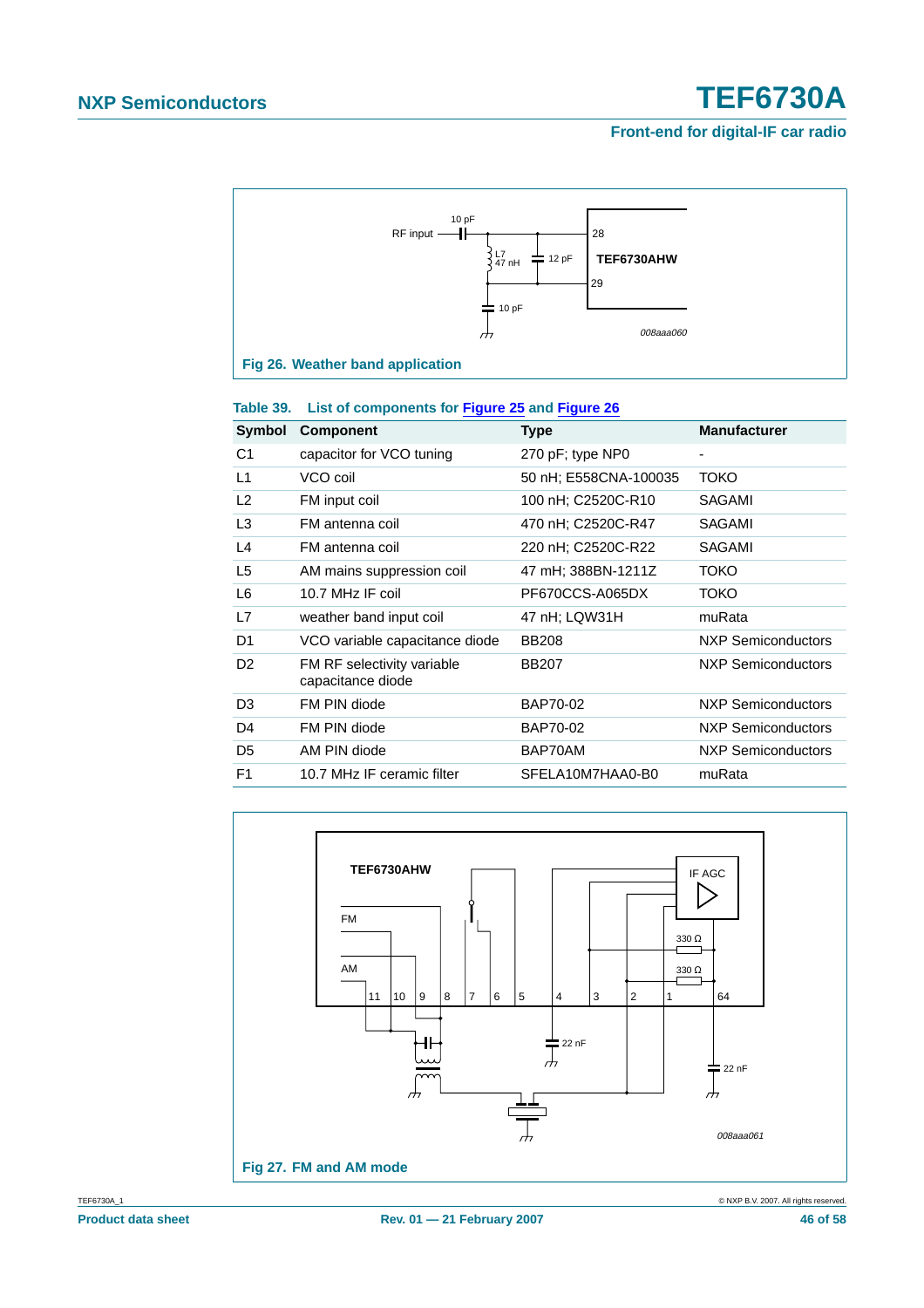### <span id="page-45-0"></span>**Front-end for digital-IF car radio**



| Symbol         | <b>Component</b>                                | Type                  | <b>Manufacturer</b> |
|----------------|-------------------------------------------------|-----------------------|---------------------|
| C1             | capacitor for VCO tuning                        | 270 pF; type NP0      |                     |
| L1             | VCO coil                                        | 50 nH; E558CNA-100035 | <b>TOKO</b>         |
| L2             | FM input coil                                   | 100 nH; C2520C-R10    | SAGAMI              |
| L <sub>3</sub> | FM antenna coil                                 | 470 nH; C2520C-R47    | SAGAMI              |
| L4             | FM antenna coil                                 | 220 nH; C2520C-R22    | SAGAMI              |
| L <sub>5</sub> | AM mains suppression coil                       | 47 mH; 388BN-1211Z    | <b>TOKO</b>         |
| L6             | 10.7 MHz IF coil                                | PF670CCS-A065DX       | ТОКО                |
| L7             | weather band input coil                         | 47 nH; LQW31H         | muRata              |
| D1             | VCO variable capacitance diode                  | <b>BB208</b>          | NXP Semiconductors  |
| D <sub>2</sub> | FM RF selectivity variable<br>capacitance diode | <b>BB207</b>          | NXP Semiconductors  |
| D <sub>3</sub> | FM PIN diode                                    | BAP70-02              | NXP Semiconductors  |
| D4             | FM PIN diode                                    | BAP70-02              | NXP Semiconductors  |
| D <sub>5</sub> | AM PIN diode                                    | BAP70AM               | NXP Semiconductors  |
| F <sub>1</sub> | 10.7 MHz IF ceramic filter                      | SFELA10M7HAA0-B0      | muRata              |

### <span id="page-45-1"></span>**Table 39. List of components for [Figure](#page-44-0) 25 and [Figure](#page-45-1) 26**

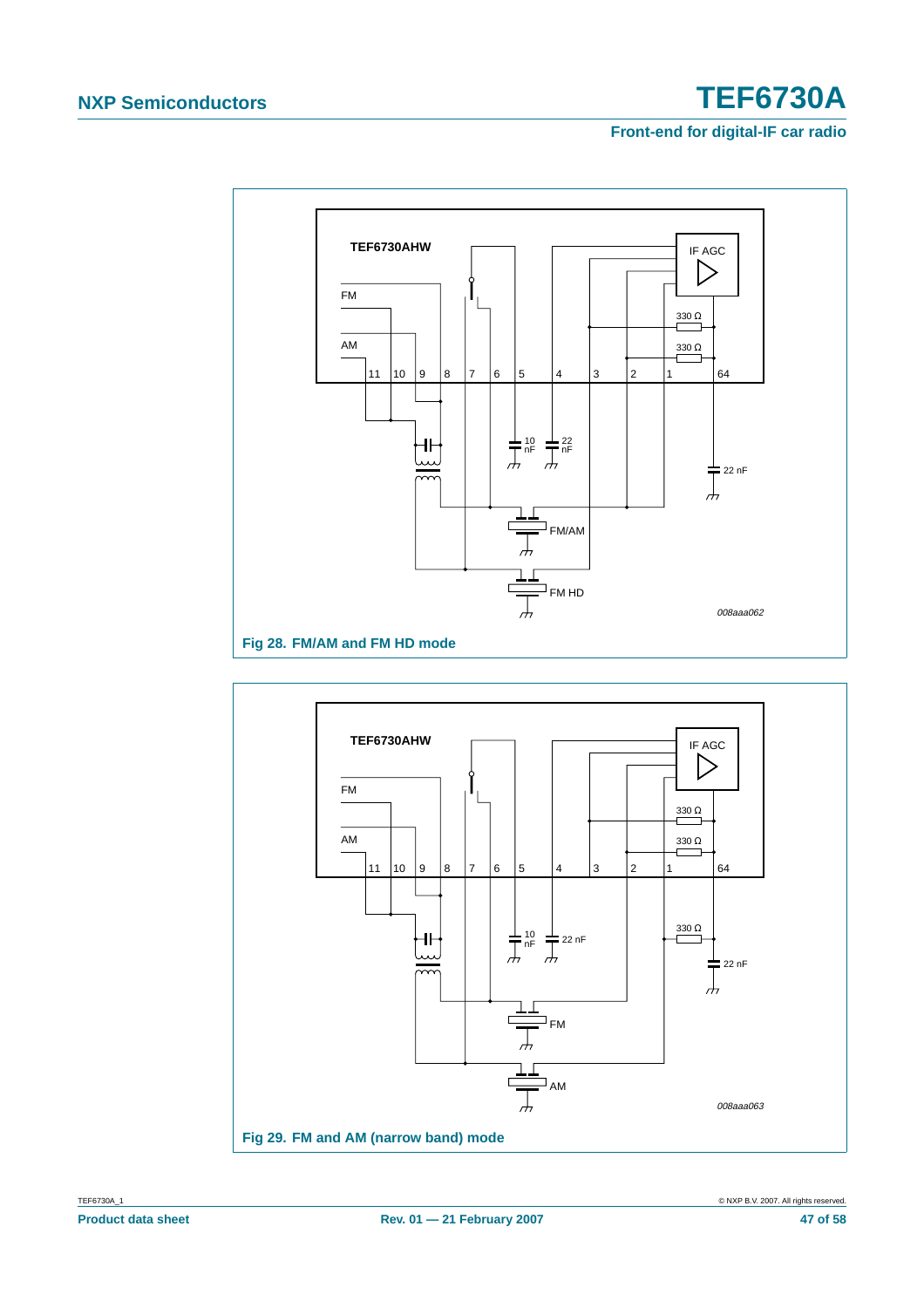

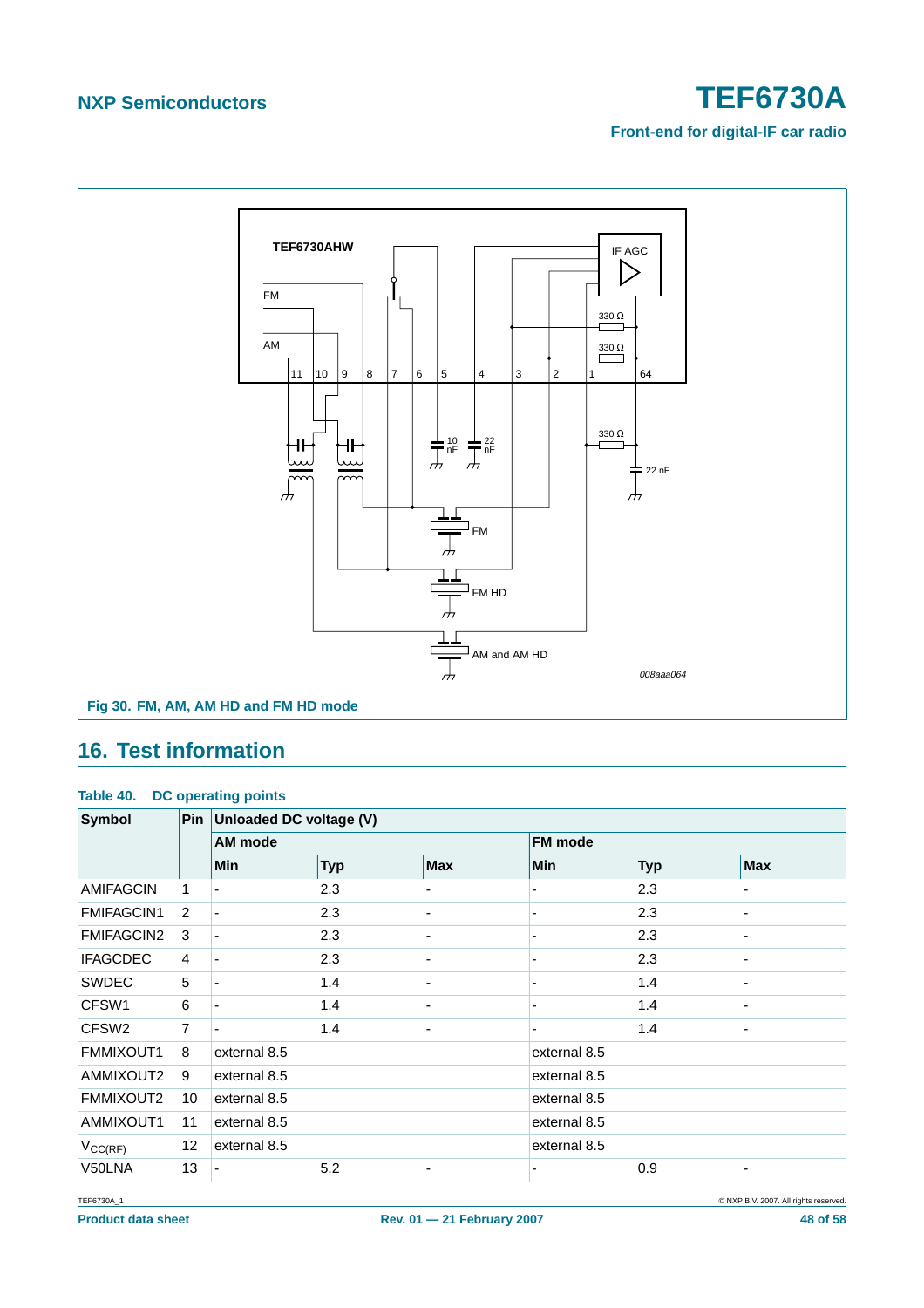**Front-end for digital-IF car radio**



### <span id="page-47-0"></span>**16. Test information**

### **Table 40. DC operating points**

| Symbol              | <b>Pin</b>     | Unloaded DC voltage (V) |            |            |                          |            |            |
|---------------------|----------------|-------------------------|------------|------------|--------------------------|------------|------------|
|                     |                | AM mode                 |            |            | FM mode                  |            |            |
|                     |                | Min                     | <b>Typ</b> | <b>Max</b> | <b>Min</b>               | <b>Typ</b> | <b>Max</b> |
| <b>AMIFAGCIN</b>    | 1              | ٠                       | 2.3        | ۰          | $\overline{\phantom{0}}$ | 2.3        |            |
| <b>FMIFAGCIN1</b>   | 2              |                         | 2.3        |            |                          | 2.3        |            |
| <b>FMIFAGCIN2</b>   | 3              |                         | 2.3        |            |                          | 2.3        |            |
| <b>IFAGCDEC</b>     | $\overline{4}$ |                         | 2.3        |            | ٠                        | 2.3        | ۰          |
| <b>SWDEC</b>        | 5              |                         | 1.4        | ۰          | $\blacksquare$           | 1.4        |            |
| CFSW1               | 6              |                         | 1.4        |            |                          | 1.4        |            |
| CFSW <sub>2</sub>   | $\overline{7}$ |                         | 1.4        | -          | $\blacksquare$           | 1.4        |            |
| FMMIXOUT1           | 8              | external 8.5            |            |            | external 8.5             |            |            |
| AMMIXOUT2           | 9              | external 8.5            |            |            | external 8.5             |            |            |
| FMMIXOUT2           | 10             | external 8.5            |            |            | external 8.5             |            |            |
| AMMIXOUT1           | 11             | external 8.5            |            |            | external 8.5             |            |            |
| $V_{\text{CC(RF)}}$ | 12             | external 8.5            |            |            | external 8.5             |            |            |
| V50LNA              | 13             |                         | 5.2        |            | $\blacksquare$           | 0.9        | ٠          |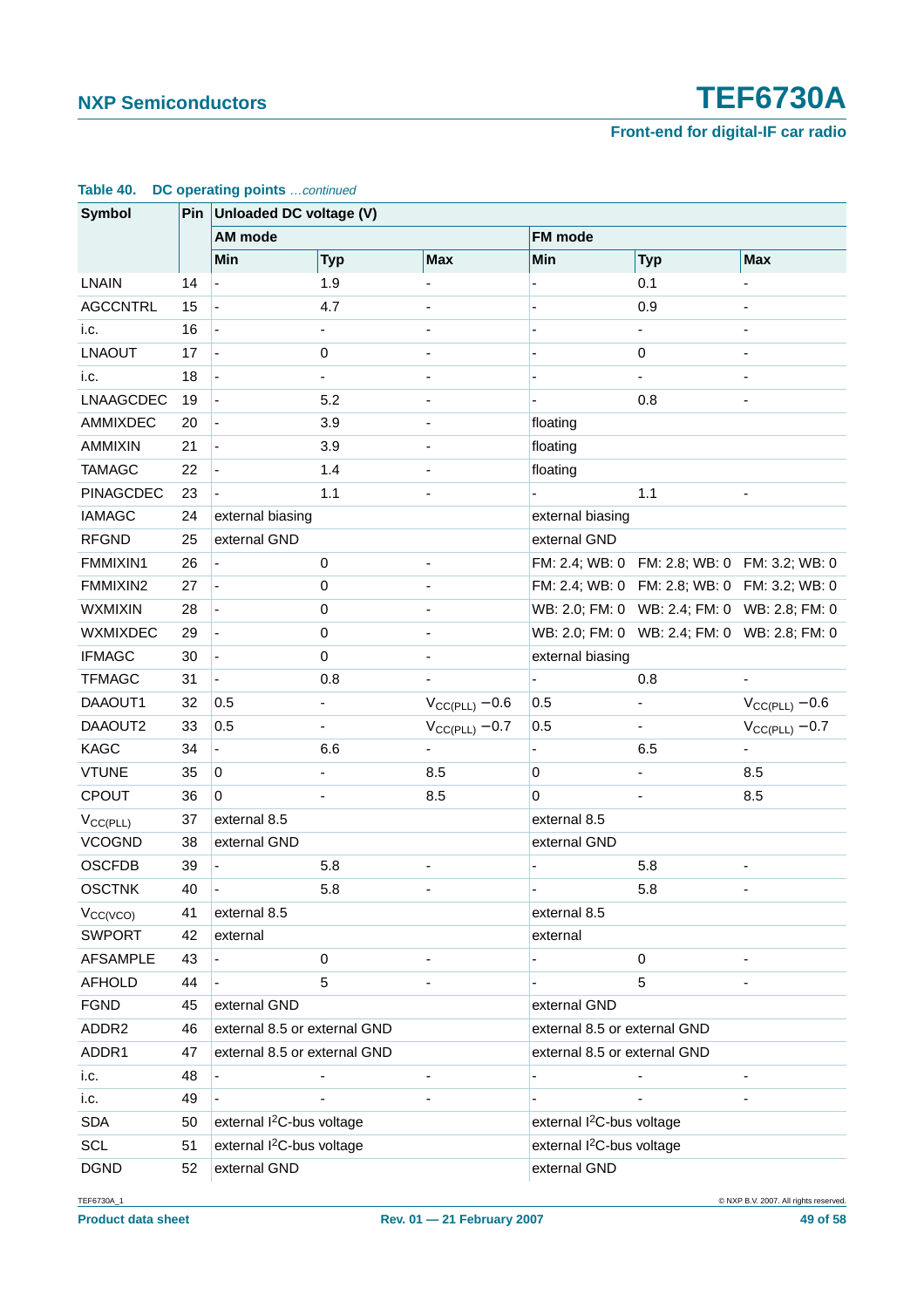| <b>Symbol</b>    |    | Pin Unloaded DC voltage (V)           |                          |                              |                                       |                                              |                     |  |
|------------------|----|---------------------------------------|--------------------------|------------------------------|---------------------------------------|----------------------------------------------|---------------------|--|
|                  |    | AM mode                               |                          | <b>FM</b> mode               |                                       |                                              |                     |  |
|                  |    | Min                                   | <b>Typ</b>               | <b>Max</b>                   | Min                                   | <b>Typ</b>                                   | <b>Max</b>          |  |
| <b>LNAIN</b>     | 14 |                                       | 1.9                      |                              |                                       | 0.1                                          |                     |  |
| <b>AGCCNTRL</b>  | 15 |                                       | 4.7                      |                              |                                       | 0.9                                          |                     |  |
| i.c.             | 16 |                                       | $\overline{\phantom{0}}$ | $\qquad \qquad \blacksquare$ |                                       | $\blacksquare$                               |                     |  |
| <b>LNAOUT</b>    | 17 |                                       | 0                        |                              |                                       | $\pmb{0}$                                    |                     |  |
| i.c.             | 18 |                                       |                          |                              |                                       |                                              |                     |  |
| LNAAGCDEC        | 19 |                                       | 5.2                      |                              |                                       | 0.8                                          |                     |  |
| AMMIXDEC         | 20 |                                       | 3.9                      | $\qquad \qquad \blacksquare$ | floating                              |                                              |                     |  |
| AMMIXIN          | 21 |                                       | 3.9                      |                              | floating                              |                                              |                     |  |
| <b>TAMAGC</b>    | 22 |                                       | 1.4                      |                              | floating                              |                                              |                     |  |
| <b>PINAGCDEC</b> | 23 |                                       | 1.1                      |                              |                                       | 1.1                                          |                     |  |
| <b>IAMAGC</b>    | 24 | external biasing                      |                          |                              | external biasing                      |                                              |                     |  |
| <b>RFGND</b>     | 25 | external GND                          |                          |                              | external GND                          |                                              |                     |  |
| FMMIXIN1         | 26 |                                       | $\pmb{0}$                |                              |                                       | FM: 2.4; WB: 0 FM: 2.8; WB: 0 FM: 3.2; WB: 0 |                     |  |
| FMMIXIN2         | 27 |                                       | 0                        |                              |                                       | FM: 2.4; WB: 0 FM: 2.8; WB: 0 FM: 3.2; WB: 0 |                     |  |
| <b>WXMIXIN</b>   | 28 |                                       | $\pmb{0}$                | $\overline{\phantom{0}}$     |                                       | WB: 2.0; FM: 0 WB: 2.4; FM: 0 WB: 2.8; FM: 0 |                     |  |
| <b>WXMIXDEC</b>  | 29 |                                       | 0                        |                              |                                       | WB: 2.0; FM: 0 WB: 2.4; FM: 0 WB: 2.8; FM: 0 |                     |  |
| <b>IFMAGC</b>    | 30 |                                       | $\pmb{0}$                |                              | external biasing                      |                                              |                     |  |
| <b>TFMAGC</b>    | 31 |                                       | 0.8                      |                              |                                       | 0.8                                          |                     |  |
| DAAOUT1          | 32 | 0.5                                   |                          | $V_{CC(PLL)} - 0.6$          | 0.5                                   | $\overline{\phantom{0}}$                     | $V_{CC(PLL)} - 0.6$ |  |
| DAAOUT2          | 33 | 0.5                                   |                          | $V_{CC(PLL)} - 0.7$          | 0.5                                   |                                              | $V_{CC(PLL)} - 0.7$ |  |
| <b>KAGC</b>      | 34 |                                       | 6.6                      |                              |                                       | 6.5                                          |                     |  |
| <b>VTUNE</b>     | 35 | $\mathbf 0$                           |                          | 8.5                          | $\overline{0}$                        |                                              | 8.5                 |  |
| <b>CPOUT</b>     | 36 | $\mathbf 0$                           |                          | 8.5                          | $\overline{0}$                        |                                              | 8.5                 |  |
| $V_{CC(PLL)}$    | 37 | external 8.5                          |                          |                              | external 8.5                          |                                              |                     |  |
| <b>VCOGND</b>    | 38 | external GND                          |                          |                              | external GND                          |                                              |                     |  |
| <b>OSCFDB</b>    | 39 |                                       | 5.8                      |                              |                                       | 5.8                                          |                     |  |
| <b>OSCTNK</b>    | 40 |                                       | 5.8                      |                              |                                       | 5.8                                          |                     |  |
| $V_{CC(VCO)}$    | 41 | external 8.5                          |                          |                              | external 8.5                          |                                              |                     |  |
| <b>SWPORT</b>    | 42 | external                              |                          |                              | external                              |                                              |                     |  |
| <b>AFSAMPLE</b>  | 43 |                                       | 0                        |                              |                                       | $\pmb{0}$                                    |                     |  |
| <b>AFHOLD</b>    | 44 |                                       | 5                        |                              |                                       | 5                                            |                     |  |
| <b>FGND</b>      | 45 | external GND                          |                          |                              | external GND                          |                                              |                     |  |
| ADDR2            | 46 | external 8.5 or external GND          |                          |                              | external 8.5 or external GND          |                                              |                     |  |
| ADDR1            | 47 | external 8.5 or external GND          |                          |                              | external 8.5 or external GND          |                                              |                     |  |
| i.c.             | 48 |                                       |                          | $\overline{a}$               |                                       |                                              |                     |  |
| i.c.             | 49 |                                       |                          |                              |                                       |                                              |                     |  |
| <b>SDA</b>       | 50 | external I <sup>2</sup> C-bus voltage |                          |                              | external I <sup>2</sup> C-bus voltage |                                              |                     |  |
| <b>SCL</b>       | 51 | external I <sup>2</sup> C-bus voltage |                          |                              | external I <sup>2</sup> C-bus voltage |                                              |                     |  |
| <b>DGND</b>      | 52 | external GND                          |                          |                              | external GND                          |                                              |                     |  |

### **Table 40. DC operating points** …continued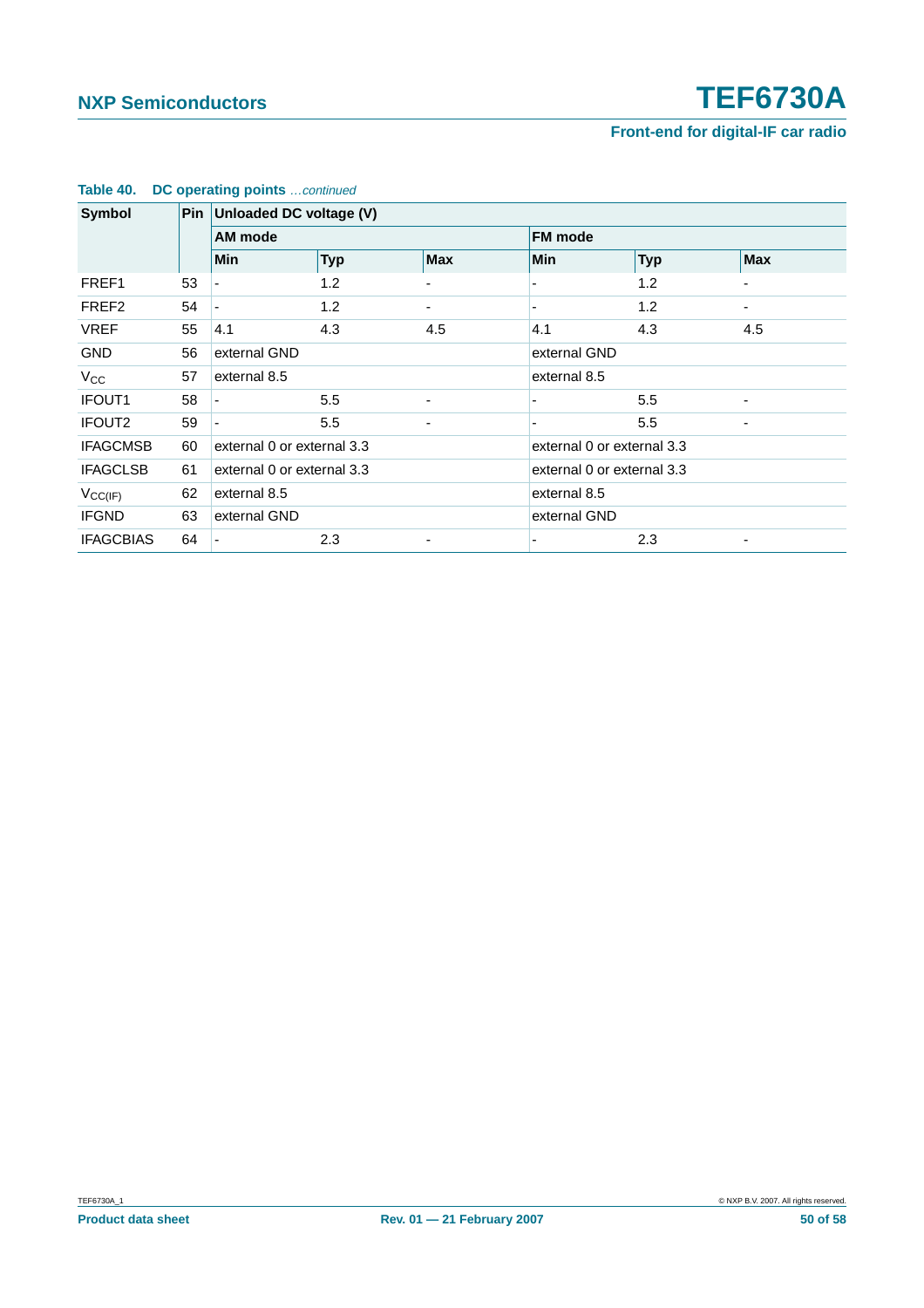| <b>Symbol</b>      |    | Pin Unloaded DC voltage (V) |                            |                          |                          |                            |            |  |
|--------------------|----|-----------------------------|----------------------------|--------------------------|--------------------------|----------------------------|------------|--|
|                    |    |                             | AM mode                    |                          |                          | <b>FM</b> mode             |            |  |
|                    |    | <b>Min</b>                  | <b>Typ</b>                 | <b>Max</b>               | <b>Min</b>               | <b>Typ</b>                 | <b>Max</b> |  |
| FREF1              | 53 |                             | 1.2                        |                          |                          | 1.2                        |            |  |
| FREF <sub>2</sub>  | 54 |                             | 1.2                        |                          |                          | 1.2                        |            |  |
| <b>VREF</b>        | 55 | 4.1                         | 4.3                        | 4.5                      | 4.1                      | 4.3                        | 4.5        |  |
| <b>GND</b>         | 56 |                             | external GND               |                          |                          | external GND               |            |  |
| $V_{CC}$           | 57 |                             | external 8.5               |                          |                          | external 8.5               |            |  |
| <b>IFOUT1</b>      | 58 |                             | 5.5                        | ٠                        |                          | 5.5                        |            |  |
| IFOUT <sub>2</sub> | 59 |                             | 5.5                        | -                        | $\overline{\phantom{a}}$ | 5.5                        | ۰          |  |
| <b>IFAGCMSB</b>    | 60 |                             | external 0 or external 3.3 |                          |                          | external 0 or external 3.3 |            |  |
| <b>IFAGCLSB</b>    | 61 |                             | external 0 or external 3.3 |                          |                          | external 0 or external 3.3 |            |  |
| $V_{CC(IF)}$       | 62 |                             | external 8.5               |                          |                          | external 8.5               |            |  |
| <b>IFGND</b>       | 63 |                             | external GND               |                          |                          | external GND               |            |  |
| <b>IFAGCBIAS</b>   | 64 |                             | 2.3                        | $\overline{\phantom{0}}$ |                          | 2.3                        |            |  |

### **Table 40. DC operating points** …continued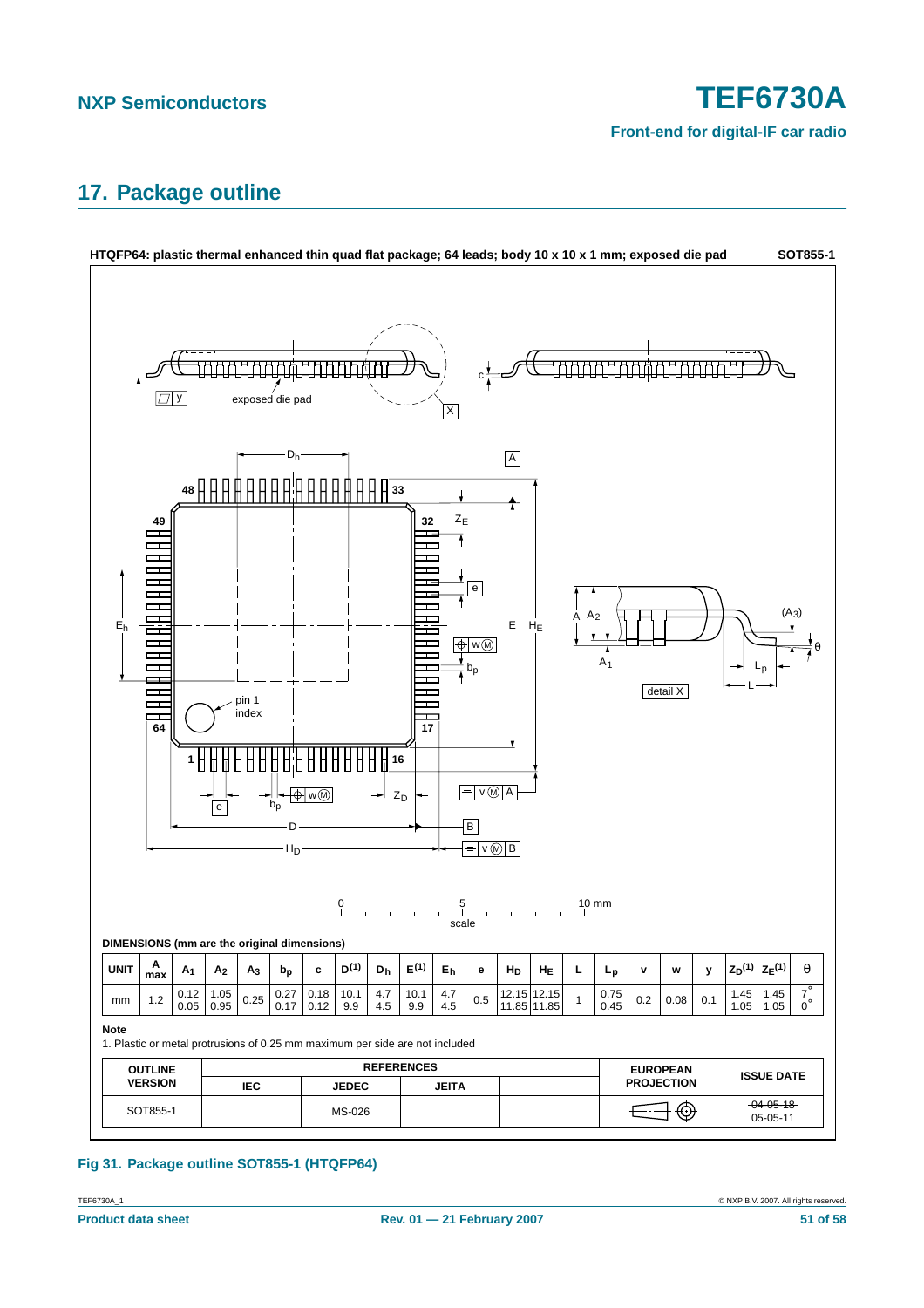### <span id="page-50-0"></span>**17. Package outline**



### **Fig 31. Package outline SOT855-1 (HTQFP64)**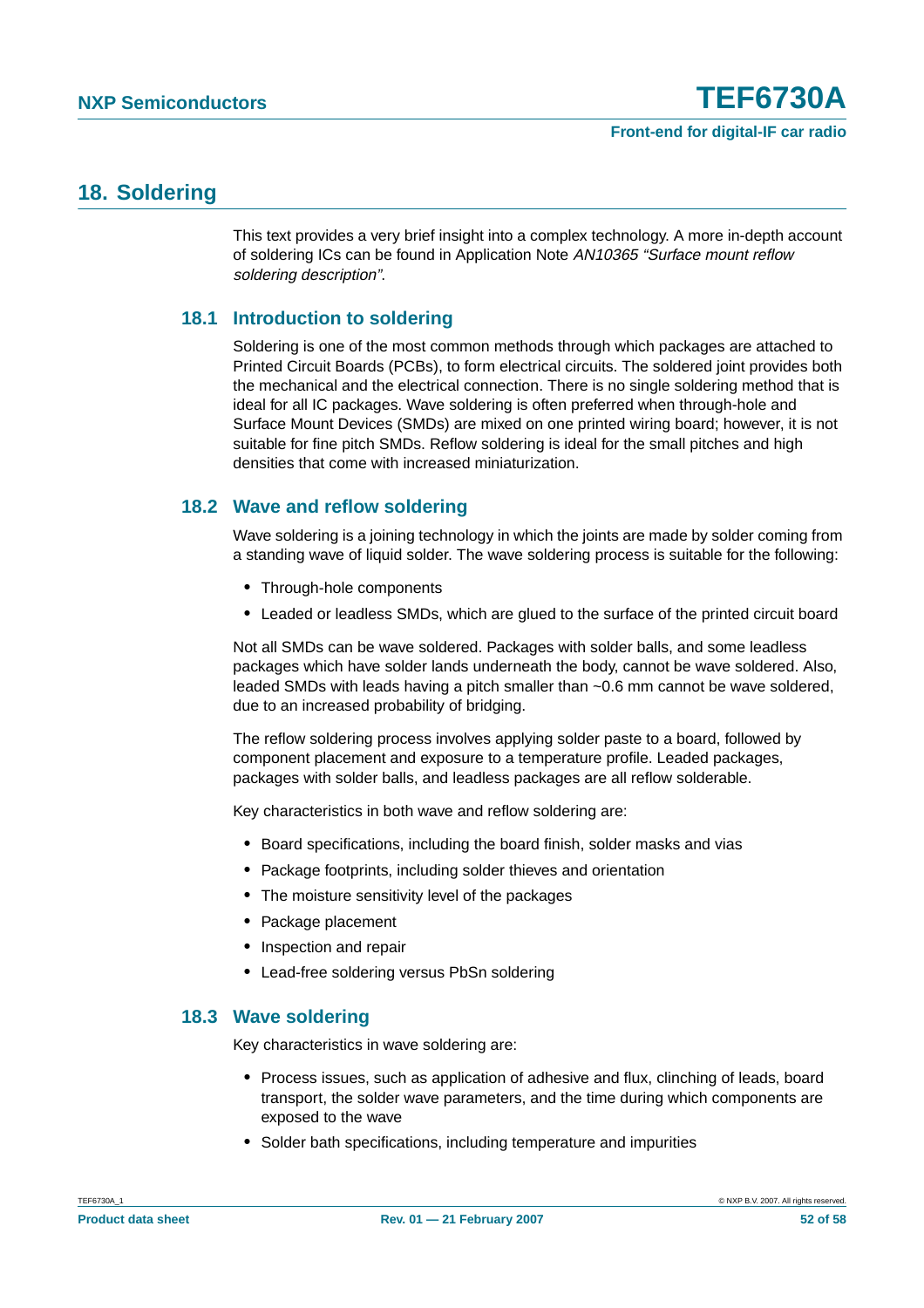### <span id="page-51-0"></span>**18. Soldering**

This text provides a very brief insight into a complex technology. A more in-depth account of soldering ICs can be found in Application Note AN10365 "Surface mount reflow soldering description".

### <span id="page-51-1"></span>**18.1 Introduction to soldering**

Soldering is one of the most common methods through which packages are attached to Printed Circuit Boards (PCBs), to form electrical circuits. The soldered joint provides both the mechanical and the electrical connection. There is no single soldering method that is ideal for all IC packages. Wave soldering is often preferred when through-hole and Surface Mount Devices (SMDs) are mixed on one printed wiring board; however, it is not suitable for fine pitch SMDs. Reflow soldering is ideal for the small pitches and high densities that come with increased miniaturization.

### <span id="page-51-2"></span>**18.2 Wave and reflow soldering**

Wave soldering is a joining technology in which the joints are made by solder coming from a standing wave of liquid solder. The wave soldering process is suitable for the following:

- **•** Through-hole components
- **•** Leaded or leadless SMDs, which are glued to the surface of the printed circuit board

Not all SMDs can be wave soldered. Packages with solder balls, and some leadless packages which have solder lands underneath the body, cannot be wave soldered. Also, leaded SMDs with leads having a pitch smaller than ~0.6 mm cannot be wave soldered, due to an increased probability of bridging.

The reflow soldering process involves applying solder paste to a board, followed by component placement and exposure to a temperature profile. Leaded packages, packages with solder balls, and leadless packages are all reflow solderable.

Key characteristics in both wave and reflow soldering are:

- **•** Board specifications, including the board finish, solder masks and vias
- **•** Package footprints, including solder thieves and orientation
- **•** The moisture sensitivity level of the packages
- **•** Package placement
- **•** Inspection and repair
- **•** Lead-free soldering versus PbSn soldering

### <span id="page-51-3"></span>**18.3 Wave soldering**

Key characteristics in wave soldering are:

- **•** Process issues, such as application of adhesive and flux, clinching of leads, board transport, the solder wave parameters, and the time during which components are exposed to the wave
- **•** Solder bath specifications, including temperature and impurities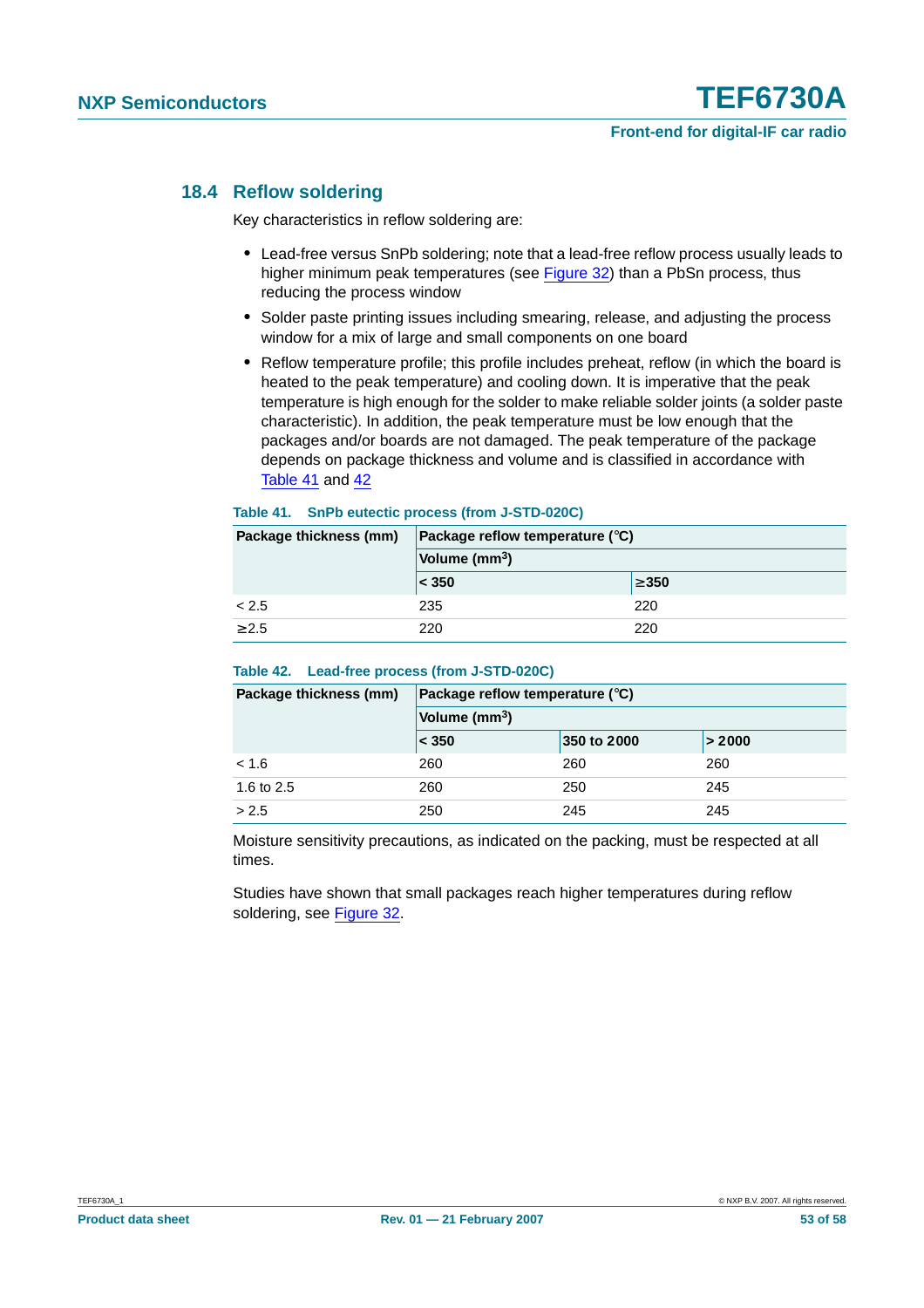### <span id="page-52-0"></span>**18.4 Reflow soldering**

Key characteristics in reflow soldering are:

- **•** Lead-free versus SnPb soldering; note that a lead-free reflow process usually leads to higher minimum peak temperatures (see Figure 32) than a PbSn process, thus reducing the process window
- **•** Solder paste printing issues including smearing, release, and adjusting the process window for a mix of large and small components on one board
- **•** Reflow temperature profile; this profile includes preheat, reflow (in which the board is heated to the peak temperature) and cooling down. It is imperative that the peak temperature is high enough for the solder to make reliable solder joints (a solder paste characteristic). In addition, the peak temperature must be low enough that the packages and/or boards are not damaged. The peak temperature of the package depends on package thickness and volume and is classified in accordance with Table 41 and 42

#### **Table 41. SnPb eutectic process (from J-STD-020C)**

| Package thickness (mm) | Package reflow temperature $(^\circ \text{C})$ |            |  |  |  |
|------------------------|------------------------------------------------|------------|--|--|--|
|                        | Volume (mm <sup>3</sup> )                      |            |  |  |  |
|                        | $ <$ 350                                       | $\geq 350$ |  |  |  |
| < 2.5                  | 235                                            | 220        |  |  |  |
| > 2.5                  | 220                                            | 220        |  |  |  |

#### **Table 42. Lead-free process (from J-STD-020C)**

| Package thickness (mm) | Package reflow temperature $(^\circ \text{C})$ |             |        |  |  |  |
|------------------------|------------------------------------------------|-------------|--------|--|--|--|
|                        | Volume (mm <sup>3</sup> )                      |             |        |  |  |  |
|                        | $ <$ 350                                       | 350 to 2000 | > 2000 |  |  |  |
| < 1.6                  | 260                                            | 260         | 260    |  |  |  |
| 1.6 to 2.5             | 260                                            | 250         | 245    |  |  |  |
| > 2.5                  | 250                                            | 245         | 245    |  |  |  |

Moisture sensitivity precautions, as indicated on the packing, must be respected at all times.

Studies have shown that small packages reach higher temperatures during reflow soldering, see Figure 32.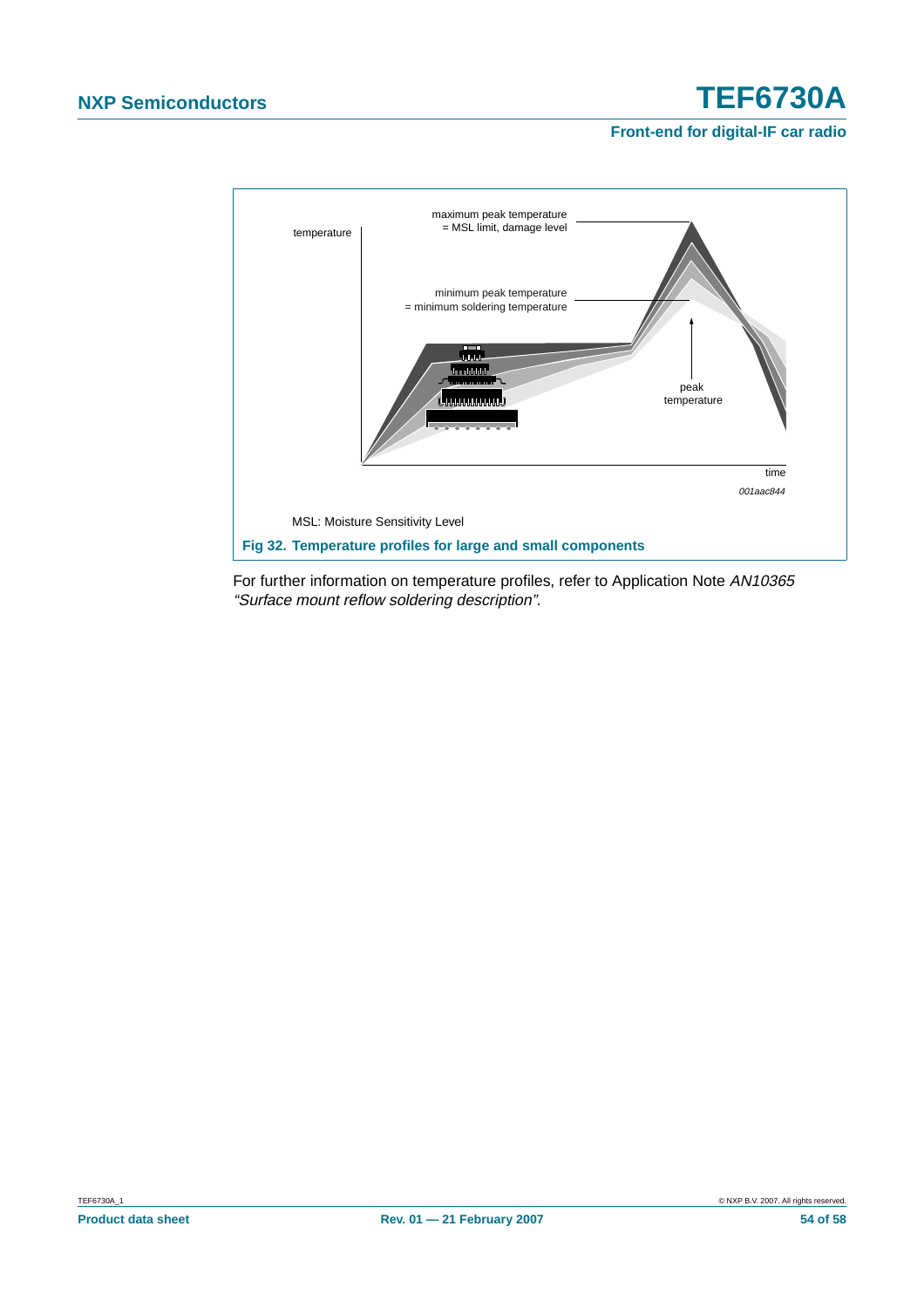### **Front-end for digital-IF car radio**



For further information on temperature profiles, refer to Application Note AN10365 "Surface mount reflow soldering description".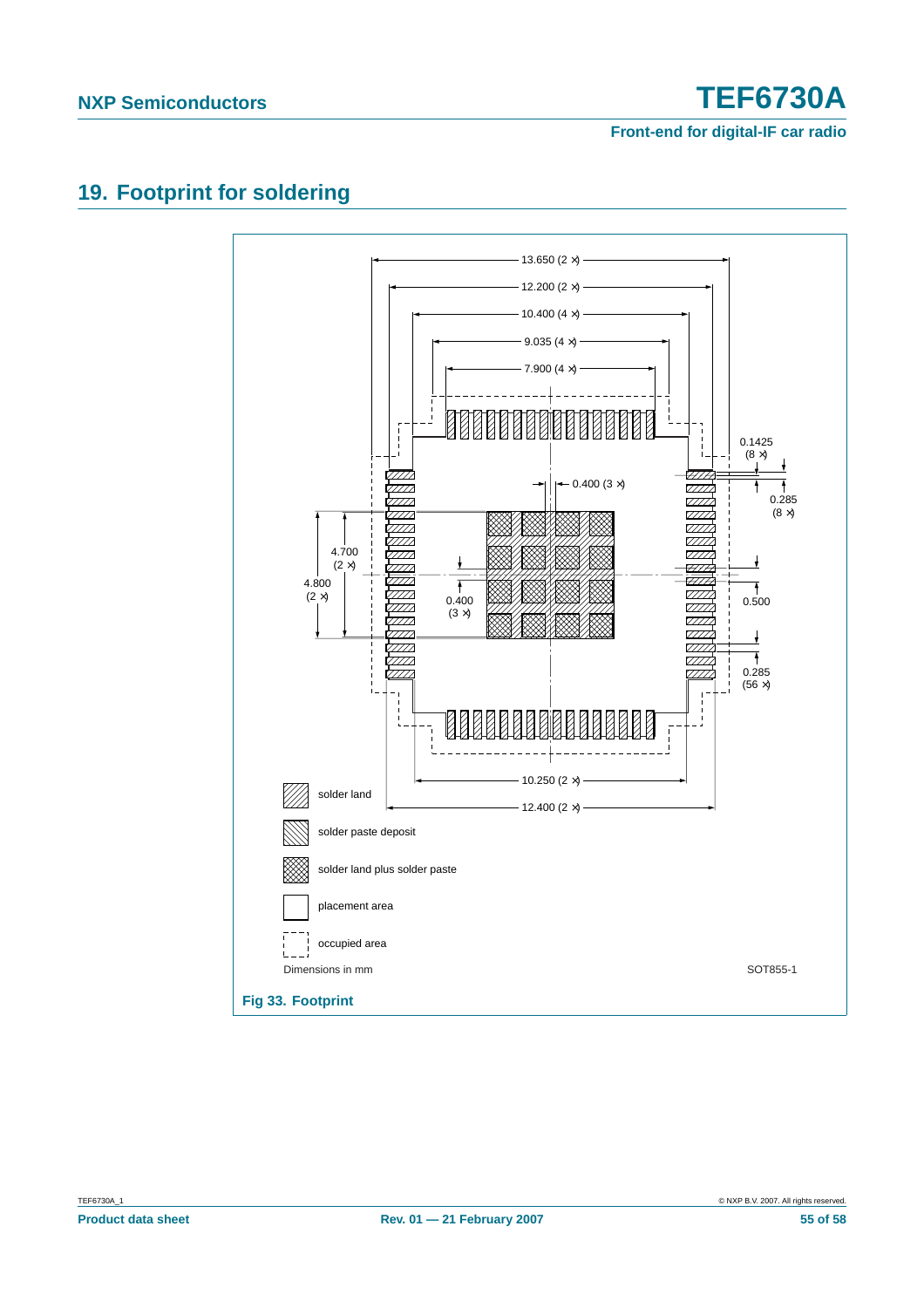**Front-end for digital-IF car radio**

### <span id="page-54-0"></span>**19. Footprint for soldering**

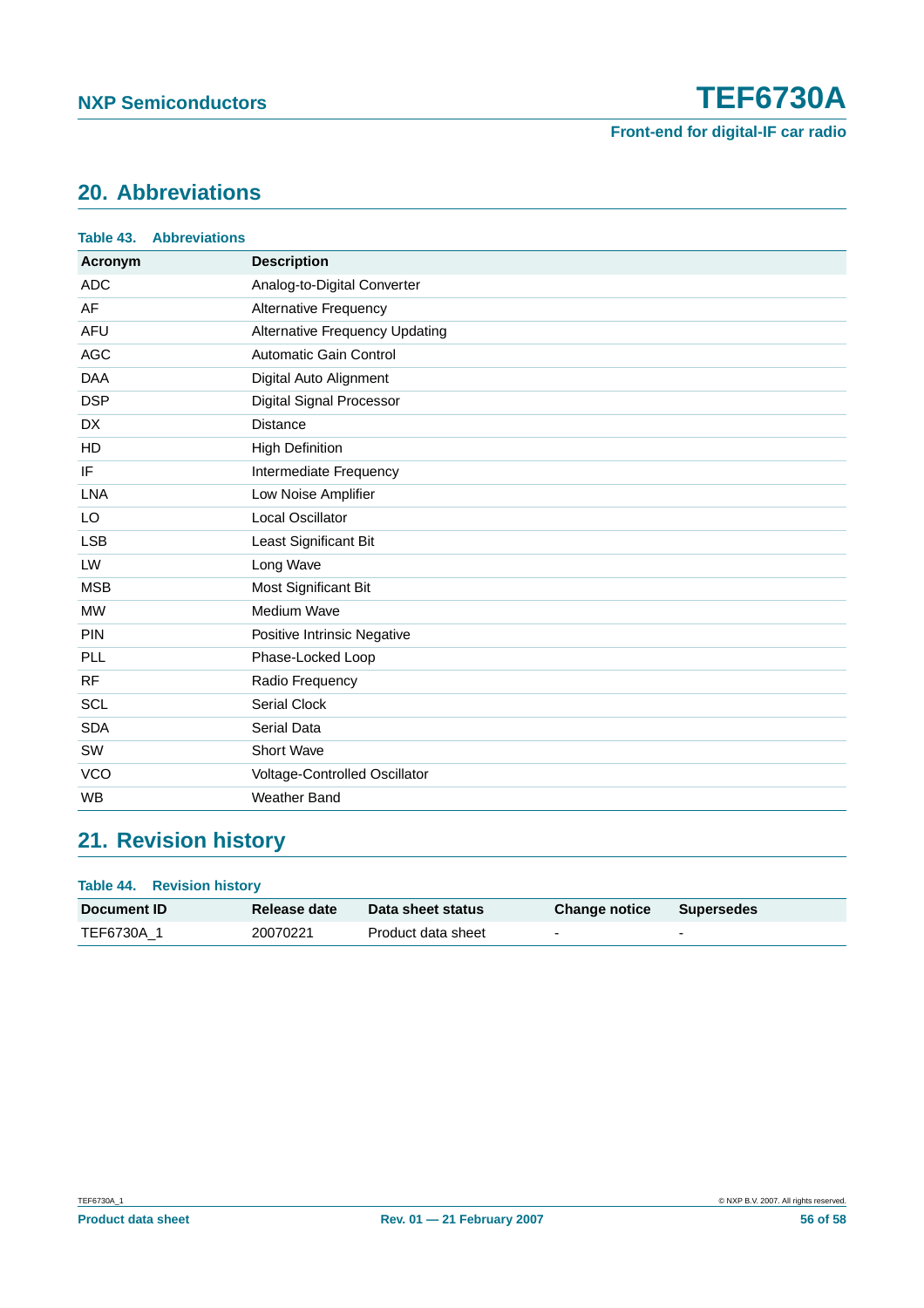

### <span id="page-55-0"></span>**20. Abbreviations**

| Table 43.  | <b>Abbreviations</b> |                                       |
|------------|----------------------|---------------------------------------|
| Acronym    |                      | <b>Description</b>                    |
| <b>ADC</b> |                      | Analog-to-Digital Converter           |
| AF         |                      | <b>Alternative Frequency</b>          |
| <b>AFU</b> |                      | <b>Alternative Frequency Updating</b> |
| <b>AGC</b> |                      | <b>Automatic Gain Control</b>         |
| <b>DAA</b> |                      | Digital Auto Alignment                |
| <b>DSP</b> |                      | <b>Digital Signal Processor</b>       |
| <b>DX</b>  |                      | <b>Distance</b>                       |
| HD         |                      | <b>High Definition</b>                |
| IF         |                      | Intermediate Frequency                |
| <b>LNA</b> |                      | Low Noise Amplifier                   |
| LO         |                      | Local Oscillator                      |
| <b>LSB</b> |                      | Least Significant Bit                 |
| LW         |                      | Long Wave                             |
| <b>MSB</b> |                      | Most Significant Bit                  |
| <b>MW</b>  |                      | Medium Wave                           |
| <b>PIN</b> |                      | Positive Intrinsic Negative           |
| PLL        |                      | Phase-Locked Loop                     |
| <b>RF</b>  |                      | Radio Frequency                       |
| <b>SCL</b> |                      | <b>Serial Clock</b>                   |
| <b>SDA</b> |                      | Serial Data                           |
| SW         |                      | Short Wave                            |
| <b>VCO</b> |                      | Voltage-Controlled Oscillator         |
| WB         |                      | <b>Weather Band</b>                   |

### <span id="page-55-1"></span>**21. Revision history**

| <b>Table 44. Revision history</b> |              |                    |                          |                   |  |  |  |  |  |
|-----------------------------------|--------------|--------------------|--------------------------|-------------------|--|--|--|--|--|
| <b>Document ID</b>                | Release date | Data sheet status  | <b>Change notice</b>     | <b>Supersedes</b> |  |  |  |  |  |
| TEF6730A_1                        | 20070221     | Product data sheet | $\overline{\phantom{0}}$ | -                 |  |  |  |  |  |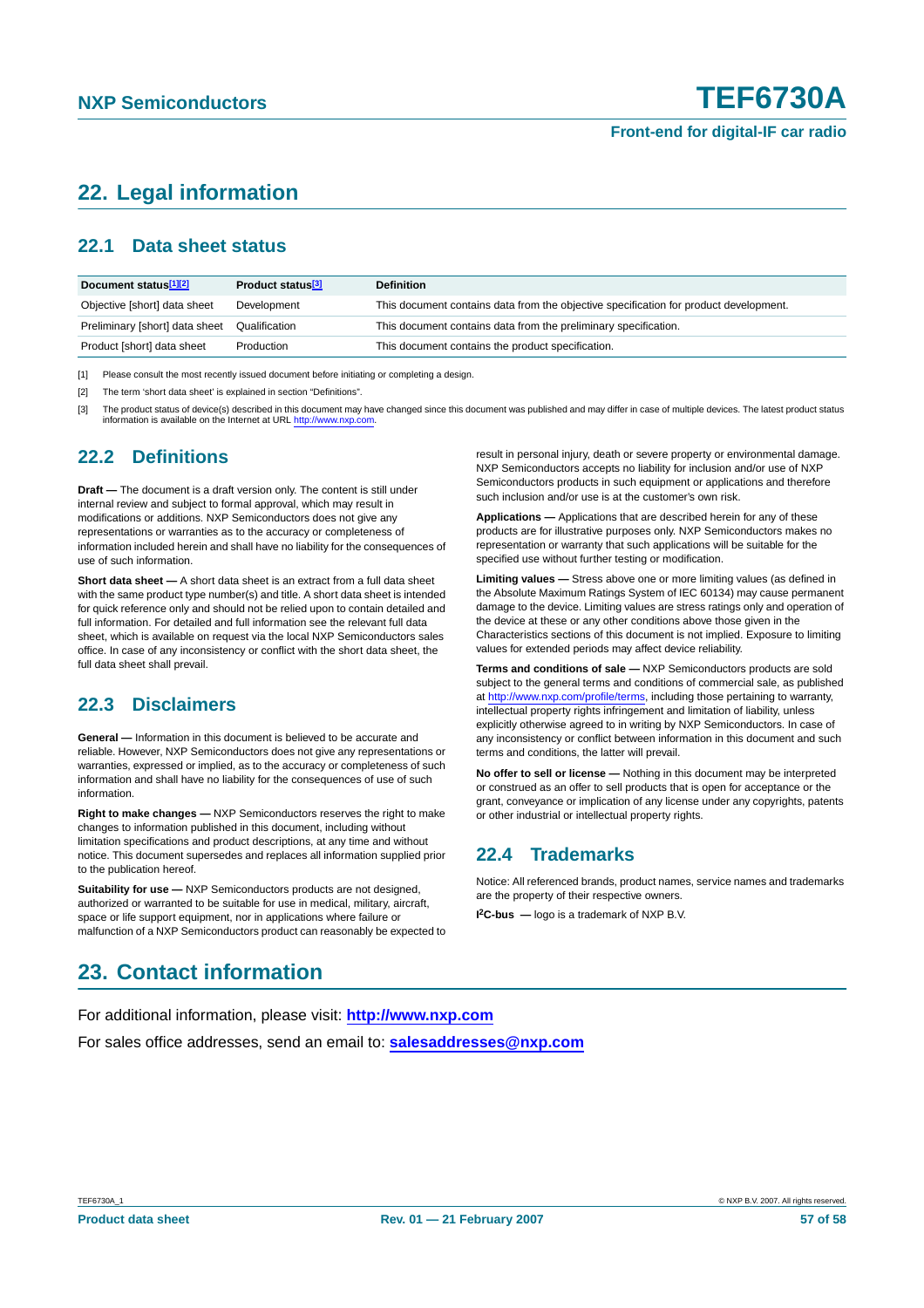### <span id="page-56-0"></span>**22. Legal information**

### <span id="page-56-1"></span>**22.1 Data sheet status**

| Document status <sup>[1][2]</sup> | Product status <sup>[3]</sup> | <b>Definition</b>                                                                     |
|-----------------------------------|-------------------------------|---------------------------------------------------------------------------------------|
| Objective [short] data sheet      | Development                   | This document contains data from the objective specification for product development. |
| Preliminary [short] data sheet    | Qualification                 | This document contains data from the preliminary specification.                       |
| Product [short] data sheet        | Production                    | This document contains the product specification.                                     |

[1] Please consult the most recently issued document before initiating or completing a design.

[2] The term 'short data sheet' is explained in section "Definitions".

The product status of device(s) described in this document may have changed since this document was published and may differ in case of multiple devices. The latest product status information is available on the Internet at URL <http://www.nxp.com>.

### <span id="page-56-2"></span>**22.2 Definitions**

**Draft —** The document is a draft version only. The content is still under internal review and subject to formal approval, which may result in modifications or additions. NXP Semiconductors does not give any representations or warranties as to the accuracy or completeness of information included herein and shall have no liability for the consequences of use of such information.

**Short data sheet —** A short data sheet is an extract from a full data sheet with the same product type number(s) and title. A short data sheet is intended for quick reference only and should not be relied upon to contain detailed and full information. For detailed and full information see the relevant full data sheet, which is available on request via the local NXP Semiconductors sales office. In case of any inconsistency or conflict with the short data sheet, the full data sheet shall prevail.

### <span id="page-56-3"></span>**22.3 Disclaimers**

**General —** Information in this document is believed to be accurate and reliable. However, NXP Semiconductors does not give any representations or warranties, expressed or implied, as to the accuracy or completeness of such information and shall have no liability for the consequences of use of such information.

**Right to make changes —** NXP Semiconductors reserves the right to make changes to information published in this document, including without limitation specifications and product descriptions, at any time and without notice. This document supersedes and replaces all information supplied prior to the publication hereof.

**Suitability for use —** NXP Semiconductors products are not designed, authorized or warranted to be suitable for use in medical, military, aircraft, space or life support equipment, nor in applications where failure or malfunction of a NXP Semiconductors product can reasonably be expected to result in personal injury, death or severe property or environmental damage. NXP Semiconductors accepts no liability for inclusion and/or use of NXP Semiconductors products in such equipment or applications and therefore such inclusion and/or use is at the customer's own risk.

**Applications —** Applications that are described herein for any of these products are for illustrative purposes only. NXP Semiconductors makes no representation or warranty that such applications will be suitable for the specified use without further testing or modification.

**Limiting values —** Stress above one or more limiting values (as defined in the Absolute Maximum Ratings System of IEC 60134) may cause permanent damage to the device. Limiting values are stress ratings only and operation of the device at these or any other conditions above those given in the Characteristics sections of this document is not implied. Exposure to limiting values for extended periods may affect device reliability.

**Terms and conditions of sale —** NXP Semiconductors products are sold subject to the general terms and conditions of commercial sale, as published at <http://www.nxp.com/profile/terms>, including those pertaining to warranty, intellectual property rights infringement and limitation of liability, unless explicitly otherwise agreed to in writing by NXP Semiconductors. In case of any inconsistency or conflict between information in this document and such terms and conditions, the latter will prevail.

**No offer to sell or license —** Nothing in this document may be interpreted or construed as an offer to sell products that is open for acceptance or the grant, conveyance or implication of any license under any copyrights, patents or other industrial or intellectual property rights.

### <span id="page-56-4"></span>**22.4 Trademarks**

Notice: All referenced brands, product names, service names and trademarks are the property of their respective owners.

**I 2C-bus —** logo is a trademark of NXP B.V.

### <span id="page-56-5"></span>**23. Contact information**

For additional information, please visit: **http://www.nxp.com**

For sales office addresses, send an email to: **salesaddresses@nxp.com**